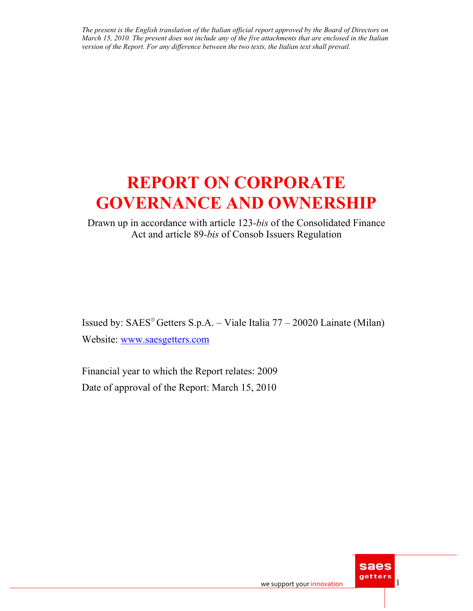# **REPORT ON CORPORATE GOVERNANCE AND OWNERSHIP**

Drawn up in accordance with article 123*-bis* of the Consolidated Finance Act and article 89*-bis* of Consob Issuers Regulation

Issued by:  $SAES^{\circ}$  Getters  $S.p.A. - Value$  Italia  $77 - 20020$  Lainate (Milan) Website: www.saesgetters.com

Financial year to which the Report relates: 2009 Date of approval of the Report: March 15, 2010

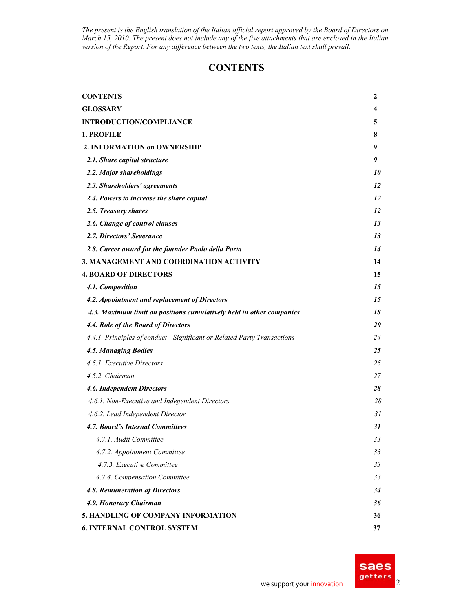# **CONTENTS**

| <b>CONTENTS</b>                                                          | 2         |
|--------------------------------------------------------------------------|-----------|
| <b>GLOSSARY</b>                                                          | 4         |
| <b>INTRODUCTION/COMPLIANCE</b>                                           | 5         |
| 1. PROFILE                                                               | 8         |
| 2. INFORMATION on OWNERSHIP                                              | 9         |
| 2.1. Share capital structure                                             | 9         |
| 2.2. Major shareholdings                                                 | <i>10</i> |
| 2.3. Shareholders' agreements                                            | 12        |
| 2.4. Powers to increase the share capital                                | 12        |
| 2.5. Treasury shares                                                     | 12        |
| 2.6. Change of control clauses                                           | 13        |
| 2.7. Directors' Severance                                                | 13        |
| 2.8. Career award for the founder Paolo della Porta                      | 14        |
| 3. MANAGEMENT AND COORDINATION ACTIVITY                                  | 14        |
| <b>4. BOARD OF DIRECTORS</b>                                             | 15        |
| 4.1. Composition                                                         | 15        |
| 4.2. Appointment and replacement of Directors                            | 15        |
| 4.3. Maximum limit on positions cumulatively held in other companies     | 18        |
| 4.4. Role of the Board of Directors                                      | <i>20</i> |
| 4.4.1. Principles of conduct - Significant or Related Party Transactions | 24        |
| 4.5. Managing Bodies                                                     | 25        |
| 4.5.1. Executive Directors                                               | 25        |
| 4.5.2. Chairman                                                          | 27        |
| 4.6. Independent Directors                                               | 28        |
| 4.6.1. Non-Executive and Independent Directors                           | 28        |
| 4.6.2. Lead Independent Director                                         | 31        |
| 4.7. Board's Internal Committees                                         | 31        |
| 4.7.1. Audit Committee                                                   | 33        |
| 4.7.2. Appointment Committee                                             | 33        |
| 4.7.3. Executive Committee                                               | 33        |
| 4.7.4. Compensation Committee                                            | 33        |
| 4.8. Remuneration of Directors                                           | 34        |
| 4.9. Honorary Chairman                                                   | 36        |
| 5. HANDLING OF COMPANY INFORMATION                                       | 36        |
| <b>6. INTERNAL CONTROL SYSTEM</b>                                        | 37        |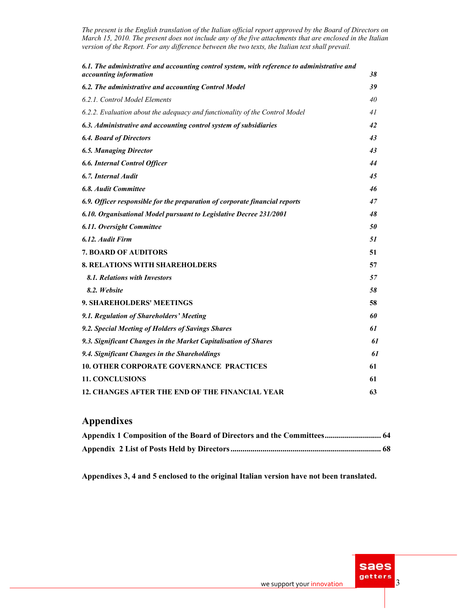| 6.1. The administrative and accounting control system, with reference to administrative and<br><i>accounting information</i> | 38 |
|------------------------------------------------------------------------------------------------------------------------------|----|
|                                                                                                                              | 39 |
| 6.2. The administrative and accounting Control Model                                                                         |    |
| 6.2.1. Control Model Elements                                                                                                | 40 |
| 6.2.2. Evaluation about the adequacy and functionality of the Control Model                                                  | 41 |
| 6.3. Administrative and accounting control system of subsidiaries                                                            | 42 |
| <b>6.4. Board of Directors</b>                                                                                               | 43 |
| <b>6.5. Managing Director</b>                                                                                                | 43 |
| <b>6.6. Internal Control Officer</b>                                                                                         | 44 |
| 6.7. Internal Audit                                                                                                          | 45 |
| <b>6.8. Audit Committee</b>                                                                                                  | 46 |
| 6.9. Officer responsible for the preparation of corporate financial reports                                                  | 47 |
| 6.10. Organisational Model pursuant to Legislative Decree 231/2001                                                           | 48 |
| 6.11. Oversight Committee                                                                                                    | 50 |
| 6.12. Audit Firm                                                                                                             | 51 |
| <b>7. BOARD OF AUDITORS</b>                                                                                                  | 51 |
| <b>8. RELATIONS WITH SHAREHOLDERS</b>                                                                                        | 57 |
| 8.1. Relations with Investors                                                                                                | 57 |
| 8.2. Website                                                                                                                 | 58 |
| 9. SHAREHOLDERS' MEETINGS                                                                                                    | 58 |
| 9.1. Regulation of Shareholders' Meeting                                                                                     | 60 |
| 9.2. Special Meeting of Holders of Savings Shares                                                                            | 61 |
| 9.3. Significant Changes in the Market Capitalisation of Shares                                                              | 61 |
| 9.4. Significant Changes in the Shareholdings                                                                                | 61 |
| <b>10. OTHER CORPORATE GOVERNANCE PRACTICES</b>                                                                              | 61 |
| <b>11. CONCLUSIONS</b>                                                                                                       | 61 |
| <b>12. CHANGES AFTER THE END OF THE FINANCIAL YEAR</b>                                                                       | 63 |

# **Appendixes**

| Appendix 1 Composition of the Board of Directors and the Committees 64 |  |
|------------------------------------------------------------------------|--|
|                                                                        |  |

**Appendixes 3, 4 and 5 enclosed to the original Italian version have not been translated.** 

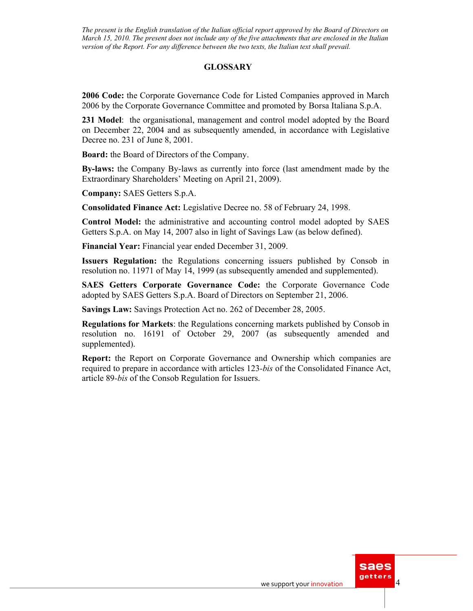### **GLOSSARY**

**2006 Code:** the Corporate Governance Code for Listed Companies approved in March 2006 by the Corporate Governance Committee and promoted by Borsa Italiana S.p.A.

**231 Model**: the organisational, management and control model adopted by the Board on December 22, 2004 and as subsequently amended, in accordance with Legislative Decree no. 231 of June 8, 2001.

**Board:** the Board of Directors of the Company.

**By-laws:** the Company By-laws as currently into force (last amendment made by the Extraordinary Shareholders' Meeting on April 21, 2009).

**Company:** SAES Getters S.p.A.

**Consolidated Finance Act:** Legislative Decree no. 58 of February 24, 1998.

**Control Model:** the administrative and accounting control model adopted by SAES Getters S.p.A. on May 14, 2007 also in light of Savings Law (as below defined).

**Financial Year:** Financial year ended December 31, 2009.

**Issuers Regulation:** the Regulations concerning issuers published by Consob in resolution no. 11971 of May 14, 1999 (as subsequently amended and supplemented).

**SAES Getters Corporate Governance Code:** the Corporate Governance Code adopted by SAES Getters S.p.A. Board of Directors on September 21, 2006.

**Savings Law:** Savings Protection Act no. 262 of December 28, 2005.

**Regulations for Markets**: the Regulations concerning markets published by Consob in resolution no. 16191 of October 29, 2007 (as subsequently amended and supplemented).

**Report:** the Report on Corporate Governance and Ownership which companies are required to prepare in accordance with articles 123*-bis* of the Consolidated Finance Act, article 89*-bis* of the Consob Regulation for Issuers.

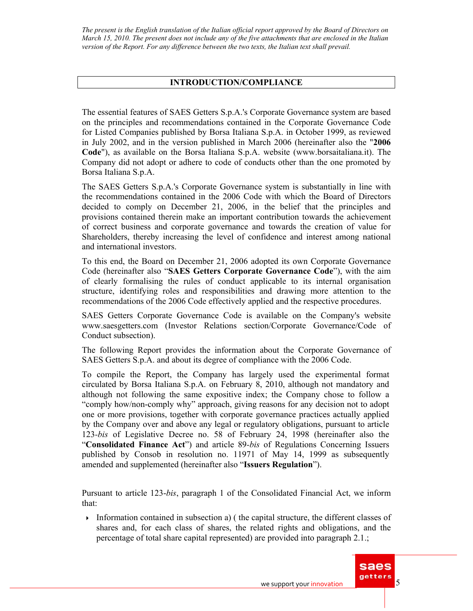### **INTRODUCTION/COMPLIANCE**

The essential features of SAES Getters S.p.A.'s Corporate Governance system are based on the principles and recommendations contained in the Corporate Governance Code for Listed Companies published by Borsa Italiana S.p.A. in October 1999, as reviewed in July 2002, and in the version published in March 2006 (hereinafter also the "**2006 Code**"), as available on the Borsa Italiana S.p.A. website (www.borsaitaliana.it). The Company did not adopt or adhere to code of conducts other than the one promoted by Borsa Italiana S.p.A.

The SAES Getters S.p.A.'s Corporate Governance system is substantially in line with the recommendations contained in the 2006 Code with which the Board of Directors decided to comply on December 21, 2006, in the belief that the principles and provisions contained therein make an important contribution towards the achievement of correct business and corporate governance and towards the creation of value for Shareholders, thereby increasing the level of confidence and interest among national and international investors.

To this end, the Board on December 21, 2006 adopted its own Corporate Governance Code (hereinafter also "**SAES Getters Corporate Governance Code**"), with the aim of clearly formalising the rules of conduct applicable to its internal organisation structure, identifying roles and responsibilities and drawing more attention to the recommendations of the 2006 Code effectively applied and the respective procedures.

SAES Getters Corporate Governance Code is available on the Company's website www.saesgetters.com (Investor Relations section/Corporate Governance/Code of Conduct subsection).

The following Report provides the information about the Corporate Governance of SAES Getters S.p.A. and about its degree of compliance with the 2006 Code.

To compile the Report, the Company has largely used the experimental format circulated by Borsa Italiana S.p.A. on February 8, 2010, although not mandatory and although not following the same expositive index; the Company chose to follow a "comply how/non-comply why" approach, giving reasons for any decision not to adopt one or more provisions, together with corporate governance practices actually applied by the Company over and above any legal or regulatory obligations, pursuant to article 123*-bis* of Legislative Decree no. 58 of February 24, 1998 (hereinafter also the "**Consolidated Finance Act**") and article 89*-bis* of Regulations Concerning Issuers published by Consob in resolution no. 11971 of May 14, 1999 as subsequently amended and supplemented (hereinafter also "**Issuers Regulation**").

Pursuant to article 123-*bis*, paragraph 1 of the Consolidated Financial Act, we inform that:

Information contained in subsection a) (the capital structure, the different classes of shares and, for each class of shares, the related rights and obligations, and the percentage of total share capital represented) are provided into paragraph 2.1.;

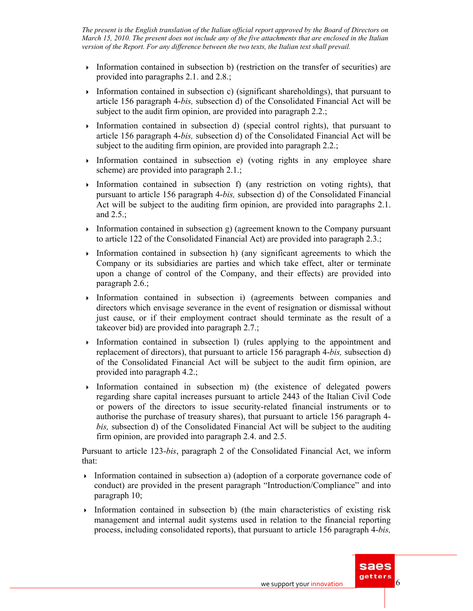- Information contained in subsection b) (restriction on the transfer of securities) are provided into paragraphs 2.1. and 2.8.;
- Information contained in subsection c) (significant shareholdings), that pursuant to article 156 paragraph 4-*bis,* subsection d) of the Consolidated Financial Act will be subject to the audit firm opinion, are provided into paragraph 2.2.;
- Information contained in subsection d) (special control rights), that pursuant to article 156 paragraph 4-*bis,* subsection d) of the Consolidated Financial Act will be subject to the auditing firm opinion, are provided into paragraph 2.2.;
- Information contained in subsection e) (voting rights in any employee share scheme) are provided into paragraph 2.1.;
- Information contained in subsection f) (any restriction on voting rights), that pursuant to article 156 paragraph 4-*bis,* subsection d) of the Consolidated Financial Act will be subject to the auditing firm opinion, are provided into paragraphs 2.1. and 2.5.;
- Information contained in subsection  $g$ ) (agreement known to the Company pursuant to article 122 of the Consolidated Financial Act) are provided into paragraph 2.3.;
- Information contained in subsection h) (any significant agreements to which the Company or its subsidiaries are parties and which take effect, alter or terminate upon a change of control of the Company, and their effects) are provided into paragraph 2.6.;
- Information contained in subsection i) (agreements between companies and directors which envisage severance in the event of resignation or dismissal without just cause, or if their employment contract should terminate as the result of a takeover bid) are provided into paragraph 2.7.;
- Information contained in subsection l) (rules applying to the appointment and replacement of directors), that pursuant to article 156 paragraph 4-*bis,* subsection d) of the Consolidated Financial Act will be subject to the audit firm opinion, are provided into paragraph 4.2.;
- $\rightarrow$  Information contained in subsection m) (the existence of delegated powers regarding share capital increases pursuant to article 2443 of the Italian Civil Code or powers of the directors to issue security-related financial instruments or to authorise the purchase of treasury shares), that pursuant to article 156 paragraph 4 *bis,* subsection d) of the Consolidated Financial Act will be subject to the auditing firm opinion, are provided into paragraph 2.4. and 2.5.

Pursuant to article 123-*bis*, paragraph 2 of the Consolidated Financial Act, we inform that:

- Information contained in subsection a) (adoption of a corporate governance code of conduct) are provided in the present paragraph "Introduction/Compliance" and into paragraph 10;
- Information contained in subsection b) (the main characteristics of existing risk management and internal audit systems used in relation to the financial reporting process, including consolidated reports), that pursuant to article 156 paragraph 4-*bis,*

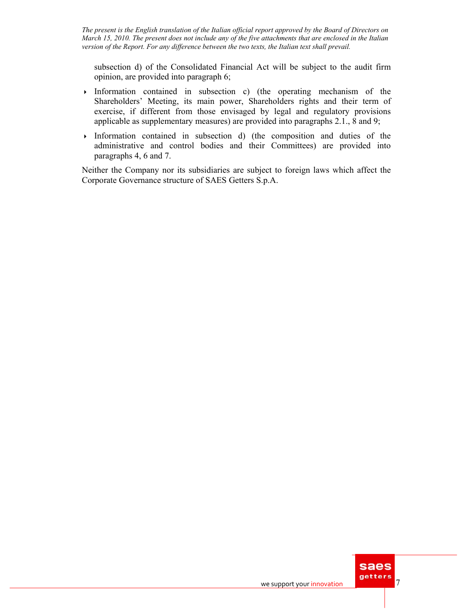subsection d) of the Consolidated Financial Act will be subject to the audit firm opinion, are provided into paragraph 6;

- Information contained in subsection c) (the operating mechanism of the Shareholders' Meeting, its main power, Shareholders rights and their term of exercise, if different from those envisaged by legal and regulatory provisions applicable as supplementary measures) are provided into paragraphs 2.1., 8 and 9;
- Information contained in subsection  $d$ ) (the composition and duties of the administrative and control bodies and their Committees) are provided into paragraphs 4, 6 and 7.

Neither the Company nor its subsidiaries are subject to foreign laws which affect the Corporate Governance structure of SAES Getters S.p.A.

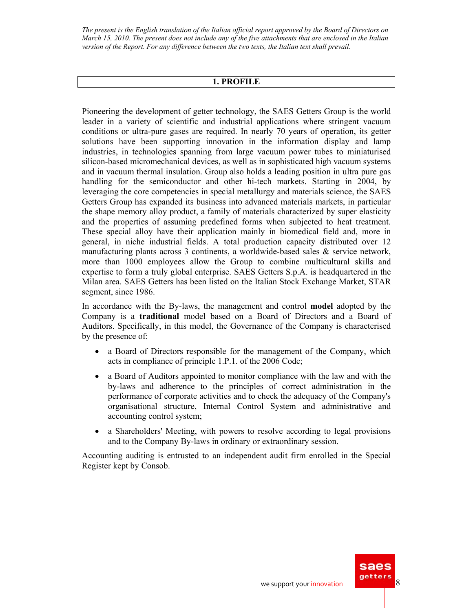#### **1. PROFILE**

Pioneering the development of getter technology, the SAES Getters Group is the world leader in a variety of scientific and industrial applications where stringent vacuum conditions or ultra-pure gases are required. In nearly 70 years of operation, its getter solutions have been supporting innovation in the information display and lamp industries, in technologies spanning from large vacuum power tubes to miniaturised silicon-based micromechanical devices, as well as in sophisticated high vacuum systems and in vacuum thermal insulation. Group also holds a leading position in ultra pure gas handling for the semiconductor and other hi-tech markets. Starting in 2004, by leveraging the core competencies in special metallurgy and materials science, the SAES Getters Group has expanded its business into advanced materials markets, in particular the shape memory alloy product, a family of materials characterized by super elasticity and the properties of assuming predefined forms when subjected to heat treatment. These special alloy have their application mainly in biomedical field and, more in general, in niche industrial fields. A total production capacity distributed over 12 manufacturing plants across 3 continents, a worldwide-based sales  $\&$  service network, more than 1000 employees allow the Group to combine multicultural skills and expertise to form a truly global enterprise. SAES Getters S.p.A. is headquartered in the Milan area. SAES Getters has been listed on the Italian Stock Exchange Market, STAR segment, since 1986.

In accordance with the By-laws, the management and control **model** adopted by the Company is a **traditional** model based on a Board of Directors and a Board of Auditors. Specifically, in this model, the Governance of the Company is characterised by the presence of:

- a Board of Directors responsible for the management of the Company, which acts in compliance of principle 1.P.1. of the 2006 Code;
- a Board of Auditors appointed to monitor compliance with the law and with the by-laws and adherence to the principles of correct administration in the performance of corporate activities and to check the adequacy of the Company's organisational structure, Internal Control System and administrative and accounting control system;
- a Shareholders' Meeting, with powers to resolve according to legal provisions and to the Company By-laws in ordinary or extraordinary session.

Accounting auditing is entrusted to an independent audit firm enrolled in the Special Register kept by Consob.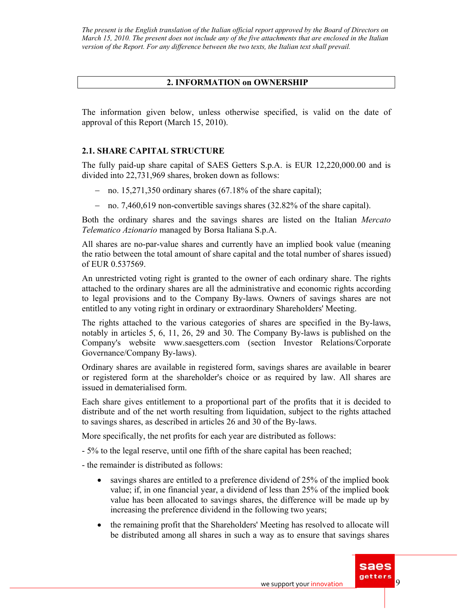### **2. INFORMATION on OWNERSHIP**

The information given below, unless otherwise specified, is valid on the date of approval of this Report (March 15, 2010).

### **2.1. SHARE CAPITAL STRUCTURE**

The fully paid-up share capital of SAES Getters S.p.A. is EUR 12,220,000.00 and is divided into 22,731,969 shares, broken down as follows:

- − no. 15,271,350 ordinary shares (67.18% of the share capital);
- − no. 7,460,619 non-convertible savings shares (32.82% of the share capital).

Both the ordinary shares and the savings shares are listed on the Italian *Mercato Telematico Azionario* managed by Borsa Italiana S.p.A.

All shares are no-par-value shares and currently have an implied book value (meaning the ratio between the total amount of share capital and the total number of shares issued) of EUR 0.537569.

An unrestricted voting right is granted to the owner of each ordinary share. The rights attached to the ordinary shares are all the administrative and economic rights according to legal provisions and to the Company By-laws. Owners of savings shares are not entitled to any voting right in ordinary or extraordinary Shareholders' Meeting.

The rights attached to the various categories of shares are specified in the By-laws, notably in articles 5, 6, 11, 26, 29 and 30. The Company By-laws is published on the Company's website www.saesgetters.com (section Investor Relations/Corporate Governance/Company By-laws).

Ordinary shares are available in registered form, savings shares are available in bearer or registered form at the shareholder's choice or as required by law. All shares are issued in dematerialised form.

Each share gives entitlement to a proportional part of the profits that it is decided to distribute and of the net worth resulting from liquidation, subject to the rights attached to savings shares, as described in articles 26 and 30 of the By-laws.

More specifically, the net profits for each year are distributed as follows:

- 5% to the legal reserve, until one fifth of the share capital has been reached;

- the remainder is distributed as follows:

- savings shares are entitled to a preference dividend of 25% of the implied book value; if, in one financial year, a dividend of less than 25% of the implied book value has been allocated to savings shares, the difference will be made up by increasing the preference dividend in the following two years;
- the remaining profit that the Shareholders' Meeting has resolved to allocate will be distributed among all shares in such a way as to ensure that savings shares

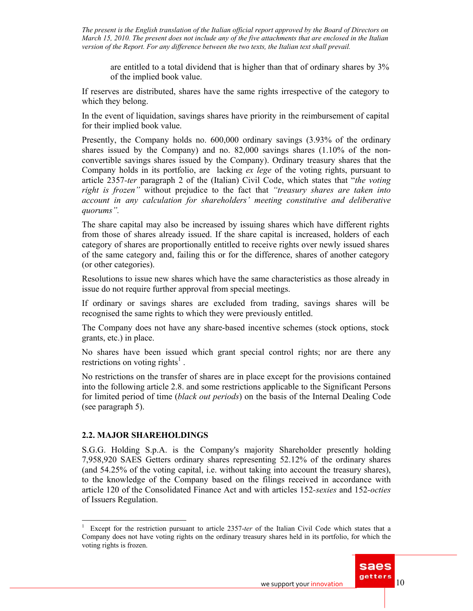are entitled to a total dividend that is higher than that of ordinary shares by 3% of the implied book value.

If reserves are distributed, shares have the same rights irrespective of the category to which they belong.

In the event of liquidation, savings shares have priority in the reimbursement of capital for their implied book value.

Presently, the Company holds no. 600,000 ordinary savings (3.93% of the ordinary shares issued by the Company) and no. 82,000 savings shares  $(1.10\% \text{ of the non-}$ convertible savings shares issued by the Company). Ordinary treasury shares that the Company holds in its portfolio, are lacking *ex lege* of the voting rights, pursuant to article 2357*-ter* paragraph 2 of the (Italian) Civil Code, which states that "*the voting right is frozen"* without prejudice to the fact that *"treasury shares are taken into account in any calculation for shareholders' meeting constitutive and deliberative quorums".*

The share capital may also be increased by issuing shares which have different rights from those of shares already issued. If the share capital is increased, holders of each category of shares are proportionally entitled to receive rights over newly issued shares of the same category and, failing this or for the difference, shares of another category (or other categories).

Resolutions to issue new shares which have the same characteristics as those already in issue do not require further approval from special meetings.

If ordinary or savings shares are excluded from trading, savings shares will be recognised the same rights to which they were previously entitled.

The Company does not have any share-based incentive schemes (stock options, stock grants, etc.) in place.

No shares have been issued which grant special control rights; nor are there any restrictions on voting rights<sup>1</sup>.

No restrictions on the transfer of shares are in place except for the provisions contained into the following article 2.8. and some restrictions applicable to the Significant Persons for limited period of time (*black out periods*) on the basis of the Internal Dealing Code (see paragraph 5).

### **2.2. MAJOR SHAREHOLDINGS**

 $\overline{a}$ 

S.G.G. Holding S.p.A. is the Company's majority Shareholder presently holding 7,958,920 SAES Getters ordinary shares representing 52.12% of the ordinary shares (and 54.25% of the voting capital, i.e. without taking into account the treasury shares), to the knowledge of the Company based on the filings received in accordance with article 120 of the Consolidated Finance Act and with articles 152*-sexies* and 152*-octies* of Issuers Regulation.

<sup>1</sup> Except for the restriction pursuant to article 2357-*ter* of the Italian Civil Code which states that a Company does not have voting rights on the ordinary treasury shares held in its portfolio, for which the voting rights is frozen.

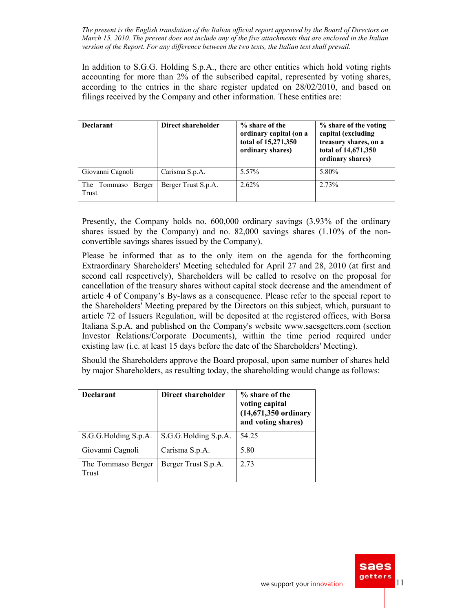In addition to S.G.G. Holding S.p.A., there are other entities which hold voting rights accounting for more than 2% of the subscribed capital, represented by voting shares, according to the entries in the share register updated on 28/02/2010, and based on filings received by the Company and other information. These entities are:

| <b>Declarant</b>                  | Direct shareholder  | % share of the<br>ordinary capital (on a<br>total of 15,271,350<br>ordinary shares) | % share of the voting<br>capital (excluding<br>treasury shares, on a<br>total of 14,671,350<br>ordinary shares) |
|-----------------------------------|---------------------|-------------------------------------------------------------------------------------|-----------------------------------------------------------------------------------------------------------------|
| Giovanni Cagnoli                  | Carisma S.p.A.      | 5.57%                                                                               | 5.80%                                                                                                           |
| Berger<br>The<br>Tommaso<br>Trust | Berger Trust S.p.A. | 2.62%                                                                               | 2.73%                                                                                                           |

Presently, the Company holds no. 600,000 ordinary savings (3.93% of the ordinary shares issued by the Company) and no. 82,000 savings shares  $(1.10\% \text{ of the non-}$ convertible savings shares issued by the Company).

Please be informed that as to the only item on the agenda for the forthcoming Extraordinary Shareholders' Meeting scheduled for April 27 and 28, 2010 (at first and second call respectively), Shareholders will be called to resolve on the proposal for cancellation of the treasury shares without capital stock decrease and the amendment of article 4 of Company's By-laws as a consequence. Please refer to the special report to the Shareholders' Meeting prepared by the Directors on this subject, which, pursuant to article 72 of Issuers Regulation, will be deposited at the registered offices, with Borsa Italiana S.p.A. and published on the Company's website www.saesgetters.com (section Investor Relations/Corporate Documents), within the time period required under existing law (i.e. at least 15 days before the date of the Shareholders' Meeting).

Should the Shareholders approve the Board proposal, upon same number of shares held by major Shareholders, as resulting today, the shareholding would change as follows:

| <b>Declarant</b>            | Direct shareholder   | % share of the<br>voting capital<br>$(14,671,350$ ordinary<br>and voting shares) |  |  |  |  |
|-----------------------------|----------------------|----------------------------------------------------------------------------------|--|--|--|--|
| S.G.G.Holding S.p.A.        | S.G.G.Holding S.p.A. | 54 25                                                                            |  |  |  |  |
| Giovanni Cagnoli            | Carisma S.p.A.       | 5.80                                                                             |  |  |  |  |
| The Tommaso Berger<br>Trust | Berger Trust S.p.A.  | 2.73                                                                             |  |  |  |  |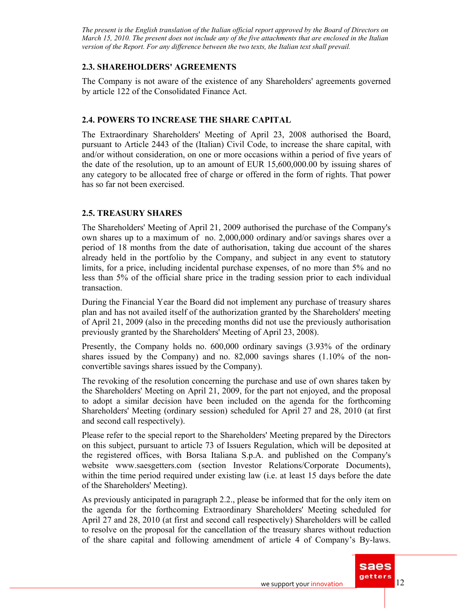# **2.3. SHAREHOLDERS' AGREEMENTS**

The Company is not aware of the existence of any Shareholders' agreements governed by article 122 of the Consolidated Finance Act.

# **2.4. POWERS TO INCREASE THE SHARE CAPITAL**

The Extraordinary Shareholders' Meeting of April 23, 2008 authorised the Board, pursuant to Article 2443 of the (Italian) Civil Code, to increase the share capital, with and/or without consideration, on one or more occasions within a period of five years of the date of the resolution, up to an amount of EUR 15,600,000.00 by issuing shares of any category to be allocated free of charge or offered in the form of rights. That power has so far not been exercised.

# **2.5. TREASURY SHARES**

The Shareholders' Meeting of April 21, 2009 authorised the purchase of the Company's own shares up to a maximum of no. 2,000,000 ordinary and/or savings shares over a period of 18 months from the date of authorisation, taking due account of the shares already held in the portfolio by the Company, and subject in any event to statutory limits, for a price, including incidental purchase expenses, of no more than 5% and no less than 5% of the official share price in the trading session prior to each individual transaction.

During the Financial Year the Board did not implement any purchase of treasury shares plan and has not availed itself of the authorization granted by the Shareholders' meeting of April 21, 2009 (also in the preceding months did not use the previously authorisation previously granted by the Shareholders' Meeting of April 23, 2008).

Presently, the Company holds no. 600,000 ordinary savings (3.93% of the ordinary shares issued by the Company) and no. 82,000 savings shares  $(1.10\% \text{ of the non-}$ convertible savings shares issued by the Company).

The revoking of the resolution concerning the purchase and use of own shares taken by the Shareholders' Meeting on April 21, 2009, for the part not enjoyed, and the proposal to adopt a similar decision have been included on the agenda for the forthcoming Shareholders' Meeting (ordinary session) scheduled for April 27 and 28, 2010 (at first and second call respectively).

Please refer to the special report to the Shareholders' Meeting prepared by the Directors on this subject, pursuant to article 73 of Issuers Regulation, which will be deposited at the registered offices, with Borsa Italiana S.p.A. and published on the Company's website www.saesgetters.com (section Investor Relations/Corporate Documents), within the time period required under existing law (i.e. at least 15 days before the date of the Shareholders' Meeting).

As previously anticipated in paragraph 2.2., please be informed that for the only item on the agenda for the forthcoming Extraordinary Shareholders' Meeting scheduled for April 27 and 28, 2010 (at first and second call respectively) Shareholders will be called to resolve on the proposal for the cancellation of the treasury shares without reduction of the share capital and following amendment of article 4 of Company's By-laws.

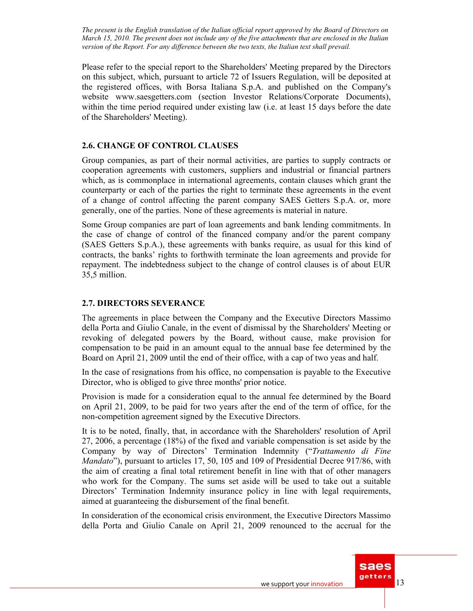Please refer to the special report to the Shareholders' Meeting prepared by the Directors on this subject, which, pursuant to article 72 of Issuers Regulation, will be deposited at the registered offices, with Borsa Italiana S.p.A. and published on the Company's website www.saesgetters.com (section Investor Relations/Corporate Documents), within the time period required under existing law (i.e. at least 15 days before the date of the Shareholders' Meeting).

### **2.6. CHANGE OF CONTROL CLAUSES**

Group companies, as part of their normal activities, are parties to supply contracts or cooperation agreements with customers, suppliers and industrial or financial partners which, as is commonplace in international agreements, contain clauses which grant the counterparty or each of the parties the right to terminate these agreements in the event of a change of control affecting the parent company SAES Getters S.p.A. or, more generally, one of the parties. None of these agreements is material in nature.

Some Group companies are part of loan agreements and bank lending commitments. In the case of change of control of the financed company and/or the parent company (SAES Getters S.p.A.), these agreements with banks require, as usual for this kind of contracts, the banks' rights to forthwith terminate the loan agreements and provide for repayment. The indebtedness subject to the change of control clauses is of about EUR 35,5 million.

### **2.7. DIRECTORS SEVERANCE**

The agreements in place between the Company and the Executive Directors Massimo della Porta and Giulio Canale, in the event of dismissal by the Shareholders' Meeting or revoking of delegated powers by the Board, without cause, make provision for compensation to be paid in an amount equal to the annual base fee determined by the Board on April 21, 2009 until the end of their office, with a cap of two yeas and half.

In the case of resignations from his office, no compensation is payable to the Executive Director, who is obliged to give three months' prior notice.

Provision is made for a consideration equal to the annual fee determined by the Board on April 21, 2009, to be paid for two years after the end of the term of office, for the non-competition agreement signed by the Executive Directors.

It is to be noted, finally, that, in accordance with the Shareholders' resolution of April 27, 2006, a percentage (18%) of the fixed and variable compensation is set aside by the Company by way of Directors' Termination Indemnity ("*Trattamento di Fine Mandato*"), pursuant to articles 17, 50, 105 and 109 of Presidential Decree 917/86, with the aim of creating a final total retirement benefit in line with that of other managers who work for the Company. The sums set aside will be used to take out a suitable Directors' Termination Indemnity insurance policy in line with legal requirements, aimed at guaranteeing the disbursement of the final benefit.

In consideration of the economical crisis environment, the Executive Directors Massimo della Porta and Giulio Canale on April 21, 2009 renounced to the accrual for the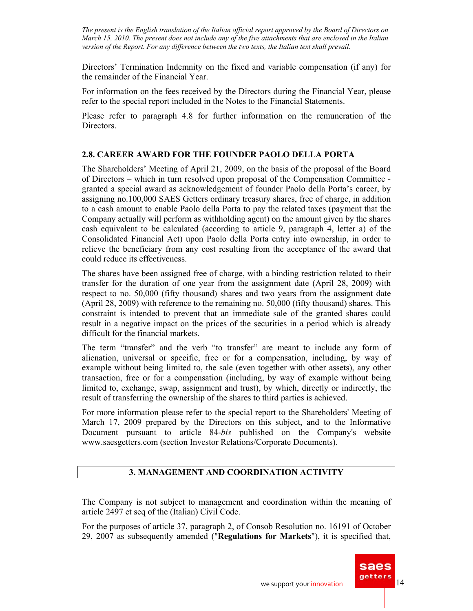Directors' Termination Indemnity on the fixed and variable compensation (if any) for the remainder of the Financial Year.

For information on the fees received by the Directors during the Financial Year, please refer to the special report included in the Notes to the Financial Statements.

Please refer to paragraph 4.8 for further information on the remuneration of the Directors.

# **2.8. CAREER AWARD FOR THE FOUNDER PAOLO DELLA PORTA**

The Shareholders' Meeting of April 21, 2009, on the basis of the proposal of the Board of Directors – which in turn resolved upon proposal of the Compensation Committee granted a special award as acknowledgement of founder Paolo della Porta's career, by assigning no.100,000 SAES Getters ordinary treasury shares, free of charge, in addition to a cash amount to enable Paolo della Porta to pay the related taxes (payment that the Company actually will perform as withholding agent) on the amount given by the shares cash equivalent to be calculated (according to article 9, paragraph 4, letter a) of the Consolidated Financial Act) upon Paolo della Porta entry into ownership, in order to relieve the beneficiary from any cost resulting from the acceptance of the award that could reduce its effectiveness.

The shares have been assigned free of charge, with a binding restriction related to their transfer for the duration of one year from the assignment date (April 28, 2009) with respect to no. 50,000 (fifty thousand) shares and two years from the assignment date (April 28, 2009) with reference to the remaining no. 50,000 (fifty thousand) shares. This constraint is intended to prevent that an immediate sale of the granted shares could result in a negative impact on the prices of the securities in a period which is already difficult for the financial markets.

The term "transfer" and the verb "to transfer" are meant to include any form of alienation, universal or specific, free or for a compensation, including, by way of example without being limited to, the sale (even together with other assets), any other transaction, free or for a compensation (including, by way of example without being limited to, exchange, swap, assignment and trust), by which, directly or indirectly, the result of transferring the ownership of the shares to third parties is achieved.

For more information please refer to the special report to the Shareholders' Meeting of March 17, 2009 prepared by the Directors on this subject, and to the Informative Document pursuant to article 84-*bis* published on the Company's website www.saesgetters.com (section Investor Relations/Corporate Documents).

### **3. MANAGEMENT AND COORDINATION ACTIVITY**

The Company is not subject to management and coordination within the meaning of article 2497 et seq of the (Italian) Civil Code.

For the purposes of article 37, paragraph 2, of Consob Resolution no. 16191 of October 29, 2007 as subsequently amended ("**Regulations for Markets**"), it is specified that,

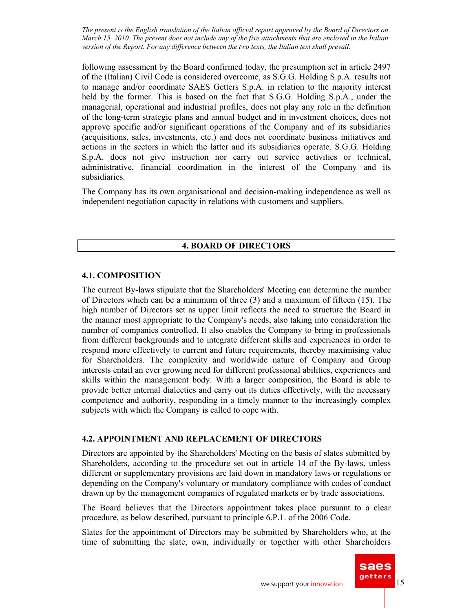following assessment by the Board confirmed today, the presumption set in article 2497 of the (Italian) Civil Code is considered overcome, as S.G.G. Holding S.p.A. results not to manage and/or coordinate SAES Getters S.p.A. in relation to the majority interest held by the former. This is based on the fact that S.G.G. Holding S.p.A., under the managerial, operational and industrial profiles, does not play any role in the definition of the long-term strategic plans and annual budget and in investment choices, does not approve specific and/or significant operations of the Company and of its subsidiaries (acquisitions, sales, investments, etc.) and does not coordinate business initiatives and actions in the sectors in which the latter and its subsidiaries operate. S.G.G. Holding S.p.A. does not give instruction nor carry out service activities or technical, administrative, financial coordination in the interest of the Company and its subsidiaries.

The Company has its own organisational and decision-making independence as well as independent negotiation capacity in relations with customers and suppliers.

### **4. BOARD OF DIRECTORS**

### **4.1. COMPOSITION**

The current By-laws stipulate that the Shareholders' Meeting can determine the number of Directors which can be a minimum of three (3) and a maximum of fifteen (15). The high number of Directors set as upper limit reflects the need to structure the Board in the manner most appropriate to the Company's needs, also taking into consideration the number of companies controlled. It also enables the Company to bring in professionals from different backgrounds and to integrate different skills and experiences in order to respond more effectively to current and future requirements, thereby maximising value for Shareholders. The complexity and worldwide nature of Company and Group interests entail an ever growing need for different professional abilities, experiences and skills within the management body. With a larger composition, the Board is able to provide better internal dialectics and carry out its duties effectively, with the necessary competence and authority, responding in a timely manner to the increasingly complex subjects with which the Company is called to cope with.

### **4.2. APPOINTMENT AND REPLACEMENT OF DIRECTORS**

Directors are appointed by the Shareholders' Meeting on the basis of slates submitted by Shareholders, according to the procedure set out in article 14 of the By-laws, unless different or supplementary provisions are laid down in mandatory laws or regulations or depending on the Company's voluntary or mandatory compliance with codes of conduct drawn up by the management companies of regulated markets or by trade associations.

The Board believes that the Directors appointment takes place pursuant to a clear procedure, as below described, pursuant to principle 6.P.1. of the 2006 Code.

Slates for the appointment of Directors may be submitted by Shareholders who, at the time of submitting the slate, own, individually or together with other Shareholders

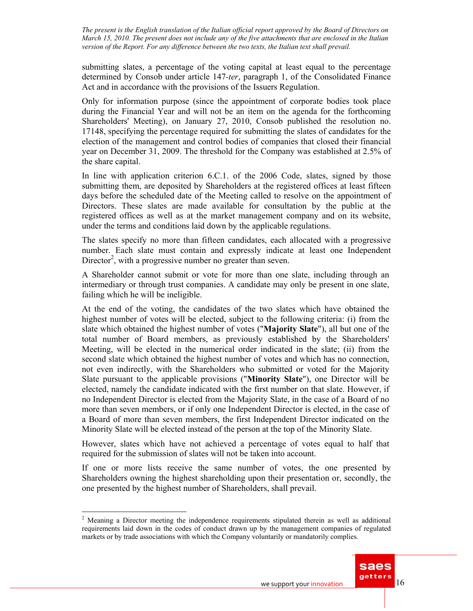submitting slates, a percentage of the voting capital at least equal to the percentage determined by Consob under article 147*-ter*, paragraph 1, of the Consolidated Finance Act and in accordance with the provisions of the Issuers Regulation.

Only for information purpose (since the appointment of corporate bodies took place during the Financial Year and will not be an item on the agenda for the forthcoming Shareholders' Meeting), on January 27, 2010, Consob published the resolution no. 17148, specifying the percentage required for submitting the slates of candidates for the election of the management and control bodies of companies that closed their financial year on December 31, 2009. The threshold for the Company was established at 2.5% of the share capital.

In line with application criterion 6.C.1. of the 2006 Code, slates, signed by those submitting them, are deposited by Shareholders at the registered offices at least fifteen days before the scheduled date of the Meeting called to resolve on the appointment of Directors. These slates are made available for consultation by the public at the registered offices as well as at the market management company and on its website, under the terms and conditions laid down by the applicable regulations.

The slates specify no more than fifteen candidates, each allocated with a progressive number. Each slate must contain and expressly indicate at least one Independent Director<sup>2</sup>, with a progressive number no greater than seven.

A Shareholder cannot submit or vote for more than one slate, including through an intermediary or through trust companies. A candidate may only be present in one slate, failing which he will be ineligible.

At the end of the voting, the candidates of the two slates which have obtained the highest number of votes will be elected, subject to the following criteria: (i) from the slate which obtained the highest number of votes ("**Majority Slate**"), all but one of the total number of Board members, as previously established by the Shareholders' Meeting, will be elected in the numerical order indicated in the slate; (ii) from the second slate which obtained the highest number of votes and which has no connection, not even indirectly, with the Shareholders who submitted or voted for the Majority Slate pursuant to the applicable provisions ("**Minority Slate**"), one Director will be elected, namely the candidate indicated with the first number on that slate. However, if no Independent Director is elected from the Majority Slate, in the case of a Board of no more than seven members, or if only one Independent Director is elected, in the case of a Board of more than seven members, the first Independent Director indicated on the Minority Slate will be elected instead of the person at the top of the Minority Slate.

However, slates which have not achieved a percentage of votes equal to half that required for the submission of slates will not be taken into account.

If one or more lists receive the same number of votes, the one presented by Shareholders owning the highest shareholding upon their presentation or, secondly, the one presented by the highest number of Shareholders, shall prevail.

 $\overline{a}$ 



 $2$  Meaning a Director meeting the independence requirements stipulated therein as well as additional requirements laid down in the codes of conduct drawn up by the management companies of regulated markets or by trade associations with which the Company voluntarily or mandatorily complies.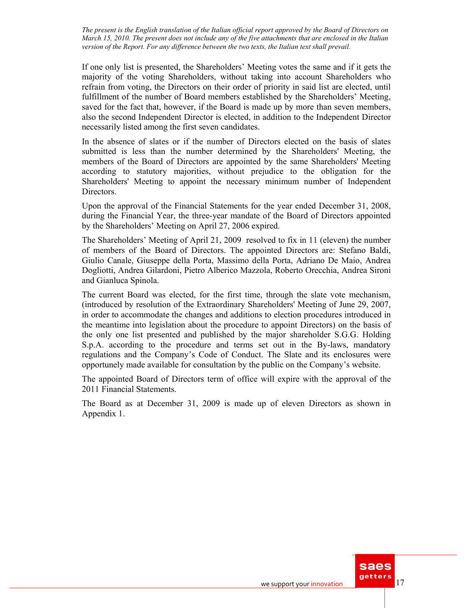If one only list is presented, the Shareholders' Meeting votes the same and if it gets the majority of the voting Shareholders, without taking into account Shareholders who refrain from voting, the Directors on their order of priority in said list are elected, until fulfillment of the number of Board members established by the Shareholders' Meeting, saved for the fact that, however, if the Board is made up by more than seven members, also the second Independent Director is elected, in addition to the Independent Director necessarily listed among the first seven candidates.

In the absence of slates or if the number of Directors elected on the basis of slates submitted is less than the number determined by the Shareholders' Meeting, the members of the Board of Directors are appointed by the same Shareholders' Meeting according to statutory majorities, without prejudice to the obligation for the Shareholders' Meeting to appoint the necessary minimum number of Independent Directors.

Upon the approval of the Financial Statements for the year ended December 31, 2008, during the Financial Year, the three-year mandate of the Board of Directors appointed by the Shareholders' Meeting on April 27, 2006 expired.

The Shareholders' Meeting of April 21, 2009 resolved to fix in 11 (eleven) the number of members of the Board of Directors. The appointed Directors are: Stefano Baldi, Giulio Canale, Giuseppe della Porta, Massimo della Porta, Adriano De Maio, Andrea Dogliotti, Andrea Gilardoni, Pietro Alberico Mazzola, Roberto Orecchia, Andrea Sironi and Gianluca Spinola.

The current Board was elected, for the first time, through the slate vote mechanism, (introduced by resolution of the Extraordinary Shareholders' Meeting of June 29, 2007, in order to accommodate the changes and additions to election procedures introduced in the meantime into legislation about the procedure to appoint Directors) on the basis of the only one list presented and published by the major shareholder S.G.G. Holding S.p.A. according to the procedure and terms set out in the By-laws, mandatory regulations and the Company's Code of Conduct. The Slate and its enclosures were opportunely made available for consultation by the public on the Company's website.

The appointed Board of Directors term of office will expire with the approval of the 2011 Financial Statements.

The Board as at December 31, 2009 is made up of eleven Directors as shown in Appendix 1.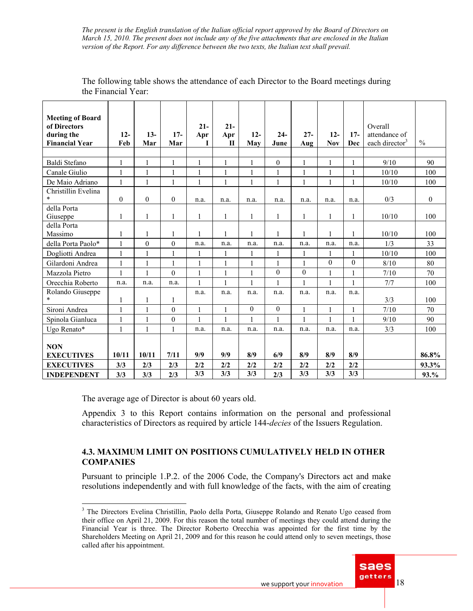| <b>Meeting of Board</b><br>of Directors<br>during the<br><b>Financial Year</b> | $12 -$<br>Feb | $13-$<br>Mar | $17-$<br>Mar     | $21 -$<br>Apr<br>I | $21 -$<br>Apr<br>$\mathbf{I}$ | $12 -$<br>May    | $24-$<br>June    | $27 -$<br>Aug    | $12 -$<br><b>Nov</b> | $17-$<br><b>Dec</b> | Overall<br>attendance of<br>each director <sup>3</sup> | $\frac{0}{0}$ |
|--------------------------------------------------------------------------------|---------------|--------------|------------------|--------------------|-------------------------------|------------------|------------------|------------------|----------------------|---------------------|--------------------------------------------------------|---------------|
| Baldi Stefano                                                                  | $\mathbf{1}$  | $\mathbf{1}$ | $\mathbf{1}$     | 1                  | $\mathbf{1}$                  | $\mathbf{1}$     | $\theta$         | $\mathbf{1}$     | $\mathbf{1}$         | 1                   | 9/10                                                   | 90            |
| Canale Giulio                                                                  | $\mathbf{1}$  | $\mathbf{1}$ | $\mathbf{1}$     | $\mathbf{1}$       | $\mathbf{1}$                  | $\mathbf{1}$     | 1                | $\mathbf{1}$     | $\mathbf{1}$         | $\mathbf{1}$        | 10/10                                                  | 100           |
| De Maio Adriano                                                                | $\mathbf{1}$  | $\mathbf{1}$ | 1                | $\mathbf{1}$       | 1                             | 1                | $\mathbf{1}$     | $\mathbf{1}$     | $\mathbf{1}$         | $\mathbf{1}$        | 10/10                                                  | 100           |
| Christillin Evelina                                                            |               |              |                  |                    |                               |                  |                  |                  |                      |                     |                                                        |               |
| $\ast$                                                                         | $\mathbf{0}$  | $\theta$     | $\mathbf{0}$     | n.a.               | n.a.                          | n.a.             | n.a.             | n.a.             | n.a.                 | n.a.                | 0/3                                                    | $\Omega$      |
| della Porta<br>Giuseppe                                                        | 1             | $\mathbf{1}$ | 1                | 1                  | 1                             | 1                | 1                | 1                | 1                    | 1                   | 10/10                                                  | 100           |
| della Porta                                                                    |               |              |                  |                    |                               |                  |                  |                  |                      |                     |                                                        |               |
| Massimo                                                                        | 1             | 1            | 1                | 1                  | 1                             | 1                | 1                |                  | 1                    | 1                   | 10/10                                                  | 100           |
| della Porta Paolo*                                                             | $\mathbf{1}$  | $\theta$     | $\mathbf{0}$     | n.a.               | n.a.                          | n.a.             | n.a.             | n.a.             | n.a.                 | n.a.                | 1/3                                                    | 33            |
| Dogliotti Andrea                                                               | $\mathbf{1}$  | $\mathbf{1}$ | $\mathbf{1}$     | 1                  | 1                             | 1                | 1                | $\mathbf{1}$     | $\mathbf{1}$         | 1                   | 10/10                                                  | 100           |
| Gilardoni Andrea                                                               | $\mathbf{1}$  | $\mathbf{1}$ | 1                | $\mathbf{1}$       | $\mathbf{1}$                  | $\mathbf{1}$     | 1                | $\mathbf{1}$     | $\Omega$             | $\theta$            | 8/10                                                   | 80            |
| Mazzola Pietro                                                                 | $\mathbf{1}$  | $\mathbf{1}$ | $\theta$         | 1                  | $\mathbf{1}$                  | $\mathbf{1}$     | $\theta$         | $\boldsymbol{0}$ | $\mathbf{1}$         | $\mathbf{1}$        | $7/10$                                                 | 70            |
| Orecchia Roberto                                                               | n.a.          | n.a.         | n.a.             | 1                  | $\mathbf{1}$                  | $\mathbf{1}$     | 1                | $\mathbf{1}$     | $\mathbf{1}$         | $\mathbf{1}$        | 7/7                                                    | 100           |
| Rolando Giuseppe<br>$\ast$                                                     | 1             | $\mathbf{1}$ | $\mathbf{1}$     | n.a.               | n.a.                          | n.a.             | n.a.             | n.a.             | n.a.                 | n.a.                | 3/3                                                    | 100           |
| Sironi Andrea                                                                  | $\mathbf{1}$  | $\mathbf{1}$ | $\boldsymbol{0}$ | $\mathbf{1}$       | $\mathbf{1}$                  | $\boldsymbol{0}$ | $\boldsymbol{0}$ | $\mathbf{1}$     | $\mathbf{1}$         | $\mathbf{1}$        | 7/10                                                   | 70            |
|                                                                                | $\mathbf{1}$  | $\mathbf{1}$ | $\boldsymbol{0}$ | $\mathbf{1}$       | $\mathbf{1}$                  | $\mathbf{1}$     | 1                | $\mathbf{1}$     | $\mathbf{1}$         | $\mathbf{1}$        | 9/10                                                   | 90            |
| Spinola Gianluca                                                               |               |              |                  |                    |                               |                  |                  |                  |                      |                     |                                                        |               |
| Ugo Renato*                                                                    | $\mathbf{1}$  | $\mathbf{1}$ | 1                | n.a.               | n.a.                          | n.a.             | n.a.             | n.a.             | n.a.                 | n.a.                | 3/3                                                    | 100           |
| <b>NON</b>                                                                     |               |              |                  |                    |                               |                  |                  |                  |                      |                     |                                                        |               |
| <b>EXECUTIVES</b>                                                              | 10/11         | 10/11        | 7/11             | 9/9                | 9/9                           | 8/9              | 6/9              | 8/9              | 8/9                  | 8/9                 |                                                        | 86.8%         |
| <b>EXECUTIVES</b>                                                              | 3/3           | 2/3          | 2/3              | 2/2                | 2/2                           | 2/2              | 2/2              | 2/2              | 2/2                  | 2/2                 |                                                        | 93.3%         |
| <b>INDEPENDENT</b>                                                             | 3/3           | 3/3          | 2/3              | 3/3                | 3/3                           | 3/3              | 2/3              | 3/3              | 3/3                  | 3/3                 |                                                        | 93.%          |

The following table shows the attendance of each Director to the Board meetings during the Financial Year:

The average age of Director is about 60 years old.

Appendix 3 to this Report contains information on the personal and professional characteristics of Directors as required by article 144-*decies* of the Issuers Regulation.

### **4.3. MAXIMUM LIMIT ON POSITIONS CUMULATIVELY HELD IN OTHER COMPANIES**

Pursuant to principle 1.P.2. of the 2006 Code, the Company's Directors act and make resolutions independently and with full knowledge of the facts, with the aim of creating

<sup>&</sup>lt;sup>3</sup> The Directors Evelina Christillin, Paolo della Porta, Giuseppe Rolando and Renato Ugo ceased from their office on April 21, 2009. For this reason the total number of meetings they could attend during the Financial Year is three. The Director Roberto Orecchia was appointed for the first time by the Shareholders Meeting on April 21, 2009 and for this reason he could attend only to seven meetings, those called after his appointment.

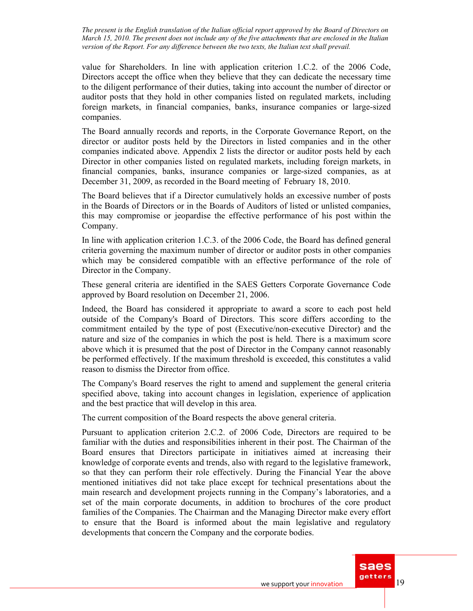value for Shareholders. In line with application criterion 1.C.2. of the 2006 Code, Directors accept the office when they believe that they can dedicate the necessary time to the diligent performance of their duties, taking into account the number of director or auditor posts that they hold in other companies listed on regulated markets, including foreign markets, in financial companies, banks, insurance companies or large-sized companies.

The Board annually records and reports, in the Corporate Governance Report, on the director or auditor posts held by the Directors in listed companies and in the other companies indicated above. Appendix 2 lists the director or auditor posts held by each Director in other companies listed on regulated markets, including foreign markets, in financial companies, banks, insurance companies or large-sized companies, as at December 31, 2009, as recorded in the Board meeting of February 18, 2010.

The Board believes that if a Director cumulatively holds an excessive number of posts in the Boards of Directors or in the Boards of Auditors of listed or unlisted companies, this may compromise or jeopardise the effective performance of his post within the Company.

In line with application criterion 1.C.3. of the 2006 Code, the Board has defined general criteria governing the maximum number of director or auditor posts in other companies which may be considered compatible with an effective performance of the role of Director in the Company.

These general criteria are identified in the SAES Getters Corporate Governance Code approved by Board resolution on December 21, 2006.

Indeed, the Board has considered it appropriate to award a score to each post held outside of the Company's Board of Directors. This score differs according to the commitment entailed by the type of post (Executive/non-executive Director) and the nature and size of the companies in which the post is held. There is a maximum score above which it is presumed that the post of Director in the Company cannot reasonably be performed effectively. If the maximum threshold is exceeded, this constitutes a valid reason to dismiss the Director from office.

The Company's Board reserves the right to amend and supplement the general criteria specified above, taking into account changes in legislation, experience of application and the best practice that will develop in this area.

The current composition of the Board respects the above general criteria.

Pursuant to application criterion 2.C.2. of 2006 Code, Directors are required to be familiar with the duties and responsibilities inherent in their post. The Chairman of the Board ensures that Directors participate in initiatives aimed at increasing their knowledge of corporate events and trends, also with regard to the legislative framework, so that they can perform their role effectively. During the Financial Year the above mentioned initiatives did not take place except for technical presentations about the main research and development projects running in the Company's laboratories, and a set of the main corporate documents, in addition to brochures of the core product families of the Companies. The Chairman and the Managing Director make every effort to ensure that the Board is informed about the main legislative and regulatory developments that concern the Company and the corporate bodies.

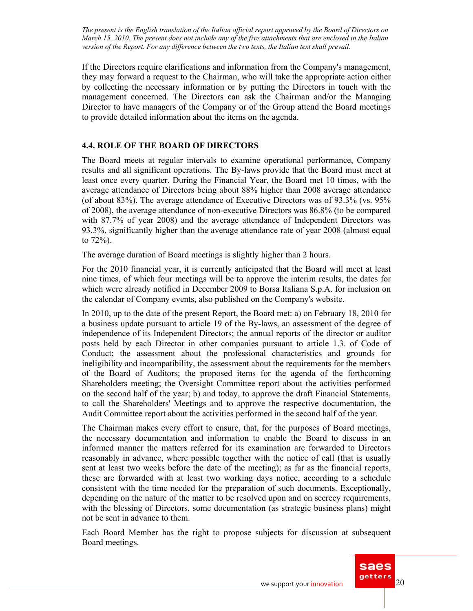If the Directors require clarifications and information from the Company's management, they may forward a request to the Chairman, who will take the appropriate action either by collecting the necessary information or by putting the Directors in touch with the management concerned. The Directors can ask the Chairman and/or the Managing Director to have managers of the Company or of the Group attend the Board meetings to provide detailed information about the items on the agenda.

### **4.4. ROLE OF THE BOARD OF DIRECTORS**

The Board meets at regular intervals to examine operational performance, Company results and all significant operations. The By-laws provide that the Board must meet at least once every quarter. During the Financial Year, the Board met 10 times, with the average attendance of Directors being about 88% higher than 2008 average attendance (of about 83%). The average attendance of Executive Directors was of 93.3% (vs. 95% of 2008), the average attendance of non-executive Directors was 86.8% (to be compared with 87.7% of year 2008) and the average attendance of Independent Directors was 93.3%, significantly higher than the average attendance rate of year 2008 (almost equal to 72%).

The average duration of Board meetings is slightly higher than 2 hours.

For the 2010 financial year, it is currently anticipated that the Board will meet at least nine times, of which four meetings will be to approve the interim results, the dates for which were already notified in December 2009 to Borsa Italiana S.p.A. for inclusion on the calendar of Company events, also published on the Company's website.

In 2010, up to the date of the present Report, the Board met: a) on February 18, 2010 for a business update pursuant to article 19 of the By-laws, an assessment of the degree of independence of its Independent Directors; the annual reports of the director or auditor posts held by each Director in other companies pursuant to article 1.3. of Code of Conduct; the assessment about the professional characteristics and grounds for ineligibility and incompatibility, the assessment about the requirements for the members of the Board of Auditors; the proposed items for the agenda of the forthcoming Shareholders meeting; the Oversight Committee report about the activities performed on the second half of the year; b) and today, to approve the draft Financial Statements, to call the Shareholders' Meetings and to approve the respective documentation, the Audit Committee report about the activities performed in the second half of the year.

The Chairman makes every effort to ensure, that, for the purposes of Board meetings, the necessary documentation and information to enable the Board to discuss in an informed manner the matters referred for its examination are forwarded to Directors reasonably in advance, where possible together with the notice of call (that is usually sent at least two weeks before the date of the meeting); as far as the financial reports, these are forwarded with at least two working days notice, according to a schedule consistent with the time needed for the preparation of such documents. Exceptionally, depending on the nature of the matter to be resolved upon and on secrecy requirements, with the blessing of Directors, some documentation (as strategic business plans) might not be sent in advance to them.

Each Board Member has the right to propose subjects for discussion at subsequent Board meetings.

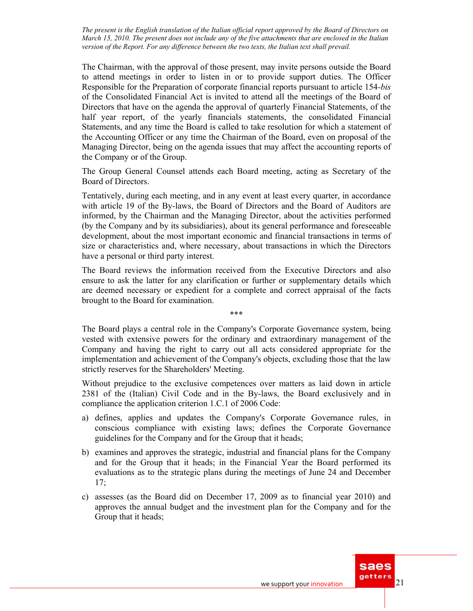The Chairman, with the approval of those present, may invite persons outside the Board to attend meetings in order to listen in or to provide support duties. The Officer Responsible for the Preparation of corporate financial reports pursuant to article 154*-bis* of the Consolidated Financial Act is invited to attend all the meetings of the Board of Directors that have on the agenda the approval of quarterly Financial Statements, of the half year report, of the yearly financials statements, the consolidated Financial Statements, and any time the Board is called to take resolution for which a statement of the Accounting Officer or any time the Chairman of the Board, even on proposal of the Managing Director, being on the agenda issues that may affect the accounting reports of the Company or of the Group.

The Group General Counsel attends each Board meeting, acting as Secretary of the Board of Directors.

Tentatively, during each meeting, and in any event at least every quarter, in accordance with article 19 of the By-laws, the Board of Directors and the Board of Auditors are informed, by the Chairman and the Managing Director, about the activities performed (by the Company and by its subsidiaries), about its general performance and foreseeable development, about the most important economic and financial transactions in terms of size or characteristics and, where necessary, about transactions in which the Directors have a personal or third party interest.

The Board reviews the information received from the Executive Directors and also ensure to ask the latter for any clarification or further or supplementary details which are deemed necessary or expedient for a complete and correct appraisal of the facts brought to the Board for examination.

\*\*\*

The Board plays a central role in the Company's Corporate Governance system, being vested with extensive powers for the ordinary and extraordinary management of the Company and having the right to carry out all acts considered appropriate for the implementation and achievement of the Company's objects, excluding those that the law strictly reserves for the Shareholders' Meeting.

Without prejudice to the exclusive competences over matters as laid down in article 2381 of the (Italian) Civil Code and in the By-laws, the Board exclusively and in compliance the application criterion 1.C.1 of 2006 Code:

- a) defines, applies and updates the Company's Corporate Governance rules, in conscious compliance with existing laws; defines the Corporate Governance guidelines for the Company and for the Group that it heads;
- b) examines and approves the strategic, industrial and financial plans for the Company and for the Group that it heads; in the Financial Year the Board performed its evaluations as to the strategic plans during the meetings of June 24 and December 17;
- c) assesses (as the Board did on December 17, 2009 as to financial year 2010) and approves the annual budget and the investment plan for the Company and for the Group that it heads;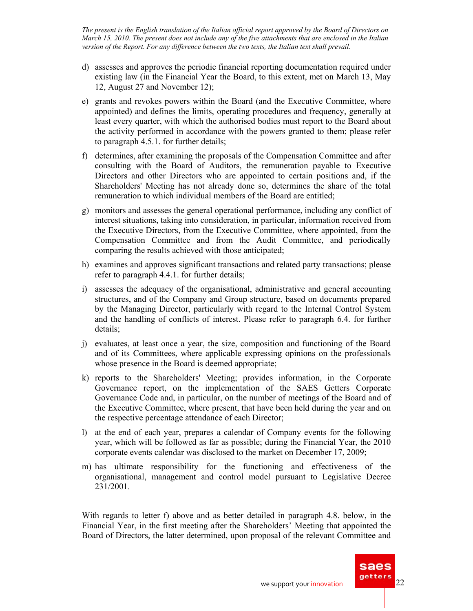- d) assesses and approves the periodic financial reporting documentation required under existing law (in the Financial Year the Board, to this extent, met on March 13, May 12, August 27 and November 12);
- e) grants and revokes powers within the Board (and the Executive Committee, where appointed) and defines the limits, operating procedures and frequency, generally at least every quarter, with which the authorised bodies must report to the Board about the activity performed in accordance with the powers granted to them; please refer to paragraph 4.5.1. for further details;
- f) determines, after examining the proposals of the Compensation Committee and after consulting with the Board of Auditors, the remuneration payable to Executive Directors and other Directors who are appointed to certain positions and, if the Shareholders' Meeting has not already done so, determines the share of the total remuneration to which individual members of the Board are entitled;
- g) monitors and assesses the general operational performance, including any conflict of interest situations, taking into consideration, in particular, information received from the Executive Directors, from the Executive Committee, where appointed, from the Compensation Committee and from the Audit Committee, and periodically comparing the results achieved with those anticipated;
- h) examines and approves significant transactions and related party transactions; please refer to paragraph 4.4.1. for further details;
- i) assesses the adequacy of the organisational, administrative and general accounting structures, and of the Company and Group structure, based on documents prepared by the Managing Director, particularly with regard to the Internal Control System and the handling of conflicts of interest. Please refer to paragraph 6.4. for further details;
- j) evaluates, at least once a year, the size, composition and functioning of the Board and of its Committees, where applicable expressing opinions on the professionals whose presence in the Board is deemed appropriate;
- k) reports to the Shareholders' Meeting; provides information, in the Corporate Governance report, on the implementation of the SAES Getters Corporate Governance Code and, in particular, on the number of meetings of the Board and of the Executive Committee, where present, that have been held during the year and on the respective percentage attendance of each Director;
- l) at the end of each year, prepares a calendar of Company events for the following year, which will be followed as far as possible; during the Financial Year, the 2010 corporate events calendar was disclosed to the market on December 17, 2009;
- m) has ultimate responsibility for the functioning and effectiveness of the organisational, management and control model pursuant to Legislative Decree 231/2001.

With regards to letter f) above and as better detailed in paragraph 4.8. below, in the Financial Year, in the first meeting after the Shareholders' Meeting that appointed the Board of Directors, the latter determined, upon proposal of the relevant Committee and

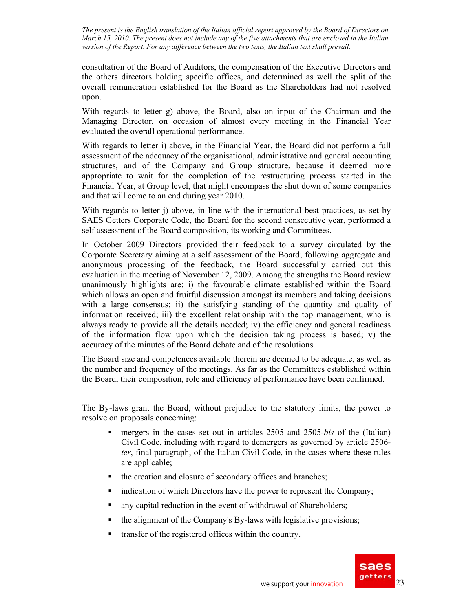consultation of the Board of Auditors, the compensation of the Executive Directors and the others directors holding specific offices, and determined as well the split of the overall remuneration established for the Board as the Shareholders had not resolved upon.

With regards to letter g) above, the Board, also on input of the Chairman and the Managing Director, on occasion of almost every meeting in the Financial Year evaluated the overall operational performance.

With regards to letter i) above, in the Financial Year, the Board did not perform a full assessment of the adequacy of the organisational, administrative and general accounting structures, and of the Company and Group structure, because it deemed more appropriate to wait for the completion of the restructuring process started in the Financial Year, at Group level, that might encompass the shut down of some companies and that will come to an end during year 2010.

With regards to letter j) above, in line with the international best practices, as set by SAES Getters Corporate Code, the Board for the second consecutive year, performed a self assessment of the Board composition, its working and Committees.

In October 2009 Directors provided their feedback to a survey circulated by the Corporate Secretary aiming at a self assessment of the Board; following aggregate and anonymous processing of the feedback, the Board successfully carried out this evaluation in the meeting of November 12, 2009. Among the strengths the Board review unanimously highlights are: i) the favourable climate established within the Board which allows an open and fruitful discussion amongst its members and taking decisions with a large consensus; ii) the satisfying standing of the quantity and quality of information received; iii) the excellent relationship with the top management, who is always ready to provide all the details needed; iv) the efficiency and general readiness of the information flow upon which the decision taking process is based; v) the accuracy of the minutes of the Board debate and of the resolutions.

The Board size and competences available therein are deemed to be adequate, as well as the number and frequency of the meetings. As far as the Committees established within the Board, their composition, role and efficiency of performance have been confirmed.

The By-laws grant the Board, without prejudice to the statutory limits, the power to resolve on proposals concerning:

- mergers in the cases set out in articles 2505 and 2505*-bis* of the (Italian) Civil Code, including with regard to demergers as governed by article 2506 *ter*, final paragraph, of the Italian Civil Code, in the cases where these rules are applicable;
- the creation and closure of secondary offices and branches;
- indication of which Directors have the power to represent the Company;
- any capital reduction in the event of withdrawal of Shareholders;
- $\blacksquare$  the alignment of the Company's By-laws with legislative provisions;
- transfer of the registered offices within the country.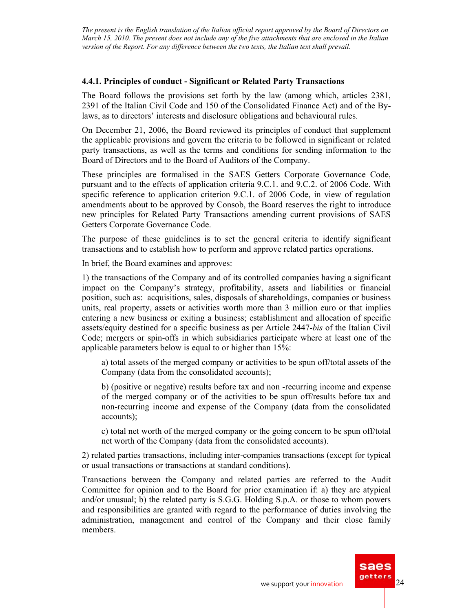#### **4.4.1. Principles of conduct - Significant or Related Party Transactions**

The Board follows the provisions set forth by the law (among which, articles 2381, 2391 of the Italian Civil Code and 150 of the Consolidated Finance Act) and of the Bylaws, as to directors' interests and disclosure obligations and behavioural rules.

On December 21, 2006, the Board reviewed its principles of conduct that supplement the applicable provisions and govern the criteria to be followed in significant or related party transactions, as well as the terms and conditions for sending information to the Board of Directors and to the Board of Auditors of the Company.

These principles are formalised in the SAES Getters Corporate Governance Code, pursuant and to the effects of application criteria 9.C.1. and 9.C.2. of 2006 Code. With specific reference to application criterion 9.C.1. of 2006 Code, in view of regulation amendments about to be approved by Consob, the Board reserves the right to introduce new principles for Related Party Transactions amending current provisions of SAES Getters Corporate Governance Code.

The purpose of these guidelines is to set the general criteria to identify significant transactions and to establish how to perform and approve related parties operations.

In brief, the Board examines and approves:

1) the transactions of the Company and of its controlled companies having a significant impact on the Company's strategy, profitability, assets and liabilities or financial position, such as: acquisitions, sales, disposals of shareholdings, companies or business units, real property, assets or activities worth more than 3 million euro or that implies entering a new business or exiting a business; establishment and allocation of specific assets/equity destined for a specific business as per Article 2447*-bis* of the Italian Civil Code; mergers or spin-offs in which subsidiaries participate where at least one of the applicable parameters below is equal to or higher than 15%:

a) total assets of the merged company or activities to be spun off/total assets of the Company (data from the consolidated accounts);

b) (positive or negative) results before tax and non -recurring income and expense of the merged company or of the activities to be spun off/results before tax and non-recurring income and expense of the Company (data from the consolidated accounts);

c) total net worth of the merged company or the going concern to be spun off/total net worth of the Company (data from the consolidated accounts).

2) related parties transactions, including inter-companies transactions (except for typical or usual transactions or transactions at standard conditions).

Transactions between the Company and related parties are referred to the Audit Committee for opinion and to the Board for prior examination if: a) they are atypical and/or unusual; b) the related party is S.G.G. Holding S.p.A. or those to whom powers and responsibilities are granted with regard to the performance of duties involving the administration, management and control of the Company and their close family members.

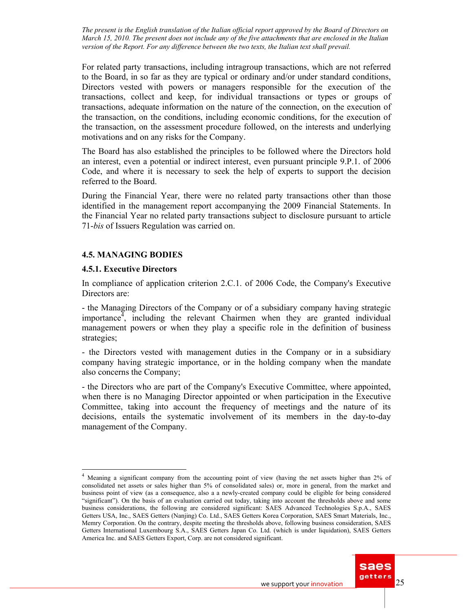For related party transactions, including intragroup transactions, which are not referred to the Board, in so far as they are typical or ordinary and/or under standard conditions, Directors vested with powers or managers responsible for the execution of the transactions, collect and keep, for individual transactions or types or groups of transactions, adequate information on the nature of the connection, on the execution of the transaction, on the conditions, including economic conditions, for the execution of the transaction, on the assessment procedure followed, on the interests and underlying motivations and on any risks for the Company.

The Board has also established the principles to be followed where the Directors hold an interest, even a potential or indirect interest, even pursuant principle 9.P.1. of 2006 Code, and where it is necessary to seek the help of experts to support the decision referred to the Board.

During the Financial Year, there were no related party transactions other than those identified in the management report accompanying the 2009 Financial Statements. In the Financial Year no related party transactions subject to disclosure pursuant to article 71-*bis* of Issuers Regulation was carried on.

### **4.5. MANAGING BODIES**

### **4.5.1. Executive Directors**

 $\overline{a}$ 

In compliance of application criterion 2.C.1. of 2006 Code, the Company's Executive Directors are:

- the Managing Directors of the Company or of a subsidiary company having strategic importance<sup>4</sup>, including the relevant Chairmen when they are granted individual management powers or when they play a specific role in the definition of business strategies;

- the Directors vested with management duties in the Company or in a subsidiary company having strategic importance, or in the holding company when the mandate also concerns the Company;

- the Directors who are part of the Company's Executive Committee, where appointed, when there is no Managing Director appointed or when participation in the Executive Committee, taking into account the frequency of meetings and the nature of its decisions, entails the systematic involvement of its members in the day-to-day management of the Company.

Meaning a significant company from the accounting point of view (having the net assets higher than 2% of consolidated net assets or sales higher than 5% of consolidated sales) or, more in general, from the market and business point of view (as a consequence, also a a newly-created company could be eligible for being considered "significant"). On the basis of an evaluation carried out today, taking into account the thresholds above and some business considerations, the following are considered significant: SAES Advanced Technologies S.p.A., SAES Getters USA, Inc., SAES Getters (Nanjing) Co. Ltd., SAES Getters Korea Corporation, SAES Smart Materials, Inc., Memry Corporation. On the contrary, despite meeting the thresholds above, following business consideration, SAES Getters International Luxembourg S.A., SAES Getters Japan Co. Ltd. (which is under liquidation), SAES Getters America Inc. and SAES Getters Export, Corp. are not considered significant.

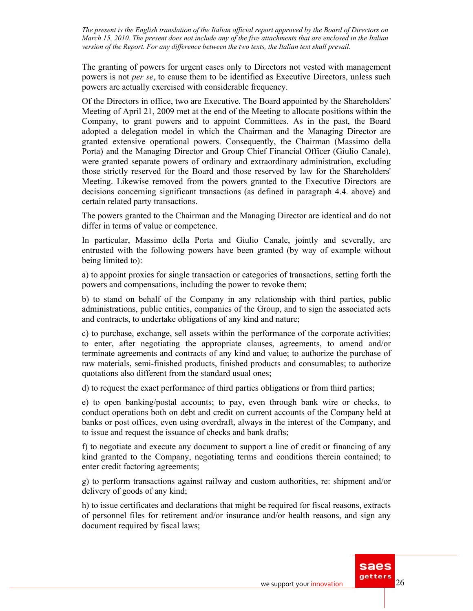The granting of powers for urgent cases only to Directors not vested with management powers is not *per se*, to cause them to be identified as Executive Directors, unless such powers are actually exercised with considerable frequency.

Of the Directors in office, two are Executive. The Board appointed by the Shareholders' Meeting of April 21, 2009 met at the end of the Meeting to allocate positions within the Company, to grant powers and to appoint Committees. As in the past, the Board adopted a delegation model in which the Chairman and the Managing Director are granted extensive operational powers. Consequently, the Chairman (Massimo della Porta) and the Managing Director and Group Chief Financial Officer (Giulio Canale), were granted separate powers of ordinary and extraordinary administration, excluding those strictly reserved for the Board and those reserved by law for the Shareholders' Meeting. Likewise removed from the powers granted to the Executive Directors are decisions concerning significant transactions (as defined in paragraph 4.4. above) and certain related party transactions.

The powers granted to the Chairman and the Managing Director are identical and do not differ in terms of value or competence.

In particular, Massimo della Porta and Giulio Canale, jointly and severally, are entrusted with the following powers have been granted (by way of example without being limited to):

a) to appoint proxies for single transaction or categories of transactions, setting forth the powers and compensations, including the power to revoke them;

b) to stand on behalf of the Company in any relationship with third parties, public administrations, public entities, companies of the Group, and to sign the associated acts and contracts, to undertake obligations of any kind and nature;

c) to purchase, exchange, sell assets within the performance of the corporate activities; to enter, after negotiating the appropriate clauses, agreements, to amend and/or terminate agreements and contracts of any kind and value; to authorize the purchase of raw materials, semi-finished products, finished products and consumables; to authorize quotations also different from the standard usual ones;

d) to request the exact performance of third parties obligations or from third parties;

e) to open banking/postal accounts; to pay, even through bank wire or checks, to conduct operations both on debt and credit on current accounts of the Company held at banks or post offices, even using overdraft, always in the interest of the Company, and to issue and request the issuance of checks and bank drafts;

f) to negotiate and execute any document to support a line of credit or financing of any kind granted to the Company, negotiating terms and conditions therein contained; to enter credit factoring agreements;

g) to perform transactions against railway and custom authorities, re: shipment and/or delivery of goods of any kind;

h) to issue certificates and declarations that might be required for fiscal reasons, extracts of personnel files for retirement and/or insurance and/or health reasons, and sign any document required by fiscal laws;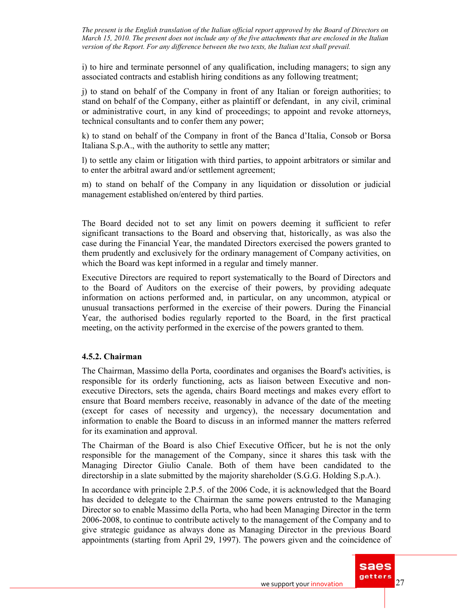i) to hire and terminate personnel of any qualification, including managers; to sign any associated contracts and establish hiring conditions as any following treatment;

j) to stand on behalf of the Company in front of any Italian or foreign authorities; to stand on behalf of the Company, either as plaintiff or defendant, in any civil, criminal or administrative court, in any kind of proceedings; to appoint and revoke attorneys, technical consultants and to confer them any power;

k) to stand on behalf of the Company in front of the Banca d'Italia, Consob or Borsa Italiana S.p.A., with the authority to settle any matter;

l) to settle any claim or litigation with third parties, to appoint arbitrators or similar and to enter the arbitral award and/or settlement agreement;

m) to stand on behalf of the Company in any liquidation or dissolution or judicial management established on/entered by third parties.

The Board decided not to set any limit on powers deeming it sufficient to refer significant transactions to the Board and observing that, historically, as was also the case during the Financial Year, the mandated Directors exercised the powers granted to them prudently and exclusively for the ordinary management of Company activities, on which the Board was kept informed in a regular and timely manner.

Executive Directors are required to report systematically to the Board of Directors and to the Board of Auditors on the exercise of their powers, by providing adequate information on actions performed and, in particular, on any uncommon, atypical or unusual transactions performed in the exercise of their powers. During the Financial Year, the authorised bodies regularly reported to the Board, in the first practical meeting, on the activity performed in the exercise of the powers granted to them.

### **4.5.2. Chairman**

The Chairman, Massimo della Porta, coordinates and organises the Board's activities, is responsible for its orderly functioning, acts as liaison between Executive and nonexecutive Directors, sets the agenda, chairs Board meetings and makes every effort to ensure that Board members receive, reasonably in advance of the date of the meeting (except for cases of necessity and urgency), the necessary documentation and information to enable the Board to discuss in an informed manner the matters referred for its examination and approval.

The Chairman of the Board is also Chief Executive Officer, but he is not the only responsible for the management of the Company, since it shares this task with the Managing Director Giulio Canale. Both of them have been candidated to the directorship in a slate submitted by the majority shareholder (S.G.G. Holding S.p.A.).

In accordance with principle 2.P.5. of the 2006 Code, it is acknowledged that the Board has decided to delegate to the Chairman the same powers entrusted to the Managing Director so to enable Massimo della Porta, who had been Managing Director in the term 2006-2008, to continue to contribute actively to the management of the Company and to give strategic guidance as always done as Managing Director in the previous Board appointments (starting from April 29, 1997). The powers given and the coincidence of

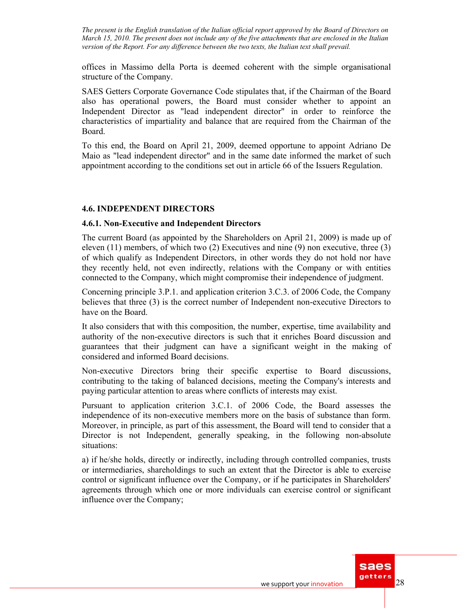offices in Massimo della Porta is deemed coherent with the simple organisational structure of the Company.

SAES Getters Corporate Governance Code stipulates that, if the Chairman of the Board also has operational powers, the Board must consider whether to appoint an Independent Director as "lead independent director" in order to reinforce the characteristics of impartiality and balance that are required from the Chairman of the Board.

To this end, the Board on April 21, 2009, deemed opportune to appoint Adriano De Maio as "lead independent director" and in the same date informed the market of such appointment according to the conditions set out in article 66 of the Issuers Regulation.

### **4.6. INDEPENDENT DIRECTORS**

#### **4.6.1. Non-Executive and Independent Directors**

The current Board (as appointed by the Shareholders on April 21, 2009) is made up of eleven (11) members, of which two (2) Executives and nine (9) non executive, three (3) of which qualify as Independent Directors, in other words they do not hold nor have they recently held, not even indirectly, relations with the Company or with entities connected to the Company, which might compromise their independence of judgment.

Concerning principle 3.P.1. and application criterion 3.C.3. of 2006 Code, the Company believes that three (3) is the correct number of Independent non-executive Directors to have on the Board.

It also considers that with this composition, the number, expertise, time availability and authority of the non-executive directors is such that it enriches Board discussion and guarantees that their judgment can have a significant weight in the making of considered and informed Board decisions.

Non-executive Directors bring their specific expertise to Board discussions, contributing to the taking of balanced decisions, meeting the Company's interests and paying particular attention to areas where conflicts of interests may exist.

Pursuant to application criterion 3.C.1. of 2006 Code, the Board assesses the independence of its non-executive members more on the basis of substance than form. Moreover, in principle, as part of this assessment, the Board will tend to consider that a Director is not Independent, generally speaking, in the following non-absolute situations:

a) if he/she holds, directly or indirectly, including through controlled companies, trusts or intermediaries, shareholdings to such an extent that the Director is able to exercise control or significant influence over the Company, or if he participates in Shareholders' agreements through which one or more individuals can exercise control or significant influence over the Company;

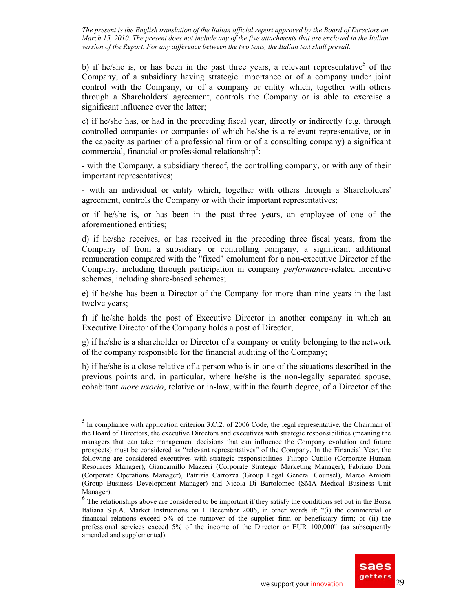b) if he/she is, or has been in the past three years, a relevant representative<sup>5</sup> of the Company, of a subsidiary having strategic importance or of a company under joint control with the Company, or of a company or entity which, together with others through a Shareholders' agreement, controls the Company or is able to exercise a significant influence over the latter;

c) if he/she has, or had in the preceding fiscal year, directly or indirectly (e.g. through controlled companies or companies of which he/she is a relevant representative, or in the capacity as partner of a professional firm or of a consulting company) a significant commercial, financial or professional relationship<sup>6</sup>:

- with the Company, a subsidiary thereof, the controlling company, or with any of their important representatives;

- with an individual or entity which, together with others through a Shareholders' agreement, controls the Company or with their important representatives;

or if he/she is, or has been in the past three years, an employee of one of the aforementioned entities;

d) if he/she receives, or has received in the preceding three fiscal years, from the Company of from a subsidiary or controlling company, a significant additional remuneration compared with the "fixed" emolument for a non-executive Director of the Company, including through participation in company *performance*-related incentive schemes, including share-based schemes;

e) if he/she has been a Director of the Company for more than nine years in the last twelve years;

f) if he/she holds the post of Executive Director in another company in which an Executive Director of the Company holds a post of Director;

g) if he/she is a shareholder or Director of a company or entity belonging to the network of the company responsible for the financial auditing of the Company;

h) if he/she is a close relative of a person who is in one of the situations described in the previous points and, in particular, where he/she is the non-legally separated spouse, cohabitant *more uxorio*, relative or in-law, within the fourth degree, of a Director of the

 $\overline{a}$ 

<sup>&</sup>lt;sup>6</sup> The relationships above are considered to be important if they satisfy the conditions set out in the Borsa Italiana S.p.A. Market Instructions on 1 December 2006, in other words if: "(i) the commercial or financial relations exceed 5% of the turnover of the supplier firm or beneficiary firm; or (ii) the professional services exceed 5% of the income of the Director or EUR 100,000" (as subsequently amended and supplemented).



 $<sup>5</sup>$  In compliance with application criterion 3.C.2. of 2006 Code, the legal representative, the Chairman of</sup> the Board of Directors, the executive Directors and executives with strategic responsibilities (meaning the managers that can take management decisions that can influence the Company evolution and future prospects) must be considered as "relevant representatives" of the Company. In the Financial Year, the following are considered executives with strategic responsibilities: Filippo Cutillo (Corporate Human Resources Manager), Giancamillo Mazzeri (Corporate Strategic Marketing Manager), Fabrizio Doni (Corporate Operations Manager), Patrizia Carrozza (Group Legal General Counsel), Marco Amiotti (Group Business Development Manager) and Nicola Di Bartolomeo (SMA Medical Business Unit Manager).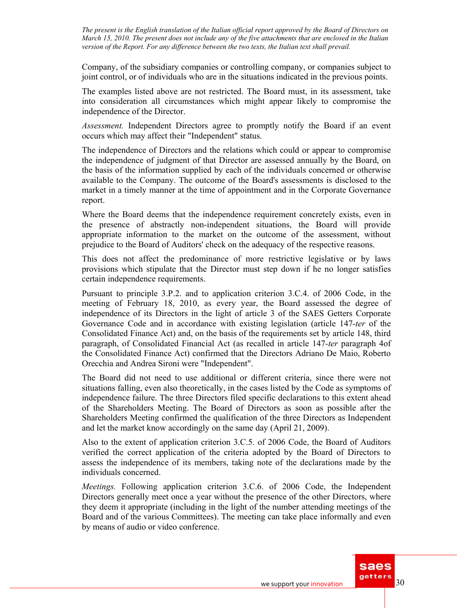Company, of the subsidiary companies or controlling company, or companies subject to joint control, or of individuals who are in the situations indicated in the previous points.

The examples listed above are not restricted. The Board must, in its assessment, take into consideration all circumstances which might appear likely to compromise the independence of the Director.

*Assessment.* Independent Directors agree to promptly notify the Board if an event occurs which may affect their "Independent" status.

The independence of Directors and the relations which could or appear to compromise the independence of judgment of that Director are assessed annually by the Board, on the basis of the information supplied by each of the individuals concerned or otherwise available to the Company. The outcome of the Board's assessments is disclosed to the market in a timely manner at the time of appointment and in the Corporate Governance report.

Where the Board deems that the independence requirement concretely exists, even in the presence of abstractly non-independent situations, the Board will provide appropriate information to the market on the outcome of the assessment, without prejudice to the Board of Auditors' check on the adequacy of the respective reasons.

This does not affect the predominance of more restrictive legislative or by laws provisions which stipulate that the Director must step down if he no longer satisfies certain independence requirements.

Pursuant to principle 3.P.2. and to application criterion 3.C.4. of 2006 Code, in the meeting of February 18, 2010, as every year, the Board assessed the degree of independence of its Directors in the light of article 3 of the SAES Getters Corporate Governance Code and in accordance with existing legislation (article 147*-ter* of the Consolidated Finance Act) and, on the basis of the requirements set by article 148, third paragraph, of Consolidated Financial Act (as recalled in article 147*-ter* paragraph 4of the Consolidated Finance Act) confirmed that the Directors Adriano De Maio, Roberto Orecchia and Andrea Sironi were "Independent".

The Board did not need to use additional or different criteria, since there were not situations falling, even also theoretically, in the cases listed by the Code as symptoms of independence failure. The three Directors filed specific declarations to this extent ahead of the Shareholders Meeting. The Board of Directors as soon as possible after the Shareholders Meeting confirmed the qualification of the three Directors as Independent and let the market know accordingly on the same day (April 21, 2009).

Also to the extent of application criterion 3.C.5. of 2006 Code, the Board of Auditors verified the correct application of the criteria adopted by the Board of Directors to assess the independence of its members, taking note of the declarations made by the individuals concerned.

*Meetings.* Following application criterion 3.C.6. of 2006 Code, the Independent Directors generally meet once a year without the presence of the other Directors, where they deem it appropriate (including in the light of the number attending meetings of the Board and of the various Committees). The meeting can take place informally and even by means of audio or video conference.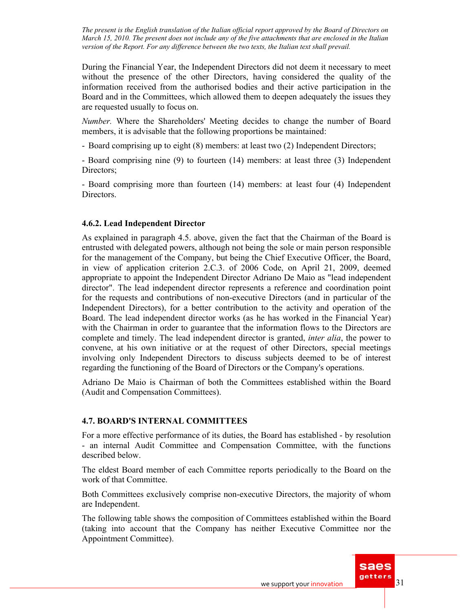During the Financial Year, the Independent Directors did not deem it necessary to meet without the presence of the other Directors, having considered the quality of the information received from the authorised bodies and their active participation in the Board and in the Committees, which allowed them to deepen adequately the issues they are requested usually to focus on.

*Number.* Where the Shareholders' Meeting decides to change the number of Board members, it is advisable that the following proportions be maintained:

- Board comprising up to eight (8) members: at least two (2) Independent Directors;

- Board comprising nine (9) to fourteen (14) members: at least three (3) Independent Directors;

- Board comprising more than fourteen (14) members: at least four (4) Independent Directors.

### **4.6.2. Lead Independent Director**

As explained in paragraph 4.5. above, given the fact that the Chairman of the Board is entrusted with delegated powers, although not being the sole or main person responsible for the management of the Company, but being the Chief Executive Officer, the Board, in view of application criterion 2.C.3. of 2006 Code, on April 21, 2009, deemed appropriate to appoint the Independent Director Adriano De Maio as "lead independent director". The lead independent director represents a reference and coordination point for the requests and contributions of non-executive Directors (and in particular of the Independent Directors), for a better contribution to the activity and operation of the Board. The lead independent director works (as he has worked in the Financial Year) with the Chairman in order to guarantee that the information flows to the Directors are complete and timely. The lead independent director is granted, *inter alia*, the power to convene, at his own initiative or at the request of other Directors, special meetings involving only Independent Directors to discuss subjects deemed to be of interest regarding the functioning of the Board of Directors or the Company's operations.

Adriano De Maio is Chairman of both the Committees established within the Board (Audit and Compensation Committees).

# **4.7. BOARD'S INTERNAL COMMITTEES**

For a more effective performance of its duties, the Board has established - by resolution - an internal Audit Committee and Compensation Committee, with the functions described below.

The eldest Board member of each Committee reports periodically to the Board on the work of that Committee.

Both Committees exclusively comprise non-executive Directors, the majority of whom are Independent.

The following table shows the composition of Committees established within the Board (taking into account that the Company has neither Executive Committee nor the Appointment Committee).

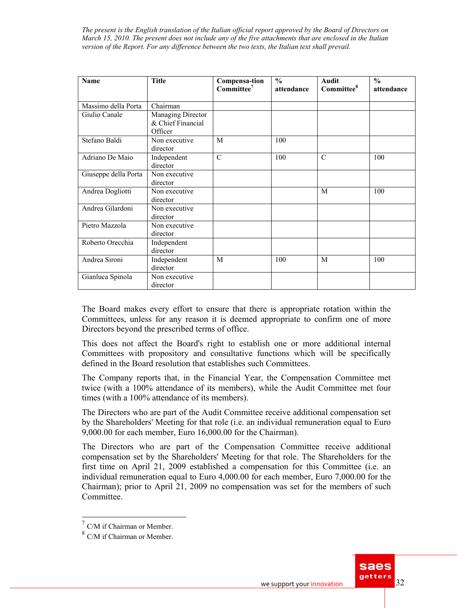| <b>Name</b>          | <b>Title</b>                                      | Compensa-tion<br>Committee <sup>7</sup> | $\frac{0}{0}$<br>attendance | <b>Audit</b><br>Committee <sup>8</sup> | $\frac{0}{0}$<br>attendance |  |
|----------------------|---------------------------------------------------|-----------------------------------------|-----------------------------|----------------------------------------|-----------------------------|--|
| Massimo della Porta  | $\overline{\text{Chairman}}$                      |                                         |                             |                                        |                             |  |
| Giulio Canale        | Managing Director<br>& Chief Financial<br>Officer |                                         |                             |                                        |                             |  |
| Stefano Baldi        | Non executive<br>director                         | M                                       | 100                         |                                        |                             |  |
| Adriano De Maio      | Independent<br>director                           |                                         | 100                         | C                                      | 100                         |  |
| Giuseppe della Porta | Non executive<br>director                         |                                         |                             |                                        |                             |  |
| Andrea Dogliotti     | Non executive<br>director                         |                                         |                             | M                                      | 100                         |  |
| Andrea Gilardoni     | Non executive<br>director                         |                                         |                             |                                        |                             |  |
| Pietro Mazzola       | Non executive<br>director                         |                                         |                             |                                        |                             |  |
| Roberto Orecchia     | Independent<br>director                           |                                         |                             |                                        |                             |  |
| Andrea Sironi        | Independent<br>director                           | M                                       | 100                         | M                                      | 100                         |  |
| Gianluca Spinola     | Non executive<br>director                         |                                         |                             |                                        |                             |  |

The Board makes every effort to ensure that there is appropriate rotation within the Committees, unless for any reason it is deemed appropriate to confirm one of more Directors beyond the prescribed terms of office.

This does not affect the Board's right to establish one or more additional internal Committees with propository and consultative functions which will be specifically defined in the Board resolution that establishes such Committees.

The Company reports that, in the Financial Year, the Compensation Committee met twice (with a 100% attendance of its members), while the Audit Committee met four times (with a 100% attendance of its members).

The Directors who are part of the Audit Committee receive additional compensation set by the Shareholders' Meeting for that role (i.e. an individual remuneration equal to Euro 9,000.00 for each member, Euro 16,000.00 for the Chairman).

The Directors who are part of the Compensation Committee receive additional compensation set by the Shareholders' Meeting for that role. The Shareholders for the first time on April 21, 2009 established a compensation for this Committee (i.e. an individual remuneration equal to Euro 4,000.00 for each member, Euro 7,000.00 for the Chairman); prior to April 21, 2009 no compensation was set for the members of such Committee.

 $\overline{a}$ 



 $7$  C/M if Chairman or Member.

<sup>8</sup> C/M if Chairman or Member.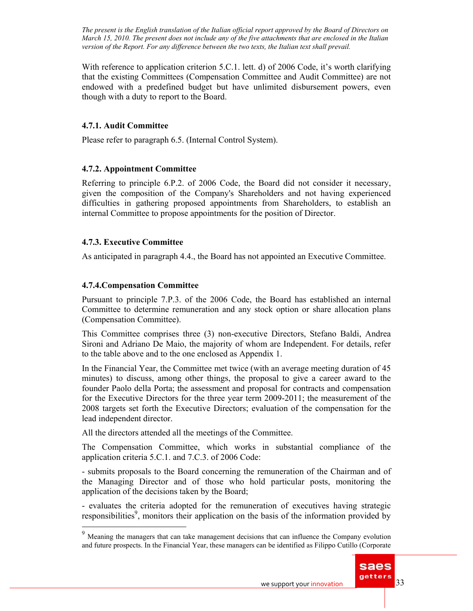With reference to application criterion 5.C.1. lett. d) of 2006 Code, it's worth clarifying that the existing Committees (Compensation Committee and Audit Committee) are not endowed with a predefined budget but have unlimited disbursement powers, even though with a duty to report to the Board.

### **4.7.1. Audit Committee**

Please refer to paragraph 6.5. (Internal Control System).

### **4.7.2. Appointment Committee**

Referring to principle 6.P.2. of 2006 Code, the Board did not consider it necessary, given the composition of the Company's Shareholders and not having experienced difficulties in gathering proposed appointments from Shareholders, to establish an internal Committee to propose appointments for the position of Director.

### **4.7.3. Executive Committee**

As anticipated in paragraph 4.4., the Board has not appointed an Executive Committee.

### **4.7.4.Compensation Committee**

 $\overline{a}$ 

Pursuant to principle 7.P.3. of the 2006 Code, the Board has established an internal Committee to determine remuneration and any stock option or share allocation plans (Compensation Committee).

This Committee comprises three (3) non-executive Directors, Stefano Baldi, Andrea Sironi and Adriano De Maio, the majority of whom are Independent. For details, refer to the table above and to the one enclosed as Appendix 1.

In the Financial Year, the Committee met twice (with an average meeting duration of 45 minutes) to discuss, among other things, the proposal to give a career award to the founder Paolo della Porta; the assessment and proposal for contracts and compensation for the Executive Directors for the three year term 2009-2011; the measurement of the 2008 targets set forth the Executive Directors; evaluation of the compensation for the lead independent director.

All the directors attended all the meetings of the Committee.

The Compensation Committee, which works in substantial compliance of the application criteria 5.C.1. and 7.C.3. of 2006 Code:

- submits proposals to the Board concerning the remuneration of the Chairman and of the Managing Director and of those who hold particular posts, monitoring the application of the decisions taken by the Board;

- evaluates the criteria adopted for the remuneration of executives having strategic responsibilities<sup>9</sup>, monitors their application on the basis of the information provided by

<sup>&</sup>lt;sup>9</sup> Meaning the managers that can take management decisions that can influence the Company evolution and future prospects. In the Financial Year, these managers can be identified as Filippo Cutillo (Corporate

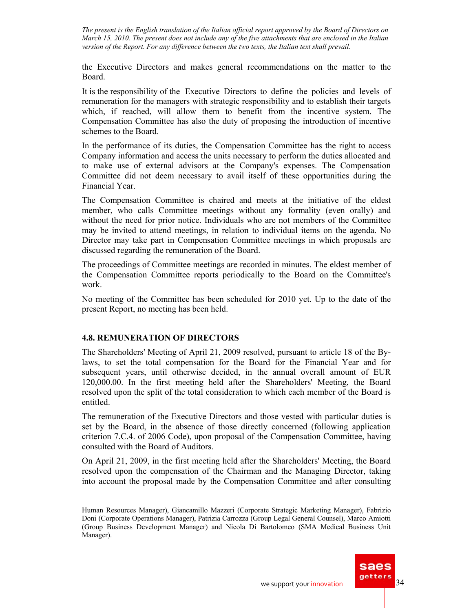the Executive Directors and makes general recommendations on the matter to the Board.

It is the responsibility of the Executive Directors to define the policies and levels of remuneration for the managers with strategic responsibility and to establish their targets which, if reached, will allow them to benefit from the incentive system. The Compensation Committee has also the duty of proposing the introduction of incentive schemes to the Board.

In the performance of its duties, the Compensation Committee has the right to access Company information and access the units necessary to perform the duties allocated and to make use of external advisors at the Company's expenses. The Compensation Committee did not deem necessary to avail itself of these opportunities during the Financial Year.

The Compensation Committee is chaired and meets at the initiative of the eldest member, who calls Committee meetings without any formality (even orally) and without the need for prior notice. Individuals who are not members of the Committee may be invited to attend meetings, in relation to individual items on the agenda. No Director may take part in Compensation Committee meetings in which proposals are discussed regarding the remuneration of the Board.

The proceedings of Committee meetings are recorded in minutes. The eldest member of the Compensation Committee reports periodically to the Board on the Committee's work.

No meeting of the Committee has been scheduled for 2010 yet. Up to the date of the present Report, no meeting has been held.

### **4.8. REMUNERATION OF DIRECTORS**

The Shareholders' Meeting of April 21, 2009 resolved, pursuant to article 18 of the Bylaws, to set the total compensation for the Board for the Financial Year and for subsequent years, until otherwise decided, in the annual overall amount of EUR 120,000.00. In the first meeting held after the Shareholders' Meeting, the Board resolved upon the split of the total consideration to which each member of the Board is entitled.

The remuneration of the Executive Directors and those vested with particular duties is set by the Board, in the absence of those directly concerned (following application criterion 7.C.4. of 2006 Code), upon proposal of the Compensation Committee, having consulted with the Board of Auditors.

On April 21, 2009, in the first meeting held after the Shareholders' Meeting, the Board resolved upon the compensation of the Chairman and the Managing Director, taking into account the proposal made by the Compensation Committee and after consulting

Human Resources Manager), Giancamillo Mazzeri (Corporate Strategic Marketing Manager), Fabrizio Doni (Corporate Operations Manager), Patrizia Carrozza (Group Legal General Counsel), Marco Amiotti (Group Business Development Manager) and Nicola Di Bartolomeo (SMA Medical Business Unit Manager).

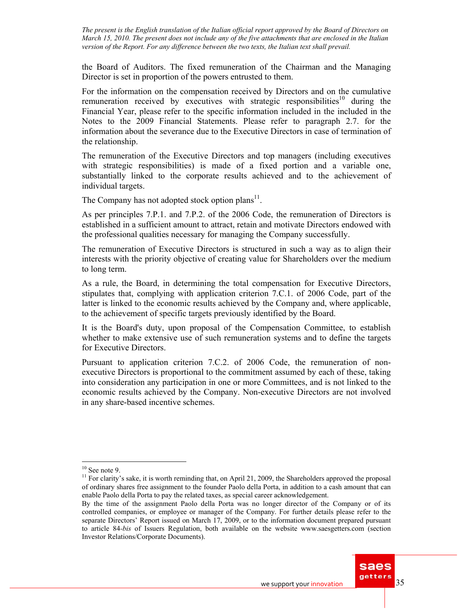the Board of Auditors. The fixed remuneration of the Chairman and the Managing Director is set in proportion of the powers entrusted to them.

For the information on the compensation received by Directors and on the cumulative remuneration received by executives with strategic responsibilities<sup>10</sup> during the Financial Year, please refer to the specific information included in the included in the Notes to the 2009 Financial Statements. Please refer to paragraph 2.7. for the information about the severance due to the Executive Directors in case of termination of the relationship.

The remuneration of the Executive Directors and top managers (including executives with strategic responsibilities) is made of a fixed portion and a variable one, substantially linked to the corporate results achieved and to the achievement of individual targets.

The Company has not adopted stock option plans<sup>11</sup>.

As per principles 7.P.1. and 7.P.2. of the 2006 Code, the remuneration of Directors is established in a sufficient amount to attract, retain and motivate Directors endowed with the professional qualities necessary for managing the Company successfully.

The remuneration of Executive Directors is structured in such a way as to align their interests with the priority objective of creating value for Shareholders over the medium to long term.

As a rule, the Board, in determining the total compensation for Executive Directors, stipulates that, complying with application criterion 7.C.1. of 2006 Code, part of the latter is linked to the economic results achieved by the Company and, where applicable, to the achievement of specific targets previously identified by the Board.

It is the Board's duty, upon proposal of the Compensation Committee, to establish whether to make extensive use of such remuneration systems and to define the targets for Executive Directors.

Pursuant to application criterion 7.C.2. of 2006 Code, the remuneration of nonexecutive Directors is proportional to the commitment assumed by each of these, taking into consideration any participation in one or more Committees, and is not linked to the economic results achieved by the Company. Non-executive Directors are not involved in any share-based incentive schemes.

 $\overline{a}$ 

By the time of the assignment Paolo della Porta was no longer director of the Company or of its controlled companies, or employee or manager of the Company. For further details please refer to the separate Directors' Report issued on March 17, 2009, or to the information document prepared pursuant to article 84*-bis* of Issuers Regulation, both available on the website www.saesgetters.com (section Investor Relations/Corporate Documents).



 $10$  See note 9.

<sup>&</sup>lt;sup>11</sup> For clarity's sake, it is worth reminding that, on April 21, 2009, the Shareholders approved the proposal of ordinary shares free assignment to the founder Paolo della Porta, in addition to a cash amount that can enable Paolo della Porta to pay the related taxes, as special career acknowledgement.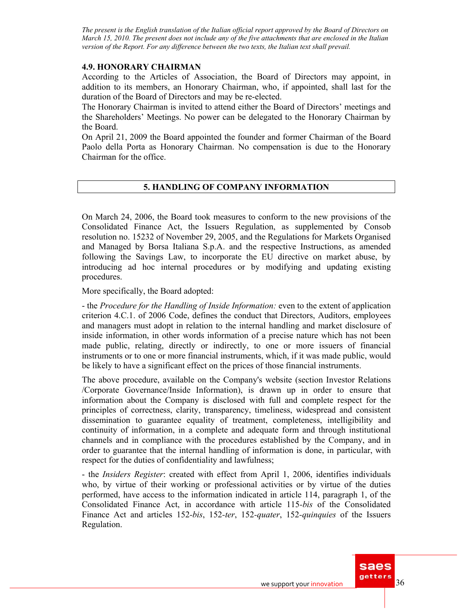### **4.9. HONORARY CHAIRMAN**

According to the Articles of Association, the Board of Directors may appoint, in addition to its members, an Honorary Chairman, who, if appointed, shall last for the duration of the Board of Directors and may be re-elected.

The Honorary Chairman is invited to attend either the Board of Directors' meetings and the Shareholders' Meetings. No power can be delegated to the Honorary Chairman by the Board.

On April 21, 2009 the Board appointed the founder and former Chairman of the Board Paolo della Porta as Honorary Chairman. No compensation is due to the Honorary Chairman for the office.

# **5. HANDLING OF COMPANY INFORMATION**

On March 24, 2006, the Board took measures to conform to the new provisions of the Consolidated Finance Act, the Issuers Regulation, as supplemented by Consob resolution no. 15232 of November 29, 2005, and the Regulations for Markets Organised and Managed by Borsa Italiana S.p.A. and the respective Instructions, as amended following the Savings Law, to incorporate the EU directive on market abuse, by introducing ad hoc internal procedures or by modifying and updating existing procedures.

More specifically, the Board adopted:

- the *Procedure for the Handling of Inside Information:* even to the extent of application criterion 4.C.1. of 2006 Code, defines the conduct that Directors, Auditors, employees and managers must adopt in relation to the internal handling and market disclosure of inside information, in other words information of a precise nature which has not been made public, relating, directly or indirectly, to one or more issuers of financial instruments or to one or more financial instruments, which, if it was made public, would be likely to have a significant effect on the prices of those financial instruments.

The above procedure, available on the Company's website (section Investor Relations /Corporate Governance/Inside Information), is drawn up in order to ensure that information about the Company is disclosed with full and complete respect for the principles of correctness, clarity, transparency, timeliness, widespread and consistent dissemination to guarantee equality of treatment, completeness, intelligibility and continuity of information, in a complete and adequate form and through institutional channels and in compliance with the procedures established by the Company, and in order to guarantee that the internal handling of information is done, in particular, with respect for the duties of confidentiality and lawfulness;

- the *Insiders Register*: created with effect from April 1, 2006, identifies individuals who, by virtue of their working or professional activities or by virtue of the duties performed, have access to the information indicated in article 114, paragraph 1, of the Consolidated Finance Act, in accordance with article 115*-bis* of the Consolidated Finance Act and articles 152*-bis*, 152*-ter*, 152*-quater*, 152*-quinquies* of the Issuers Regulation.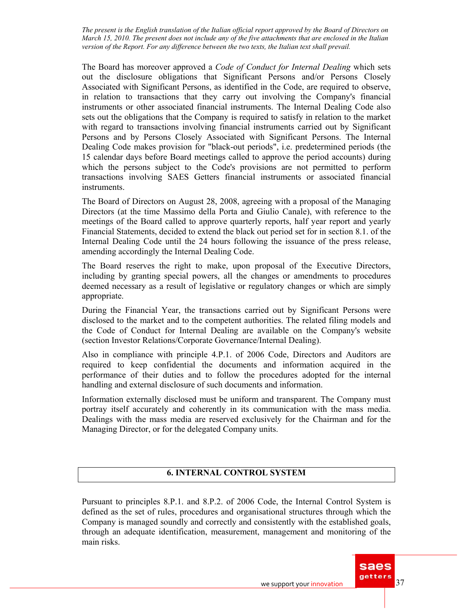The Board has moreover approved a *Code of Conduct for Internal Dealing* which sets out the disclosure obligations that Significant Persons and/or Persons Closely Associated with Significant Persons, as identified in the Code, are required to observe, in relation to transactions that they carry out involving the Company's financial instruments or other associated financial instruments. The Internal Dealing Code also sets out the obligations that the Company is required to satisfy in relation to the market with regard to transactions involving financial instruments carried out by Significant Persons and by Persons Closely Associated with Significant Persons. The Internal Dealing Code makes provision for "black-out periods", i.e. predetermined periods (the 15 calendar days before Board meetings called to approve the period accounts) during which the persons subject to the Code's provisions are not permitted to perform transactions involving SAES Getters financial instruments or associated financial instruments.

The Board of Directors on August 28, 2008, agreeing with a proposal of the Managing Directors (at the time Massimo della Porta and Giulio Canale), with reference to the meetings of the Board called to approve quarterly reports, half year report and yearly Financial Statements, decided to extend the black out period set for in section 8.1. of the Internal Dealing Code until the 24 hours following the issuance of the press release, amending accordingly the Internal Dealing Code.

The Board reserves the right to make, upon proposal of the Executive Directors, including by granting special powers, all the changes or amendments to procedures deemed necessary as a result of legislative or regulatory changes or which are simply appropriate.

During the Financial Year, the transactions carried out by Significant Persons were disclosed to the market and to the competent authorities. The related filing models and the Code of Conduct for Internal Dealing are available on the Company's website (section Investor Relations/Corporate Governance/Internal Dealing).

Also in compliance with principle 4.P.1. of 2006 Code, Directors and Auditors are required to keep confidential the documents and information acquired in the performance of their duties and to follow the procedures adopted for the internal handling and external disclosure of such documents and information.

Information externally disclosed must be uniform and transparent. The Company must portray itself accurately and coherently in its communication with the mass media. Dealings with the mass media are reserved exclusively for the Chairman and for the Managing Director, or for the delegated Company units.

# **6. INTERNAL CONTROL SYSTEM**

Pursuant to principles 8.P.1. and 8.P.2. of 2006 Code, the Internal Control System is defined as the set of rules, procedures and organisational structures through which the Company is managed soundly and correctly and consistently with the established goals, through an adequate identification, measurement, management and monitoring of the main risks.

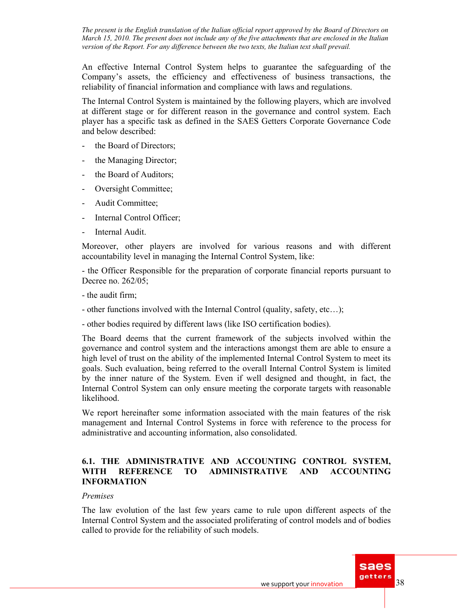An effective Internal Control System helps to guarantee the safeguarding of the Company's assets, the efficiency and effectiveness of business transactions, the reliability of financial information and compliance with laws and regulations.

The Internal Control System is maintained by the following players, which are involved at different stage or for different reason in the governance and control system. Each player has a specific task as defined in the SAES Getters Corporate Governance Code and below described:

- the Board of Directors;
- the Managing Director;
- the Board of Auditors;
- Oversight Committee;
- Audit Committee;
- Internal Control Officer:
- Internal Audit.

Moreover, other players are involved for various reasons and with different accountability level in managing the Internal Control System, like:

- the Officer Responsible for the preparation of corporate financial reports pursuant to Decree no. 262/05;

- the audit firm;
- other functions involved with the Internal Control (quality, safety, etc…);

- other bodies required by different laws (like ISO certification bodies).

The Board deems that the current framework of the subjects involved within the governance and control system and the interactions amongst them are able to ensure a high level of trust on the ability of the implemented Internal Control System to meet its goals. Such evaluation, being referred to the overall Internal Control System is limited by the inner nature of the System. Even if well designed and thought, in fact, the Internal Control System can only ensure meeting the corporate targets with reasonable likelihood.

We report hereinafter some information associated with the main features of the risk management and Internal Control Systems in force with reference to the process for administrative and accounting information, also consolidated.

### **6.1. THE ADMINISTRATIVE AND ACCOUNTING CONTROL SYSTEM, WITH REFERENCE TO ADMINISTRATIVE AND ACCOUNTING INFORMATION**

#### *Premises*

The law evolution of the last few years came to rule upon different aspects of the Internal Control System and the associated proliferating of control models and of bodies called to provide for the reliability of such models.

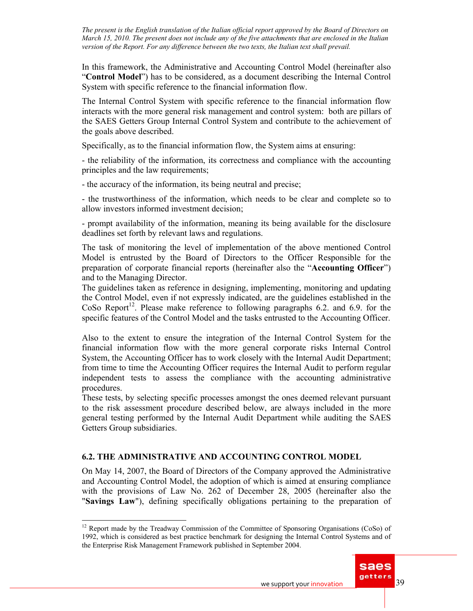In this framework, the Administrative and Accounting Control Model (hereinafter also "**Control Model**") has to be considered, as a document describing the Internal Control System with specific reference to the financial information flow.

The Internal Control System with specific reference to the financial information flow interacts with the more general risk management and control system: both are pillars of the SAES Getters Group Internal Control System and contribute to the achievement of the goals above described.

Specifically, as to the financial information flow, the System aims at ensuring:

- the reliability of the information, its correctness and compliance with the accounting principles and the law requirements;

- the accuracy of the information, its being neutral and precise;

- the trustworthiness of the information, which needs to be clear and complete so to allow investors informed investment decision;

- prompt availability of the information, meaning its being available for the disclosure deadlines set forth by relevant laws and regulations.

The task of monitoring the level of implementation of the above mentioned Control Model is entrusted by the Board of Directors to the Officer Responsible for the preparation of corporate financial reports (hereinafter also the "**Accounting Officer**") and to the Managing Director.

The guidelines taken as reference in designing, implementing, monitoring and updating the Control Model, even if not expressly indicated, are the guidelines established in the CoSo Report<sup>12</sup>. Please make reference to following paragraphs 6.2. and 6.9. for the specific features of the Control Model and the tasks entrusted to the Accounting Officer.

Also to the extent to ensure the integration of the Internal Control System for the financial information flow with the more general corporate risks Internal Control System, the Accounting Officer has to work closely with the Internal Audit Department; from time to time the Accounting Officer requires the Internal Audit to perform regular independent tests to assess the compliance with the accounting administrative procedures.

These tests, by selecting specific processes amongst the ones deemed relevant pursuant to the risk assessment procedure described below, are always included in the more general testing performed by the Internal Audit Department while auditing the SAES Getters Group subsidiaries.

# **6.2. THE ADMINISTRATIVE AND ACCOUNTING CONTROL MODEL**

 $\overline{a}$ 

On May 14, 2007, the Board of Directors of the Company approved the Administrative and Accounting Control Model, the adoption of which is aimed at ensuring compliance with the provisions of Law No. 262 of December 28, 2005 (hereinafter also the "**Savings Law**"), defining specifically obligations pertaining to the preparation of

 $12$  Report made by the Treadway Commission of the Committee of Sponsoring Organisations (CoSo) of 1992, which is considered as best practice benchmark for designing the Internal Control Systems and of the Enterprise Risk Management Framework published in September 2004.

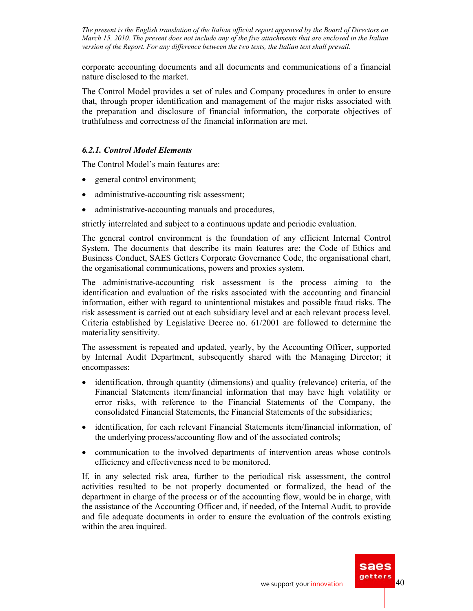corporate accounting documents and all documents and communications of a financial nature disclosed to the market.

The Control Model provides a set of rules and Company procedures in order to ensure that, through proper identification and management of the major risks associated with the preparation and disclosure of financial information, the corporate objectives of truthfulness and correctness of the financial information are met.

### *6.2.1. Control Model Elements*

The Control Model's main features are:

- general control environment;
- administrative-accounting risk assessment;
- administrative-accounting manuals and procedures,

strictly interrelated and subject to a continuous update and periodic evaluation.

The general control environment is the foundation of any efficient Internal Control System. The documents that describe its main features are: the Code of Ethics and Business Conduct, SAES Getters Corporate Governance Code, the organisational chart, the organisational communications, powers and proxies system.

The administrative-accounting risk assessment is the process aiming to the identification and evaluation of the risks associated with the accounting and financial information, either with regard to unintentional mistakes and possible fraud risks. The risk assessment is carried out at each subsidiary level and at each relevant process level. Criteria established by Legislative Decree no. 61/2001 are followed to determine the materiality sensitivity.

The assessment is repeated and updated, yearly, by the Accounting Officer, supported by Internal Audit Department, subsequently shared with the Managing Director; it encompasses:

- identification, through quantity (dimensions) and quality (relevance) criteria, of the Financial Statements item/financial information that may have high volatility or error risks, with reference to the Financial Statements of the Company, the consolidated Financial Statements, the Financial Statements of the subsidiaries;
- identification, for each relevant Financial Statements item/financial information, of the underlying process/accounting flow and of the associated controls;
- communication to the involved departments of intervention areas whose controls efficiency and effectiveness need to be monitored.

If, in any selected risk area, further to the periodical risk assessment, the control activities resulted to be not properly documented or formalized, the head of the department in charge of the process or of the accounting flow, would be in charge, with the assistance of the Accounting Officer and, if needed, of the Internal Audit, to provide and file adequate documents in order to ensure the evaluation of the controls existing within the area inquired.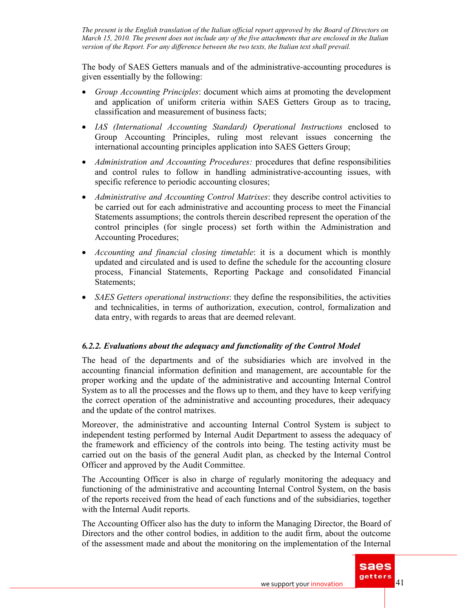The body of SAES Getters manuals and of the administrative-accounting procedures is given essentially by the following:

- *Group Accounting Principles*: document which aims at promoting the development and application of uniform criteria within SAES Getters Group as to tracing, classification and measurement of business facts;
- *IAS (International Accounting Standard) Operational Instructions* enclosed to Group Accounting Principles, ruling most relevant issues concerning the international accounting principles application into SAES Getters Group;
- *Administration and Accounting Procedures:* procedures that define responsibilities and control rules to follow in handling administrative-accounting issues, with specific reference to periodic accounting closures;
- *Administrative and Accounting Control Matrixes*: they describe control activities to be carried out for each administrative and accounting process to meet the Financial Statements assumptions; the controls therein described represent the operation of the control principles (for single process) set forth within the Administration and Accounting Procedures;
- *Accounting and financial closing timetable*: it is a document which is monthly updated and circulated and is used to define the schedule for the accounting closure process, Financial Statements, Reporting Package and consolidated Financial Statements;
- *SAES Getters operational instructions*: they define the responsibilities, the activities and technicalities, in terms of authorization, execution, control, formalization and data entry, with regards to areas that are deemed relevant.

# *6.2.2. Evaluations about the adequacy and functionality of the Control Model*

The head of the departments and of the subsidiaries which are involved in the accounting financial information definition and management, are accountable for the proper working and the update of the administrative and accounting Internal Control System as to all the processes and the flows up to them, and they have to keep verifying the correct operation of the administrative and accounting procedures, their adequacy and the update of the control matrixes.

Moreover, the administrative and accounting Internal Control System is subject to independent testing performed by Internal Audit Department to assess the adequacy of the framework and efficiency of the controls into being. The testing activity must be carried out on the basis of the general Audit plan, as checked by the Internal Control Officer and approved by the Audit Committee.

The Accounting Officer is also in charge of regularly monitoring the adequacy and functioning of the administrative and accounting Internal Control System, on the basis of the reports received from the head of each functions and of the subsidiaries, together with the Internal Audit reports.

The Accounting Officer also has the duty to inform the Managing Director, the Board of Directors and the other control bodies, in addition to the audit firm, about the outcome of the assessment made and about the monitoring on the implementation of the Internal

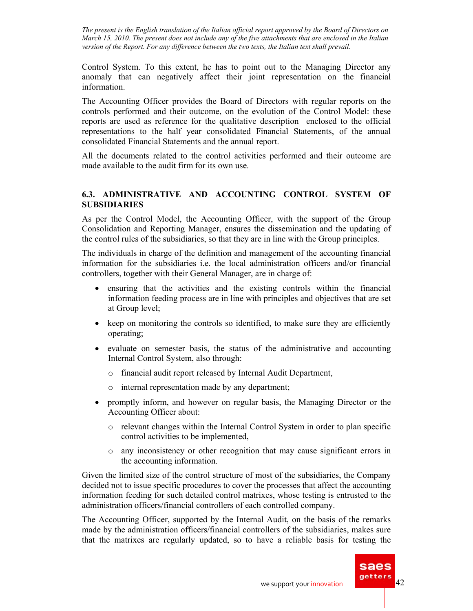Control System. To this extent, he has to point out to the Managing Director any anomaly that can negatively affect their joint representation on the financial information.

The Accounting Officer provides the Board of Directors with regular reports on the controls performed and their outcome, on the evolution of the Control Model: these reports are used as reference for the qualitative description enclosed to the official representations to the half year consolidated Financial Statements, of the annual consolidated Financial Statements and the annual report.

All the documents related to the control activities performed and their outcome are made available to the audit firm for its own use.

# **6.3. ADMINISTRATIVE AND ACCOUNTING CONTROL SYSTEM OF SUBSIDIARIES**

As per the Control Model, the Accounting Officer, with the support of the Group Consolidation and Reporting Manager, ensures the dissemination and the updating of the control rules of the subsidiaries, so that they are in line with the Group principles.

The individuals in charge of the definition and management of the accounting financial information for the subsidiaries i.e. the local administration officers and/or financial controllers, together with their General Manager, are in charge of:

- ensuring that the activities and the existing controls within the financial information feeding process are in line with principles and objectives that are set at Group level;
- keep on monitoring the controls so identified, to make sure they are efficiently operating;
- evaluate on semester basis, the status of the administrative and accounting Internal Control System, also through:
	- o financial audit report released by Internal Audit Department,
	- o internal representation made by any department;
- promptly inform, and however on regular basis, the Managing Director or the Accounting Officer about:
	- o relevant changes within the Internal Control System in order to plan specific control activities to be implemented,
	- o any inconsistency or other recognition that may cause significant errors in the accounting information.

Given the limited size of the control structure of most of the subsidiaries, the Company decided not to issue specific procedures to cover the processes that affect the accounting information feeding for such detailed control matrixes, whose testing is entrusted to the administration officers/financial controllers of each controlled company.

The Accounting Officer, supported by the Internal Audit, on the basis of the remarks made by the administration officers/financial controllers of the subsidiaries, makes sure that the matrixes are regularly updated, so to have a reliable basis for testing the

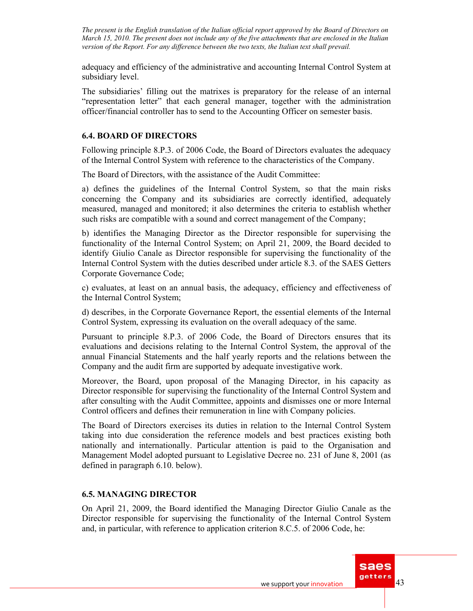adequacy and efficiency of the administrative and accounting Internal Control System at subsidiary level.

The subsidiaries' filling out the matrixes is preparatory for the release of an internal "representation letter" that each general manager, together with the administration officer/financial controller has to send to the Accounting Officer on semester basis.

### **6.4. BOARD OF DIRECTORS**

Following principle 8.P.3. of 2006 Code, the Board of Directors evaluates the adequacy of the Internal Control System with reference to the characteristics of the Company.

The Board of Directors, with the assistance of the Audit Committee:

a) defines the guidelines of the Internal Control System, so that the main risks concerning the Company and its subsidiaries are correctly identified, adequately measured, managed and monitored; it also determines the criteria to establish whether such risks are compatible with a sound and correct management of the Company;

b) identifies the Managing Director as the Director responsible for supervising the functionality of the Internal Control System; on April 21, 2009, the Board decided to identify Giulio Canale as Director responsible for supervising the functionality of the Internal Control System with the duties described under article 8.3. of the SAES Getters Corporate Governance Code;

c) evaluates, at least on an annual basis, the adequacy, efficiency and effectiveness of the Internal Control System;

d) describes, in the Corporate Governance Report, the essential elements of the Internal Control System, expressing its evaluation on the overall adequacy of the same.

Pursuant to principle 8.P.3. of 2006 Code, the Board of Directors ensures that its evaluations and decisions relating to the Internal Control System, the approval of the annual Financial Statements and the half yearly reports and the relations between the Company and the audit firm are supported by adequate investigative work.

Moreover, the Board, upon proposal of the Managing Director, in his capacity as Director responsible for supervising the functionality of the Internal Control System and after consulting with the Audit Committee, appoints and dismisses one or more Internal Control officers and defines their remuneration in line with Company policies.

The Board of Directors exercises its duties in relation to the Internal Control System taking into due consideration the reference models and best practices existing both nationally and internationally. Particular attention is paid to the Organisation and Management Model adopted pursuant to Legislative Decree no. 231 of June 8, 2001 (as defined in paragraph 6.10. below).

# **6.5. MANAGING DIRECTOR**

On April 21, 2009, the Board identified the Managing Director Giulio Canale as the Director responsible for supervising the functionality of the Internal Control System and, in particular, with reference to application criterion 8.C.5. of 2006 Code, he: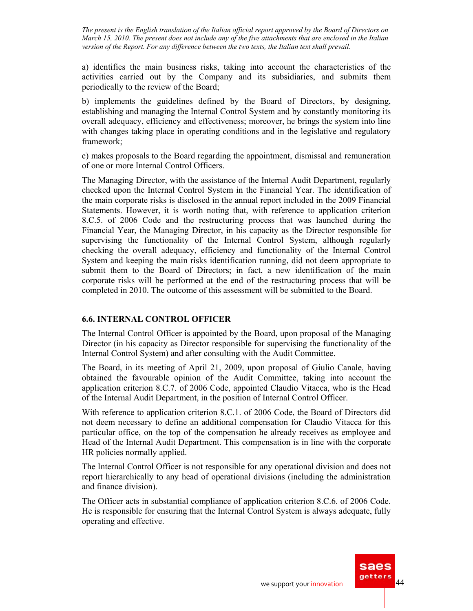a) identifies the main business risks, taking into account the characteristics of the activities carried out by the Company and its subsidiaries, and submits them periodically to the review of the Board;

b) implements the guidelines defined by the Board of Directors, by designing, establishing and managing the Internal Control System and by constantly monitoring its overall adequacy, efficiency and effectiveness; moreover, he brings the system into line with changes taking place in operating conditions and in the legislative and regulatory framework;

c) makes proposals to the Board regarding the appointment, dismissal and remuneration of one or more Internal Control Officers.

The Managing Director, with the assistance of the Internal Audit Department, regularly checked upon the Internal Control System in the Financial Year. The identification of the main corporate risks is disclosed in the annual report included in the 2009 Financial Statements. However, it is worth noting that, with reference to application criterion 8.C.5. of 2006 Code and the restructuring process that was launched during the Financial Year, the Managing Director, in his capacity as the Director responsible for supervising the functionality of the Internal Control System, although regularly checking the overall adequacy, efficiency and functionality of the Internal Control System and keeping the main risks identification running, did not deem appropriate to submit them to the Board of Directors; in fact, a new identification of the main corporate risks will be performed at the end of the restructuring process that will be completed in 2010. The outcome of this assessment will be submitted to the Board.

### **6.6. INTERNAL CONTROL OFFICER**

The Internal Control Officer is appointed by the Board, upon proposal of the Managing Director (in his capacity as Director responsible for supervising the functionality of the Internal Control System) and after consulting with the Audit Committee.

The Board, in its meeting of April 21, 2009, upon proposal of Giulio Canale, having obtained the favourable opinion of the Audit Committee, taking into account the application criterion 8.C.7. of 2006 Code, appointed Claudio Vitacca, who is the Head of the Internal Audit Department, in the position of Internal Control Officer.

With reference to application criterion 8.C.1. of 2006 Code, the Board of Directors did not deem necessary to define an additional compensation for Claudio Vitacca for this particular office, on the top of the compensation he already receives as employee and Head of the Internal Audit Department. This compensation is in line with the corporate HR policies normally applied.

The Internal Control Officer is not responsible for any operational division and does not report hierarchically to any head of operational divisions (including the administration and finance division).

The Officer acts in substantial compliance of application criterion 8.C.6. of 2006 Code. He is responsible for ensuring that the Internal Control System is always adequate, fully operating and effective.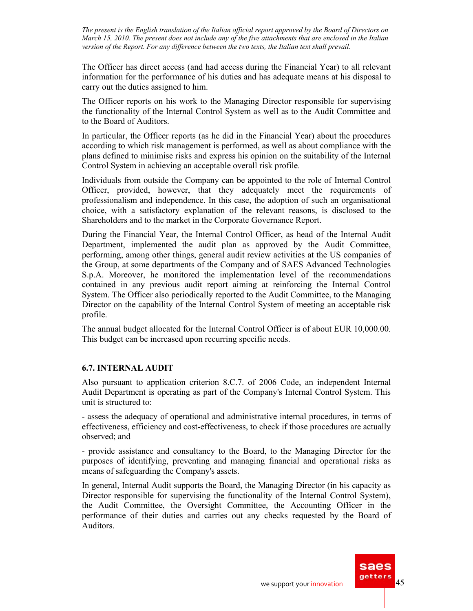The Officer has direct access (and had access during the Financial Year) to all relevant information for the performance of his duties and has adequate means at his disposal to carry out the duties assigned to him.

The Officer reports on his work to the Managing Director responsible for supervising the functionality of the Internal Control System as well as to the Audit Committee and to the Board of Auditors.

In particular, the Officer reports (as he did in the Financial Year) about the procedures according to which risk management is performed, as well as about compliance with the plans defined to minimise risks and express his opinion on the suitability of the Internal Control System in achieving an acceptable overall risk profile.

Individuals from outside the Company can be appointed to the role of Internal Control Officer, provided, however, that they adequately meet the requirements of professionalism and independence. In this case, the adoption of such an organisational choice, with a satisfactory explanation of the relevant reasons, is disclosed to the Shareholders and to the market in the Corporate Governance Report.

During the Financial Year, the Internal Control Officer, as head of the Internal Audit Department, implemented the audit plan as approved by the Audit Committee, performing, among other things, general audit review activities at the US companies of the Group, at some departments of the Company and of SAES Advanced Technologies S.p.A. Moreover, he monitored the implementation level of the recommendations contained in any previous audit report aiming at reinforcing the Internal Control System. The Officer also periodically reported to the Audit Committee, to the Managing Director on the capability of the Internal Control System of meeting an acceptable risk profile.

The annual budget allocated for the Internal Control Officer is of about EUR 10,000.00. This budget can be increased upon recurring specific needs.

# **6.7. INTERNAL AUDIT**

Also pursuant to application criterion 8.C.7. of 2006 Code, an independent Internal Audit Department is operating as part of the Company's Internal Control System. This unit is structured to:

- assess the adequacy of operational and administrative internal procedures, in terms of effectiveness, efficiency and cost-effectiveness, to check if those procedures are actually observed; and

- provide assistance and consultancy to the Board, to the Managing Director for the purposes of identifying, preventing and managing financial and operational risks as means of safeguarding the Company's assets.

In general, Internal Audit supports the Board, the Managing Director (in his capacity as Director responsible for supervising the functionality of the Internal Control System), the Audit Committee, the Oversight Committee, the Accounting Officer in the performance of their duties and carries out any checks requested by the Board of Auditors.

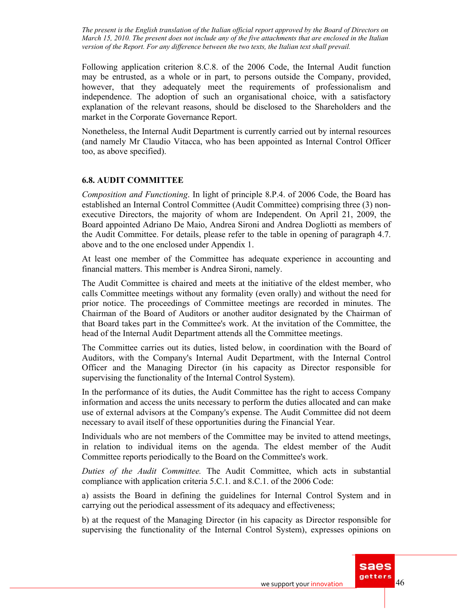Following application criterion 8.C.8. of the 2006 Code, the Internal Audit function may be entrusted, as a whole or in part, to persons outside the Company, provided, however, that they adequately meet the requirements of professionalism and independence. The adoption of such an organisational choice, with a satisfactory explanation of the relevant reasons, should be disclosed to the Shareholders and the market in the Corporate Governance Report.

Nonetheless, the Internal Audit Department is currently carried out by internal resources (and namely Mr Claudio Vitacca, who has been appointed as Internal Control Officer too, as above specified).

### **6.8. AUDIT COMMITTEE**

*Composition and Functioning*. In light of principle 8.P.4. of 2006 Code, the Board has established an Internal Control Committee (Audit Committee) comprising three (3) nonexecutive Directors, the majority of whom are Independent. On April 21, 2009, the Board appointed Adriano De Maio, Andrea Sironi and Andrea Dogliotti as members of the Audit Committee. For details, please refer to the table in opening of paragraph 4.7. above and to the one enclosed under Appendix 1.

At least one member of the Committee has adequate experience in accounting and financial matters. This member is Andrea Sironi, namely.

The Audit Committee is chaired and meets at the initiative of the eldest member, who calls Committee meetings without any formality (even orally) and without the need for prior notice. The proceedings of Committee meetings are recorded in minutes. The Chairman of the Board of Auditors or another auditor designated by the Chairman of that Board takes part in the Committee's work. At the invitation of the Committee, the head of the Internal Audit Department attends all the Committee meetings.

The Committee carries out its duties, listed below, in coordination with the Board of Auditors, with the Company's Internal Audit Department, with the Internal Control Officer and the Managing Director (in his capacity as Director responsible for supervising the functionality of the Internal Control System).

In the performance of its duties, the Audit Committee has the right to access Company information and access the units necessary to perform the duties allocated and can make use of external advisors at the Company's expense. The Audit Committee did not deem necessary to avail itself of these opportunities during the Financial Year.

Individuals who are not members of the Committee may be invited to attend meetings, in relation to individual items on the agenda. The eldest member of the Audit Committee reports periodically to the Board on the Committee's work.

*Duties of the Audit Committee.* The Audit Committee, which acts in substantial compliance with application criteria 5.C.1. and 8.C.1. of the 2006 Code:

a) assists the Board in defining the guidelines for Internal Control System and in carrying out the periodical assessment of its adequacy and effectiveness;

b) at the request of the Managing Director (in his capacity as Director responsible for supervising the functionality of the Internal Control System), expresses opinions on

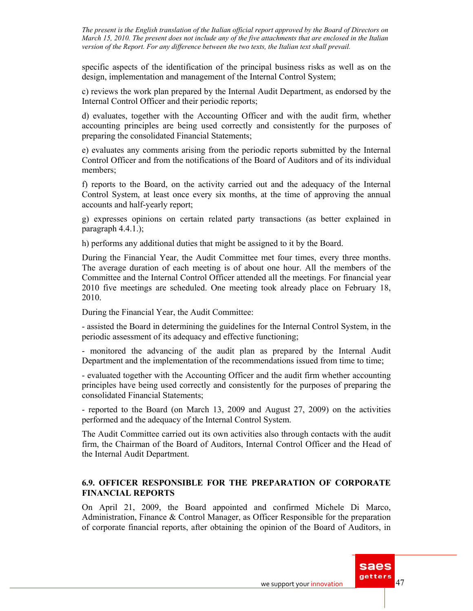specific aspects of the identification of the principal business risks as well as on the design, implementation and management of the Internal Control System;

c) reviews the work plan prepared by the Internal Audit Department, as endorsed by the Internal Control Officer and their periodic reports;

d) evaluates, together with the Accounting Officer and with the audit firm, whether accounting principles are being used correctly and consistently for the purposes of preparing the consolidated Financial Statements;

e) evaluates any comments arising from the periodic reports submitted by the Internal Control Officer and from the notifications of the Board of Auditors and of its individual members;

f) reports to the Board, on the activity carried out and the adequacy of the Internal Control System, at least once every six months, at the time of approving the annual accounts and half-yearly report;

g) expresses opinions on certain related party transactions (as better explained in paragraph 4.4.1.);

h) performs any additional duties that might be assigned to it by the Board.

During the Financial Year, the Audit Committee met four times, every three months. The average duration of each meeting is of about one hour. All the members of the Committee and the Internal Control Officer attended all the meetings. For financial year 2010 five meetings are scheduled. One meeting took already place on February 18, 2010.

During the Financial Year, the Audit Committee:

- assisted the Board in determining the guidelines for the Internal Control System, in the periodic assessment of its adequacy and effective functioning;

- monitored the advancing of the audit plan as prepared by the Internal Audit Department and the implementation of the recommendations issued from time to time;

- evaluated together with the Accounting Officer and the audit firm whether accounting principles have being used correctly and consistently for the purposes of preparing the consolidated Financial Statements;

- reported to the Board (on March 13, 2009 and August 27, 2009) on the activities performed and the adequacy of the Internal Control System.

The Audit Committee carried out its own activities also through contacts with the audit firm, the Chairman of the Board of Auditors, Internal Control Officer and the Head of the Internal Audit Department.

### **6.9. OFFICER RESPONSIBLE FOR THE PREPARATION OF CORPORATE FINANCIAL REPORTS**

On April 21, 2009, the Board appointed and confirmed Michele Di Marco, Administration, Finance & Control Manager, as Officer Responsible for the preparation of corporate financial reports, after obtaining the opinion of the Board of Auditors, in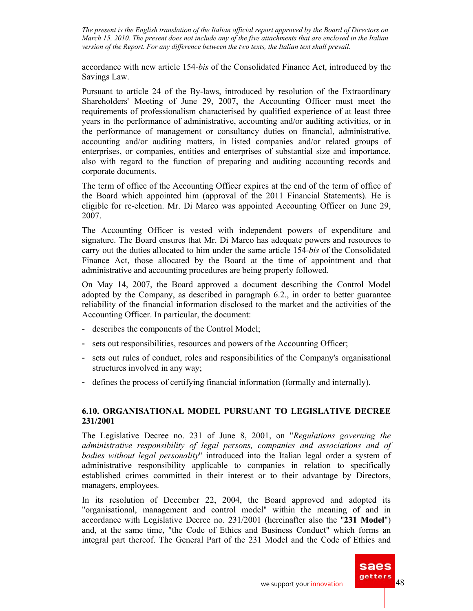accordance with new article 154*-bis* of the Consolidated Finance Act, introduced by the Savings Law.

Pursuant to article 24 of the By-laws, introduced by resolution of the Extraordinary Shareholders' Meeting of June 29, 2007, the Accounting Officer must meet the requirements of professionalism characterised by qualified experience of at least three years in the performance of administrative, accounting and/or auditing activities, or in the performance of management or consultancy duties on financial, administrative, accounting and/or auditing matters, in listed companies and/or related groups of enterprises, or companies, entities and enterprises of substantial size and importance, also with regard to the function of preparing and auditing accounting records and corporate documents.

The term of office of the Accounting Officer expires at the end of the term of office of the Board which appointed him (approval of the 2011 Financial Statements). He is eligible for re-election. Mr. Di Marco was appointed Accounting Officer on June 29, 2007.

The Accounting Officer is vested with independent powers of expenditure and signature. The Board ensures that Mr. Di Marco has adequate powers and resources to carry out the duties allocated to him under the same article 154*-bis* of the Consolidated Finance Act, those allocated by the Board at the time of appointment and that administrative and accounting procedures are being properly followed.

On May 14, 2007, the Board approved a document describing the Control Model adopted by the Company, as described in paragraph 6.2., in order to better guarantee reliability of the financial information disclosed to the market and the activities of the Accounting Officer. In particular, the document:

- describes the components of the Control Model;
- sets out responsibilities, resources and powers of the Accounting Officer;
- sets out rules of conduct, roles and responsibilities of the Company's organisational structures involved in any way;
- defines the process of certifying financial information (formally and internally).

# **6.10. ORGANISATIONAL MODEL PURSUANT TO LEGISLATIVE DECREE 231/2001**

The Legislative Decree no. 231 of June 8, 2001, on "*Regulations governing the administrative responsibility of legal persons, companies and associations and of bodies without legal personality*" introduced into the Italian legal order a system of administrative responsibility applicable to companies in relation to specifically established crimes committed in their interest or to their advantage by Directors, managers, employees.

In its resolution of December 22, 2004, the Board approved and adopted its "organisational, management and control model" within the meaning of and in accordance with Legislative Decree no. 231/2001 (hereinafter also the "**231 Model**") and, at the same time, "the Code of Ethics and Business Conduct" which forms an integral part thereof. The General Part of the 231 Model and the Code of Ethics and

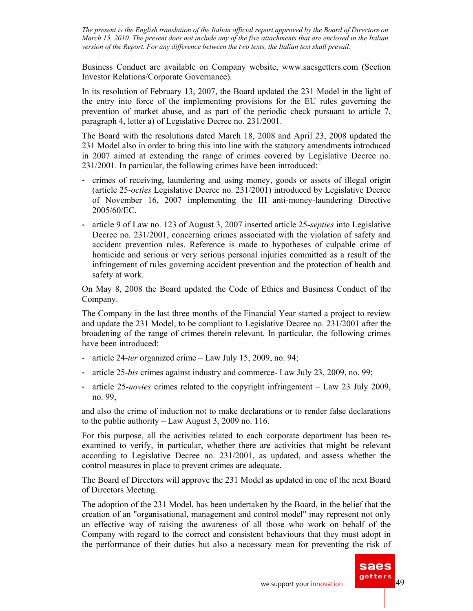Business Conduct are available on Company website, www.saesgetters.com (Section Investor Relations/Corporate Governance).

In its resolution of February 13, 2007, the Board updated the 231 Model in the light of the entry into force of the implementing provisions for the EU rules governing the prevention of market abuse, and as part of the periodic check pursuant to article 7, paragraph 4, letter a) of Legislative Decree no. 231/2001.

The Board with the resolutions dated March 18, 2008 and April 23, 2008 updated the 231 Model also in order to bring this into line with the statutory amendments introduced in 2007 aimed at extending the range of crimes covered by Legislative Decree no. 231/2001. In particular, the following crimes have been introduced:

- crimes of receiving, laundering and using money, goods or assets of illegal origin (article 25-*octies* Legislative Decree no. 231/2001) introduced by Legislative Decree of November 16, 2007 implementing the III anti-money-laundering Directive 2005/60/EC.
- article 9 of Law no. 123 of August 3, 2007 inserted article 25-*septies* into Legislative Decree no. 231/2001, concerning crimes associated with the violation of safety and accident prevention rules. Reference is made to hypotheses of culpable crime of homicide and serious or very serious personal injuries committed as a result of the infringement of rules governing accident prevention and the protection of health and safety at work.

On May 8, 2008 the Board updated the Code of Ethics and Business Conduct of the Company.

The Company in the last three months of the Financial Year started a project to review and update the 231 Model, to be compliant to Legislative Decree no. 231/2001 after the broadening of the range of crimes therein relevant. In particular, the following crimes have been introduced:

- article 24-*ter* organized crime Law July 15, 2009, no. 94;
- article 25-*bis* crimes against industry and commerce- Law July 23, 2009, no. 99;
- article 25-*novies* crimes related to the copyright infringement Law 23 July 2009, no. 99,

and also the crime of induction not to make declarations or to render false declarations to the public authority – Law August 3, 2009 no. 116.

For this purpose, all the activities related to each corporate department has been reexamined to verify, in particular, whether there are activities that might be relevant according to Legislative Decree no. 231/2001, as updated, and assess whether the control measures in place to prevent crimes are adequate.

The Board of Directors will approve the 231 Model as updated in one of the next Board of Directors Meeting.

The adoption of the 231 Model, has been undertaken by the Board, in the belief that the creation of an "organisational, management and control model" may represent not only an effective way of raising the awareness of all those who work on behalf of the Company with regard to the correct and consistent behaviours that they must adopt in the performance of their duties but also a necessary mean for preventing the risk of

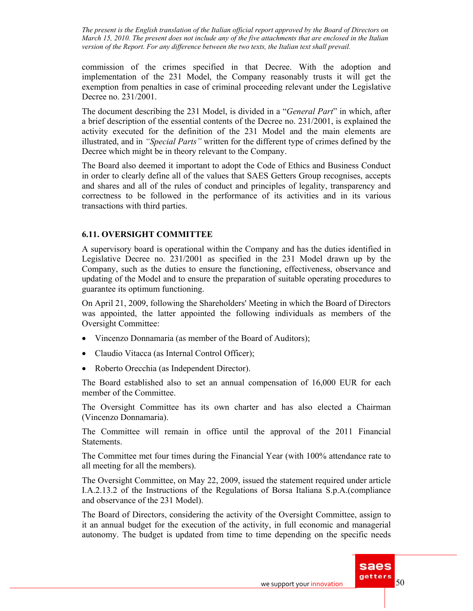commission of the crimes specified in that Decree. With the adoption and implementation of the 231 Model, the Company reasonably trusts it will get the exemption from penalties in case of criminal proceeding relevant under the Legislative Decree no. 231/2001.

The document describing the 231 Model, is divided in a "*General Part*" in which, after a brief description of the essential contents of the Decree no. 231/2001, is explained the activity executed for the definition of the 231 Model and the main elements are illustrated, and in *"Special Parts"* written for the different type of crimes defined by the Decree which might be in theory relevant to the Company.

The Board also deemed it important to adopt the Code of Ethics and Business Conduct in order to clearly define all of the values that SAES Getters Group recognises, accepts and shares and all of the rules of conduct and principles of legality, transparency and correctness to be followed in the performance of its activities and in its various transactions with third parties.

### **6.11. OVERSIGHT COMMITTEE**

A supervisory board is operational within the Company and has the duties identified in Legislative Decree no. 231/2001 as specified in the 231 Model drawn up by the Company, such as the duties to ensure the functioning, effectiveness, observance and updating of the Model and to ensure the preparation of suitable operating procedures to guarantee its optimum functioning.

On April 21, 2009, following the Shareholders' Meeting in which the Board of Directors was appointed, the latter appointed the following individuals as members of the Oversight Committee:

- Vincenzo Donnamaria (as member of the Board of Auditors);
- Claudio Vitacca (as Internal Control Officer);
- Roberto Orecchia (as Independent Director).

The Board established also to set an annual compensation of 16,000 EUR for each member of the Committee.

The Oversight Committee has its own charter and has also elected a Chairman (Vincenzo Donnamaria).

The Committee will remain in office until the approval of the 2011 Financial Statements.

The Committee met four times during the Financial Year (with 100% attendance rate to all meeting for all the members).

The Oversight Committee, on May 22, 2009, issued the statement required under article I.A.2.13.2 of the Instructions of the Regulations of Borsa Italiana S.p.A.(compliance and observance of the 231 Model).

The Board of Directors, considering the activity of the Oversight Committee, assign to it an annual budget for the execution of the activity, in full economic and managerial autonomy. The budget is updated from time to time depending on the specific needs

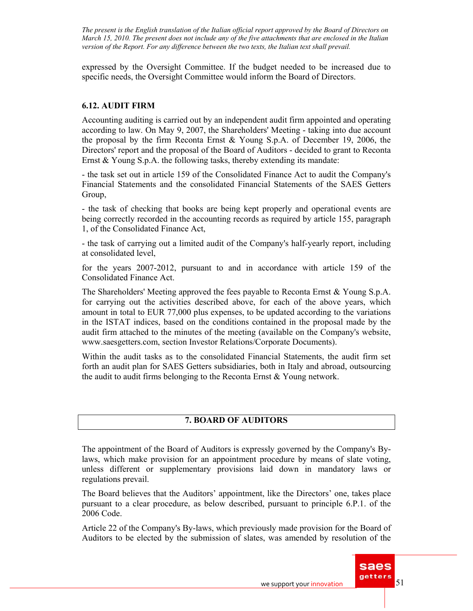expressed by the Oversight Committee. If the budget needed to be increased due to specific needs, the Oversight Committee would inform the Board of Directors.

### **6.12. AUDIT FIRM**

Accounting auditing is carried out by an independent audit firm appointed and operating according to law. On May 9, 2007, the Shareholders' Meeting - taking into due account the proposal by the firm Reconta Ernst & Young S.p.A. of December 19, 2006, the Directors' report and the proposal of the Board of Auditors - decided to grant to Reconta Ernst & Young S.p.A. the following tasks, thereby extending its mandate:

- the task set out in article 159 of the Consolidated Finance Act to audit the Company's Financial Statements and the consolidated Financial Statements of the SAES Getters Group,

- the task of checking that books are being kept properly and operational events are being correctly recorded in the accounting records as required by article 155, paragraph 1, of the Consolidated Finance Act,

- the task of carrying out a limited audit of the Company's half-yearly report, including at consolidated level,

for the years 2007-2012, pursuant to and in accordance with article 159 of the Consolidated Finance Act.

The Shareholders' Meeting approved the fees payable to Reconta Ernst & Young S.p.A. for carrying out the activities described above, for each of the above years, which amount in total to EUR 77,000 plus expenses, to be updated according to the variations in the ISTAT indices, based on the conditions contained in the proposal made by the audit firm attached to the minutes of the meeting (available on the Company's website, www.saesgetters.com, section Investor Relations/Corporate Documents).

Within the audit tasks as to the consolidated Financial Statements, the audit firm set forth an audit plan for SAES Getters subsidiaries, both in Italy and abroad, outsourcing the audit to audit firms belonging to the Reconta Ernst & Young network.

# **7. BOARD OF AUDITORS**

The appointment of the Board of Auditors is expressly governed by the Company's Bylaws, which make provision for an appointment procedure by means of slate voting, unless different or supplementary provisions laid down in mandatory laws or regulations prevail.

The Board believes that the Auditors' appointment, like the Directors' one, takes place pursuant to a clear procedure, as below described, pursuant to principle 6.P.1. of the 2006 Code.

Article 22 of the Company's By-laws, which previously made provision for the Board of Auditors to be elected by the submission of slates, was amended by resolution of the

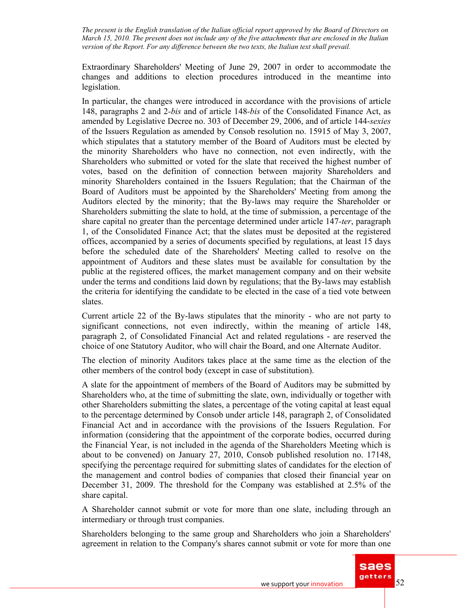Extraordinary Shareholders' Meeting of June 29, 2007 in order to accommodate the changes and additions to election procedures introduced in the meantime into legislation.

In particular, the changes were introduced in accordance with the provisions of article 148, paragraphs 2 and 2*-bis* and of article 148*-bis* of the Consolidated Finance Act, as amended by Legislative Decree no. 303 of December 29, 2006, and of article 144-*sexies*  of the Issuers Regulation as amended by Consob resolution no. 15915 of May 3, 2007, which stipulates that a statutory member of the Board of Auditors must be elected by the minority Shareholders who have no connection, not even indirectly, with the Shareholders who submitted or voted for the slate that received the highest number of votes, based on the definition of connection between majority Shareholders and minority Shareholders contained in the Issuers Regulation; that the Chairman of the Board of Auditors must be appointed by the Shareholders' Meeting from among the Auditors elected by the minority; that the By-laws may require the Shareholder or Shareholders submitting the slate to hold, at the time of submission, a percentage of the share capital no greater than the percentage determined under article 147*-ter*, paragraph 1, of the Consolidated Finance Act; that the slates must be deposited at the registered offices, accompanied by a series of documents specified by regulations, at least 15 days before the scheduled date of the Shareholders' Meeting called to resolve on the appointment of Auditors and these slates must be available for consultation by the public at the registered offices, the market management company and on their website under the terms and conditions laid down by regulations; that the By-laws may establish the criteria for identifying the candidate to be elected in the case of a tied vote between slates.

Current article 22 of the By-laws stipulates that the minority - who are not party to significant connections, not even indirectly, within the meaning of article 148, paragraph 2, of Consolidated Financial Act and related regulations - are reserved the choice of one Statutory Auditor, who will chair the Board, and one Alternate Auditor.

The election of minority Auditors takes place at the same time as the election of the other members of the control body (except in case of substitution).

A slate for the appointment of members of the Board of Auditors may be submitted by Shareholders who, at the time of submitting the slate, own, individually or together with other Shareholders submitting the slates, a percentage of the voting capital at least equal to the percentage determined by Consob under article 148, paragraph 2, of Consolidated Financial Act and in accordance with the provisions of the Issuers Regulation. For information (considering that the appointment of the corporate bodies, occurred during the Financial Year, is not included in the agenda of the Shareholders Meeting which is about to be convened) on January 27, 2010, Consob published resolution no. 17148, specifying the percentage required for submitting slates of candidates for the election of the management and control bodies of companies that closed their financial year on December 31, 2009. The threshold for the Company was established at 2.5% of the share capital.

A Shareholder cannot submit or vote for more than one slate, including through an intermediary or through trust companies.

Shareholders belonging to the same group and Shareholders who join a Shareholders' agreement in relation to the Company's shares cannot submit or vote for more than one

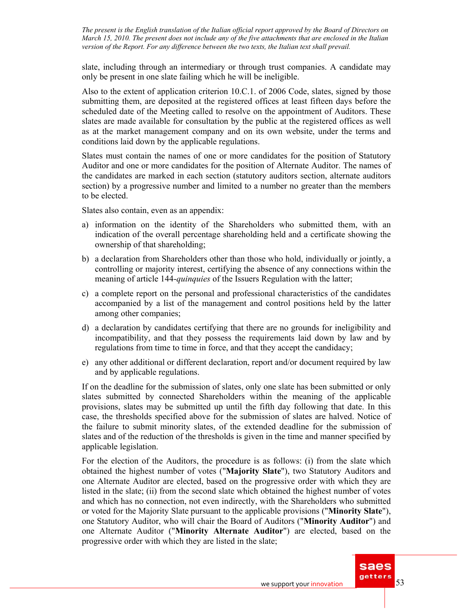slate, including through an intermediary or through trust companies. A candidate may only be present in one slate failing which he will be ineligible.

Also to the extent of application criterion 10.C.1. of 2006 Code, slates, signed by those submitting them, are deposited at the registered offices at least fifteen days before the scheduled date of the Meeting called to resolve on the appointment of Auditors. These slates are made available for consultation by the public at the registered offices as well as at the market management company and on its own website, under the terms and conditions laid down by the applicable regulations.

Slates must contain the names of one or more candidates for the position of Statutory Auditor and one or more candidates for the position of Alternate Auditor. The names of the candidates are marked in each section (statutory auditors section, alternate auditors section) by a progressive number and limited to a number no greater than the members to be elected.

Slates also contain, even as an appendix:

- a) information on the identity of the Shareholders who submitted them, with an indication of the overall percentage shareholding held and a certificate showing the ownership of that shareholding;
- b) a declaration from Shareholders other than those who hold, individually or jointly, a controlling or majority interest, certifying the absence of any connections within the meaning of article 144-*quinquies* of the Issuers Regulation with the latter;
- c) a complete report on the personal and professional characteristics of the candidates accompanied by a list of the management and control positions held by the latter among other companies;
- d) a declaration by candidates certifying that there are no grounds for ineligibility and incompatibility, and that they possess the requirements laid down by law and by regulations from time to time in force, and that they accept the candidacy;
- e) any other additional or different declaration, report and/or document required by law and by applicable regulations.

If on the deadline for the submission of slates, only one slate has been submitted or only slates submitted by connected Shareholders within the meaning of the applicable provisions, slates may be submitted up until the fifth day following that date. In this case, the thresholds specified above for the submission of slates are halved. Notice of the failure to submit minority slates, of the extended deadline for the submission of slates and of the reduction of the thresholds is given in the time and manner specified by applicable legislation.

For the election of the Auditors, the procedure is as follows: (i) from the slate which obtained the highest number of votes ("**Majority Slate**"), two Statutory Auditors and one Alternate Auditor are elected, based on the progressive order with which they are listed in the slate; (ii) from the second slate which obtained the highest number of votes and which has no connection, not even indirectly, with the Shareholders who submitted or voted for the Majority Slate pursuant to the applicable provisions ("**Minority Slate**"), one Statutory Auditor, who will chair the Board of Auditors ("**Minority Auditor**") and one Alternate Auditor ("**Minority Alternate Auditor**") are elected, based on the progressive order with which they are listed in the slate;

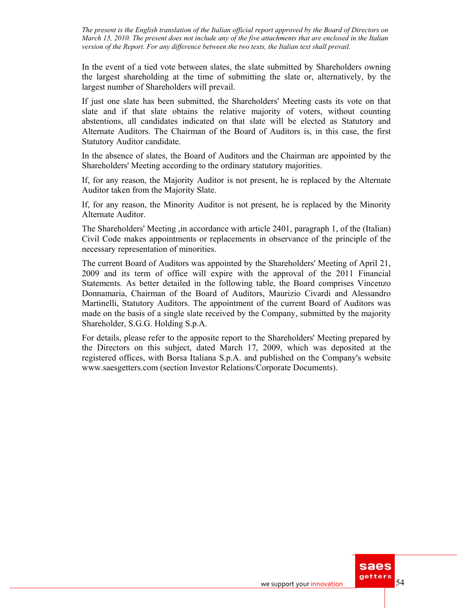In the event of a tied vote between slates, the slate submitted by Shareholders owning the largest shareholding at the time of submitting the slate or, alternatively, by the largest number of Shareholders will prevail.

If just one slate has been submitted, the Shareholders' Meeting casts its vote on that slate and if that slate obtains the relative majority of voters, without counting abstentions, all candidates indicated on that slate will be elected as Statutory and Alternate Auditors. The Chairman of the Board of Auditors is, in this case, the first Statutory Auditor candidate.

In the absence of slates, the Board of Auditors and the Chairman are appointed by the Shareholders' Meeting according to the ordinary statutory majorities.

If, for any reason, the Majority Auditor is not present, he is replaced by the Alternate Auditor taken from the Majority Slate.

If, for any reason, the Minority Auditor is not present, he is replaced by the Minority Alternate Auditor.

The Shareholders' Meeting ,in accordance with article 2401, paragraph 1, of the (Italian) Civil Code makes appointments or replacements in observance of the principle of the necessary representation of minorities.

The current Board of Auditors was appointed by the Shareholders' Meeting of April 21, 2009 and its term of office will expire with the approval of the 2011 Financial Statements. As better detailed in the following table, the Board comprises Vincenzo Donnamaria, Chairman of the Board of Auditors, Maurizio Civardi and Alessandro Martinelli, Statutory Auditors. The appointment of the current Board of Auditors was made on the basis of a single slate received by the Company, submitted by the majority Shareholder, S.G.G. Holding S.p.A.

For details, please refer to the apposite report to the Shareholders' Meeting prepared by the Directors on this subject, dated March 17, 2009, which was deposited at the registered offices, with Borsa Italiana S.p.A. and published on the Company's website www.saesgetters.com (section Investor Relations/Corporate Documents).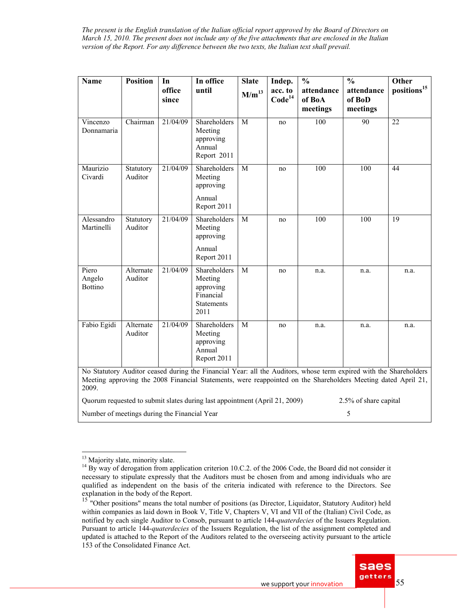| <b>Name</b>                       | <b>Position</b>      | In              | In office                                                                                                                                                                                                                          | <b>Slate</b> | Indep.                        | $\frac{0}{0}$                    | $\frac{0}{0}$                    | <b>Other</b>            |
|-----------------------------------|----------------------|-----------------|------------------------------------------------------------------------------------------------------------------------------------------------------------------------------------------------------------------------------------|--------------|-------------------------------|----------------------------------|----------------------------------|-------------------------|
|                                   |                      | office<br>since | until                                                                                                                                                                                                                              | $M/m^{13}$   | acc. to<br>Code <sup>14</sup> | attendance<br>of BoA<br>meetings | attendance<br>of BoD<br>meetings | positions <sup>15</sup> |
| Vincenzo<br>Donnamaria            | Chairman             | 21/04/09        | Shareholders<br>Meeting<br>approving<br>Annual<br>Report 2011                                                                                                                                                                      | $\mathbf{M}$ | no                            | 100                              | 90                               | 22                      |
| Maurizio<br>Civardi               | Statutory<br>Auditor | 21/04/09        | Shareholders<br>Meeting<br>approving                                                                                                                                                                                               | M            | no                            | 100                              | 100                              | 44                      |
|                                   |                      |                 | Annual<br>Report 2011                                                                                                                                                                                                              |              |                               |                                  |                                  |                         |
| Alessandro<br>Martinelli          | Statutory<br>Auditor | 21/04/09        | Shareholders<br>Meeting<br>approving                                                                                                                                                                                               | M            | no                            | 100                              | 100                              | 19                      |
|                                   |                      |                 | Annual<br>Report 2011                                                                                                                                                                                                              |              |                               |                                  |                                  |                         |
| Piero<br>Angelo<br><b>Bottino</b> | Alternate<br>Auditor | 21/04/09        | Shareholders<br>Meeting<br>approving<br>Financial<br><b>Statements</b><br>2011                                                                                                                                                     | M            | no                            | n.a.                             | n.a.                             | n.a.                    |
| Fabio Egidi                       | Alternate<br>Auditor | 21/04/09        | Shareholders<br>Meeting<br>approving<br>Annual<br>Report 2011                                                                                                                                                                      | M            | no                            | n.a.                             | n.a.                             | n.a.                    |
| 2009.                             |                      |                 | No Statutory Auditor ceased during the Financial Year: all the Auditors, whose term expired with the Shareholders<br>Meeting approving the 2008 Financial Statements, were reappointed on the Shareholders Meeting dated April 21, |              |                               |                                  |                                  |                         |

Quorum requested to submit slates during last appointment (April 21, 2009) 2.5% of share capital Number of meetings during the Financial Year 5

<sup>&</sup>lt;sup>15</sup> "Other positions" means the total number of positions (as Director, Liquidator, Statutory Auditor) held within companies as laid down in Book V, Title V, Chapters V, VI and VII of the (Italian) Civil Code, as notified by each single Auditor to Consob, pursuant to article 144-*quaterdecies* of the Issuers Regulation. Pursuant to article 144-*quaterdecies* of the Issuers Regulation, the list of the assignment completed and updated is attached to the Report of the Auditors related to the overseeing activity pursuant to the article 153 of the Consolidated Finance Act.



 $\overline{a}$ <sup>13</sup> Majority slate, minority slate.

<sup>&</sup>lt;sup>14</sup> By way of derogation from application criterion 10.C.2. of the 2006 Code, the Board did not consider it necessary to stipulate expressly that the Auditors must be chosen from and among individuals who are qualified as independent on the basis of the criteria indicated with reference to the Directors. See explanation in the body of the Report.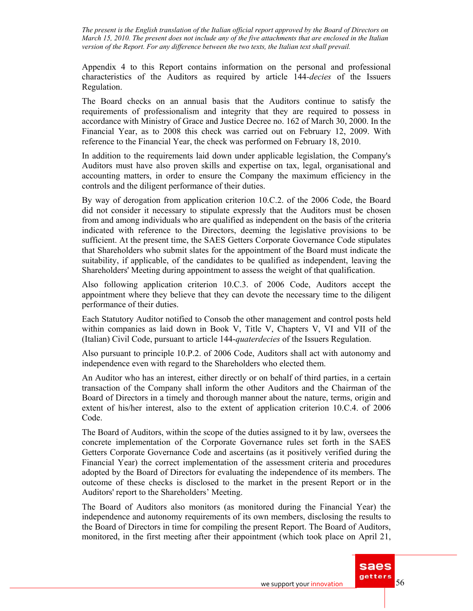Appendix 4 to this Report contains information on the personal and professional characteristics of the Auditors as required by article 144*-decies* of the Issuers Regulation.

The Board checks on an annual basis that the Auditors continue to satisfy the requirements of professionalism and integrity that they are required to possess in accordance with Ministry of Grace and Justice Decree no. 162 of March 30, 2000. In the Financial Year, as to 2008 this check was carried out on February 12, 2009. With reference to the Financial Year, the check was performed on February 18, 2010.

In addition to the requirements laid down under applicable legislation, the Company's Auditors must have also proven skills and expertise on tax, legal, organisational and accounting matters, in order to ensure the Company the maximum efficiency in the controls and the diligent performance of their duties.

By way of derogation from application criterion 10.C.2. of the 2006 Code, the Board did not consider it necessary to stipulate expressly that the Auditors must be chosen from and among individuals who are qualified as independent on the basis of the criteria indicated with reference to the Directors, deeming the legislative provisions to be sufficient. At the present time, the SAES Getters Corporate Governance Code stipulates that Shareholders who submit slates for the appointment of the Board must indicate the suitability, if applicable, of the candidates to be qualified as independent, leaving the Shareholders' Meeting during appointment to assess the weight of that qualification.

Also following application criterion 10.C.3. of 2006 Code, Auditors accept the appointment where they believe that they can devote the necessary time to the diligent performance of their duties.

Each Statutory Auditor notified to Consob the other management and control posts held within companies as laid down in Book V, Title V, Chapters V, VI and VII of the (Italian) Civil Code, pursuant to article 144-*quaterdecies* of the Issuers Regulation.

Also pursuant to principle 10.P.2. of 2006 Code, Auditors shall act with autonomy and independence even with regard to the Shareholders who elected them.

An Auditor who has an interest, either directly or on behalf of third parties, in a certain transaction of the Company shall inform the other Auditors and the Chairman of the Board of Directors in a timely and thorough manner about the nature, terms, origin and extent of his/her interest, also to the extent of application criterion 10.C.4. of 2006 Code.

The Board of Auditors, within the scope of the duties assigned to it by law, oversees the concrete implementation of the Corporate Governance rules set forth in the SAES Getters Corporate Governance Code and ascertains (as it positively verified during the Financial Year) the correct implementation of the assessment criteria and procedures adopted by the Board of Directors for evaluating the independence of its members. The outcome of these checks is disclosed to the market in the present Report or in the Auditors' report to the Shareholders' Meeting.

The Board of Auditors also monitors (as monitored during the Financial Year) the independence and autonomy requirements of its own members, disclosing the results to the Board of Directors in time for compiling the present Report. The Board of Auditors, monitored, in the first meeting after their appointment (which took place on April 21,

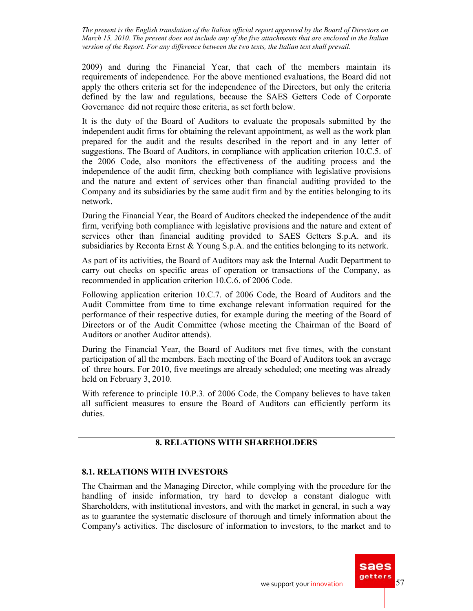2009) and during the Financial Year, that each of the members maintain its requirements of independence. For the above mentioned evaluations, the Board did not apply the others criteria set for the independence of the Directors, but only the criteria defined by the law and regulations, because the SAES Getters Code of Corporate Governance did not require those criteria, as set forth below.

It is the duty of the Board of Auditors to evaluate the proposals submitted by the independent audit firms for obtaining the relevant appointment, as well as the work plan prepared for the audit and the results described in the report and in any letter of suggestions. The Board of Auditors, in compliance with application criterion 10.C.5. of the 2006 Code, also monitors the effectiveness of the auditing process and the independence of the audit firm, checking both compliance with legislative provisions and the nature and extent of services other than financial auditing provided to the Company and its subsidiaries by the same audit firm and by the entities belonging to its network.

During the Financial Year, the Board of Auditors checked the independence of the audit firm, verifying both compliance with legislative provisions and the nature and extent of services other than financial auditing provided to SAES Getters S.p.A. and its subsidiaries by Reconta Ernst & Young S.p.A. and the entities belonging to its network.

As part of its activities, the Board of Auditors may ask the Internal Audit Department to carry out checks on specific areas of operation or transactions of the Company, as recommended in application criterion 10.C.6. of 2006 Code.

Following application criterion 10.C.7. of 2006 Code, the Board of Auditors and the Audit Committee from time to time exchange relevant information required for the performance of their respective duties, for example during the meeting of the Board of Directors or of the Audit Committee (whose meeting the Chairman of the Board of Auditors or another Auditor attends).

During the Financial Year, the Board of Auditors met five times, with the constant participation of all the members. Each meeting of the Board of Auditors took an average of three hours. For 2010, five meetings are already scheduled; one meeting was already held on February 3, 2010.

With reference to principle 10.P.3. of 2006 Code, the Company believes to have taken all sufficient measures to ensure the Board of Auditors can efficiently perform its duties.

# **8. RELATIONS WITH SHAREHOLDERS**

### **8.1. RELATIONS WITH INVESTORS**

The Chairman and the Managing Director, while complying with the procedure for the handling of inside information, try hard to develop a constant dialogue with Shareholders, with institutional investors, and with the market in general, in such a way as to guarantee the systematic disclosure of thorough and timely information about the Company's activities. The disclosure of information to investors, to the market and to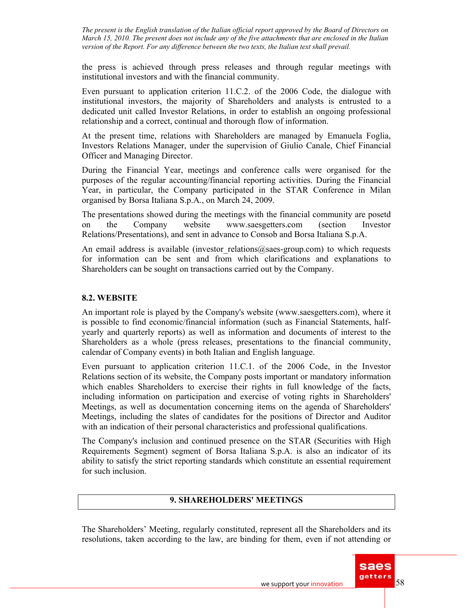the press is achieved through press releases and through regular meetings with institutional investors and with the financial community.

Even pursuant to application criterion 11.C.2. of the 2006 Code, the dialogue with institutional investors, the majority of Shareholders and analysts is entrusted to a dedicated unit called Investor Relations, in order to establish an ongoing professional relationship and a correct, continual and thorough flow of information.

At the present time, relations with Shareholders are managed by Emanuela Foglia, Investors Relations Manager, under the supervision of Giulio Canale, Chief Financial Officer and Managing Director.

During the Financial Year, meetings and conference calls were organised for the purposes of the regular accounting/financial reporting activities. During the Financial Year, in particular, the Company participated in the STAR Conference in Milan organised by Borsa Italiana S.p.A., on March 24, 2009.

The presentations showed during the meetings with the financial community are posetd on the Company website www.saesgetters.com (section Investor Relations/Presentations), and sent in advance to Consob and Borsa Italiana S.p.A.

An email address is available (investor relations@saes-group.com) to which requests for information can be sent and from which clarifications and explanations to Shareholders can be sought on transactions carried out by the Company.

### **8.2. WEBSITE**

An important role is played by the Company's website (www.saesgetters.com), where it is possible to find economic/financial information (such as Financial Statements, halfyearly and quarterly reports) as well as information and documents of interest to the Shareholders as a whole (press releases, presentations to the financial community, calendar of Company events) in both Italian and English language.

Even pursuant to application criterion 11.C.1. of the 2006 Code, in the Investor Relations section of its website, the Company posts important or mandatory information which enables Shareholders to exercise their rights in full knowledge of the facts, including information on participation and exercise of voting rights in Shareholders' Meetings, as well as documentation concerning items on the agenda of Shareholders' Meetings, including the slates of candidates for the positions of Director and Auditor with an indication of their personal characteristics and professional qualifications.

The Company's inclusion and continued presence on the STAR (Securities with High Requirements Segment) segment of Borsa Italiana S.p.A. is also an indicator of its ability to satisfy the strict reporting standards which constitute an essential requirement for such inclusion.

### **9. SHAREHOLDERS' MEETINGS**

The Shareholders' Meeting, regularly constituted, represent all the Shareholders and its resolutions, taken according to the law, are binding for them, even if not attending or

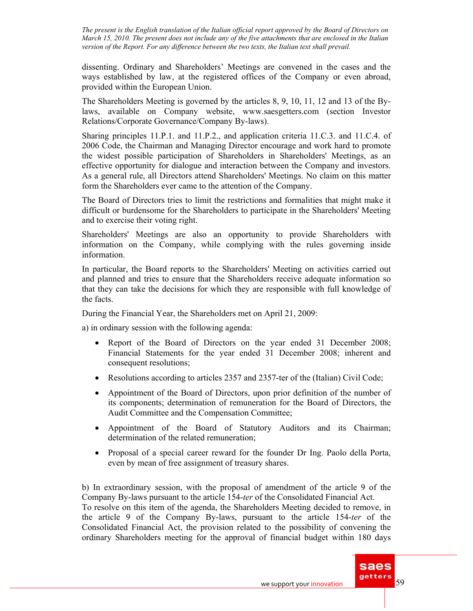dissenting. Ordinary and Shareholders' Meetings are convened in the cases and the ways established by law, at the registered offices of the Company or even abroad, provided within the European Union.

The Shareholders Meeting is governed by the articles 8, 9, 10, 11, 12 and 13 of the Bylaws, available on Company website, www.saesgetters.com (section Investor Relations/Corporate Governance/Company By-laws).

Sharing principles 11.P.1. and 11.P.2., and application criteria 11.C.3. and 11.C.4. of 2006 Code, the Chairman and Managing Director encourage and work hard to promote the widest possible participation of Shareholders in Shareholders' Meetings, as an effective opportunity for dialogue and interaction between the Company and investors. As a general rule, all Directors attend Shareholders' Meetings. No claim on this matter form the Shareholders ever came to the attention of the Company.

The Board of Directors tries to limit the restrictions and formalities that might make it difficult or burdensome for the Shareholders to participate in the Shareholders' Meeting and to exercise their voting right.

Shareholders' Meetings are also an opportunity to provide Shareholders with information on the Company, while complying with the rules governing inside information.

In particular, the Board reports to the Shareholders' Meeting on activities carried out and planned and tries to ensure that the Shareholders receive adequate information so that they can take the decisions for which they are responsible with full knowledge of the facts.

During the Financial Year, the Shareholders met on April 21, 2009:

a) in ordinary session with the following agenda:

- Report of the Board of Directors on the year ended 31 December 2008; Financial Statements for the year ended 31 December 2008; inherent and consequent resolutions;
- Resolutions according to articles 2357 and 2357-ter of the (Italian) Civil Code;
- Appointment of the Board of Directors, upon prior definition of the number of its components; determination of remuneration for the Board of Directors, the Audit Committee and the Compensation Committee;
- Appointment of the Board of Statutory Auditors and its Chairman; determination of the related remuneration;
- Proposal of a special career reward for the founder Dr Ing. Paolo della Porta, even by mean of free assignment of treasury shares.

b) In extraordinary session, with the proposal of amendment of the article 9 of the Company By-laws pursuant to the article 154-*ter* of the Consolidated Financial Act.

To resolve on this item of the agenda, the Shareholders Meeting decided to remove, in the article 9 of the Company By-laws, pursuant to the article 154-*ter* of the Consolidated Financial Act, the provision related to the possibility of convening the ordinary Shareholders meeting for the approval of financial budget within 180 days

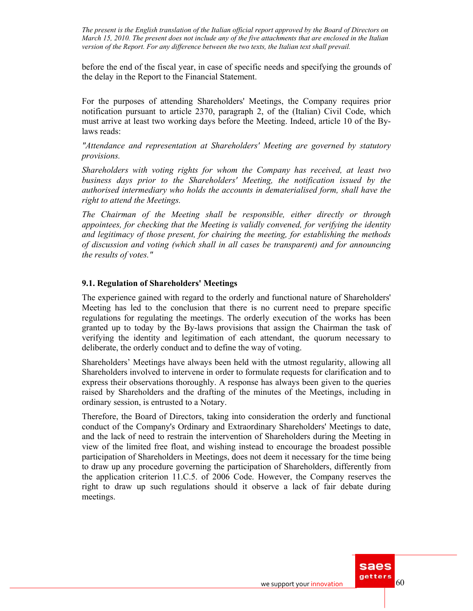before the end of the fiscal year, in case of specific needs and specifying the grounds of the delay in the Report to the Financial Statement.

For the purposes of attending Shareholders' Meetings, the Company requires prior notification pursuant to article 2370, paragraph 2, of the (Italian) Civil Code, which must arrive at least two working days before the Meeting. Indeed, article 10 of the Bylaws reads:

*"Attendance and representation at Shareholders' Meeting are governed by statutory provisions.* 

*Shareholders with voting rights for whom the Company has received, at least two business days prior to the Shareholders' Meeting, the notification issued by the authorised intermediary who holds the accounts in dematerialised form, shall have the right to attend the Meetings.* 

*The Chairman of the Meeting shall be responsible, either directly or through appointees, for checking that the Meeting is validly convened, for verifying the identity and legitimacy of those present, for chairing the meeting, for establishing the methods of discussion and voting (which shall in all cases be transparent) and for announcing the results of votes."* 

### **9.1. Regulation of Shareholders' Meetings**

The experience gained with regard to the orderly and functional nature of Shareholders' Meeting has led to the conclusion that there is no current need to prepare specific regulations for regulating the meetings. The orderly execution of the works has been granted up to today by the By-laws provisions that assign the Chairman the task of verifying the identity and legitimation of each attendant, the quorum necessary to deliberate, the orderly conduct and to define the way of voting.

Shareholders' Meetings have always been held with the utmost regularity, allowing all Shareholders involved to intervene in order to formulate requests for clarification and to express their observations thoroughly. A response has always been given to the queries raised by Shareholders and the drafting of the minutes of the Meetings, including in ordinary session, is entrusted to a Notary.

Therefore, the Board of Directors, taking into consideration the orderly and functional conduct of the Company's Ordinary and Extraordinary Shareholders' Meetings to date, and the lack of need to restrain the intervention of Shareholders during the Meeting in view of the limited free float, and wishing instead to encourage the broadest possible participation of Shareholders in Meetings, does not deem it necessary for the time being to draw up any procedure governing the participation of Shareholders, differently from the application criterion 11.C.5. of 2006 Code. However, the Company reserves the right to draw up such regulations should it observe a lack of fair debate during meetings.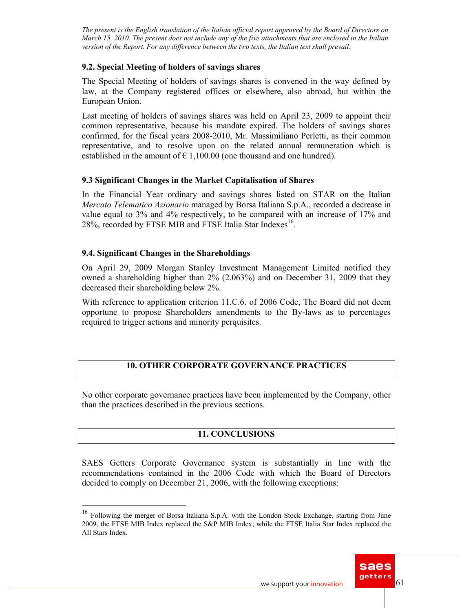### **9.2. Special Meeting of holders of savings shares**

The Special Meeting of holders of savings shares is convened in the way defined by law, at the Company registered offices or elsewhere, also abroad, but within the European Union.

Last meeting of holders of savings shares was held on April 23, 2009 to appoint their common representative, because his mandate expired. The holders of savings shares confirmed, for the fiscal years 2008-2010, Mr. Massimiliano Perletti, as their common representative, and to resolve upon on the related annual remuneration which is established in the amount of  $\epsilon$  1,100.00 (one thousand and one hundred).

### **9.3 Significant Changes in the Market Capitalisation of Shares**

In the Financial Year ordinary and savings shares listed on STAR on the Italian *Mercato Telematico Azionario* managed by Borsa Italiana S.p.A., recorded a decrease in value equal to 3% and 4% respectively, to be compared with an increase of 17% and 28%, recorded by FTSE MIB and FTSE Italia Star Indexes<sup>16</sup>.

### **9.4. Significant Changes in the Shareholdings**

 $\overline{a}$ 

On April 29, 2009 Morgan Stanley Investment Management Limited notified they owned a shareholding higher than 2% (2.063%) and on December 31, 2009 that they decreased their shareholding below 2%.

With reference to application criterion 11.C.6. of 2006 Code, The Board did not deem opportune to propose Shareholders amendments to the By-laws as to percentages required to trigger actions and minority perquisites.

# **10. OTHER CORPORATE GOVERNANCE PRACTICES**

No other corporate governance practices have been implemented by the Company, other than the practices described in the previous sections.

# **11. CONCLUSIONS**

SAES Getters Corporate Governance system is substantially in line with the recommendations contained in the 2006 Code with which the Board of Directors decided to comply on December 21, 2006, with the following exceptions:

<sup>&</sup>lt;sup>16</sup> Following the merger of Borsa Italiana S.p.A. with the London Stock Exchange, starting from June 2009, the FTSE MIB Index replaced the S&P MIB Index; while the FTSE Italia Star Index replaced the All Stars Index.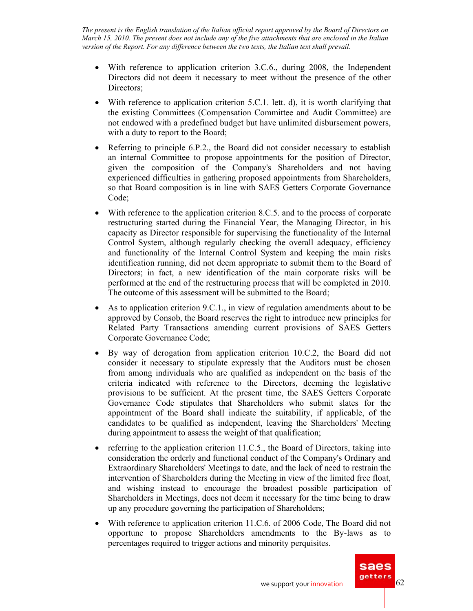- With reference to application criterion 3.C.6., during 2008, the Independent Directors did not deem it necessary to meet without the presence of the other Directors:
- With reference to application criterion  $5.C.1$ . lett. d), it is worth clarifying that the existing Committees (Compensation Committee and Audit Committee) are not endowed with a predefined budget but have unlimited disbursement powers, with a duty to report to the Board;
- Referring to principle 6.P.2., the Board did not consider necessary to establish an internal Committee to propose appointments for the position of Director, given the composition of the Company's Shareholders and not having experienced difficulties in gathering proposed appointments from Shareholders, so that Board composition is in line with SAES Getters Corporate Governance Code;
- With reference to the application criterion 8.C.5. and to the process of corporate restructuring started during the Financial Year, the Managing Director, in his capacity as Director responsible for supervising the functionality of the Internal Control System, although regularly checking the overall adequacy, efficiency and functionality of the Internal Control System and keeping the main risks identification running, did not deem appropriate to submit them to the Board of Directors; in fact, a new identification of the main corporate risks will be performed at the end of the restructuring process that will be completed in 2010. The outcome of this assessment will be submitted to the Board;
- As to application criterion 9.C.1., in view of regulation amendments about to be approved by Consob, the Board reserves the right to introduce new principles for Related Party Transactions amending current provisions of SAES Getters Corporate Governance Code;
- By way of derogation from application criterion 10.C.2, the Board did not consider it necessary to stipulate expressly that the Auditors must be chosen from among individuals who are qualified as independent on the basis of the criteria indicated with reference to the Directors, deeming the legislative provisions to be sufficient. At the present time, the SAES Getters Corporate Governance Code stipulates that Shareholders who submit slates for the appointment of the Board shall indicate the suitability, if applicable, of the candidates to be qualified as independent, leaving the Shareholders' Meeting during appointment to assess the weight of that qualification;
- referring to the application criterion 11.C.5., the Board of Directors, taking into consideration the orderly and functional conduct of the Company's Ordinary and Extraordinary Shareholders' Meetings to date, and the lack of need to restrain the intervention of Shareholders during the Meeting in view of the limited free float, and wishing instead to encourage the broadest possible participation of Shareholders in Meetings, does not deem it necessary for the time being to draw up any procedure governing the participation of Shareholders;
- With reference to application criterion 11.C.6. of 2006 Code, The Board did not opportune to propose Shareholders amendments to the By-laws as to percentages required to trigger actions and minority perquisites.

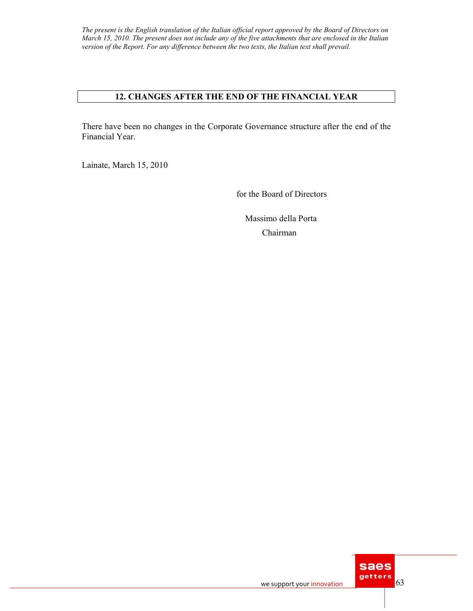### **12. CHANGES AFTER THE END OF THE FINANCIAL YEAR**

There have been no changes in the Corporate Governance structure after the end of the Financial Year.

Lainate, March 15, 2010

for the Board of Directors

 Massimo della Porta Chairman

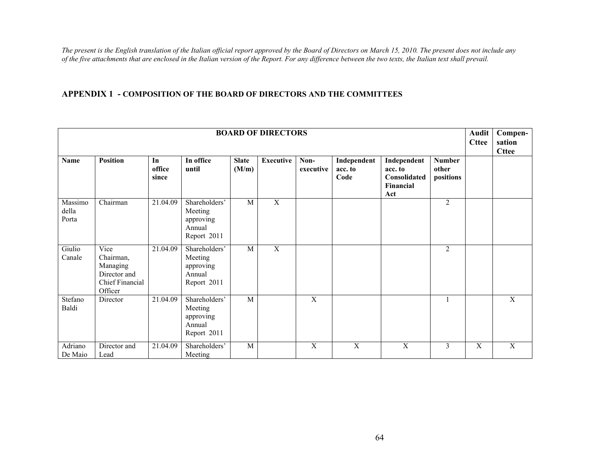#### **APPENDIX 1 - COMPOSITION OF THE BOARD OF DIRECTORS AND THE COMMITTEES**

|                           |                                                                                    | <b>Audit</b><br><b>Cttee</b> | Compen-<br>sation<br><b>Cttee</b>                              |                       |                  |                   |                                |                                                            |                                     |                |                |
|---------------------------|------------------------------------------------------------------------------------|------------------------------|----------------------------------------------------------------|-----------------------|------------------|-------------------|--------------------------------|------------------------------------------------------------|-------------------------------------|----------------|----------------|
| Name                      | <b>Position</b>                                                                    | In<br>office<br>since        | In office<br>until                                             | <b>Slate</b><br>(M/m) | <b>Executive</b> | Non-<br>executive | Independent<br>acc. to<br>Code | Independent<br>acc. to<br>Consolidated<br>Financial<br>Act | <b>Number</b><br>other<br>positions |                |                |
| Massimo<br>della<br>Porta | Chairman                                                                           | 21.04.09                     | Shareholders'<br>Meeting<br>approving<br>Annual<br>Report 2011 | M                     | X                |                   |                                |                                                            | $\overline{2}$                      |                |                |
| Giulio<br>Canale          | Vice<br>Chairman,<br>Managing<br>Director and<br><b>Chief Financial</b><br>Officer | 21.04.09                     | Shareholders'<br>Meeting<br>approving<br>Annual<br>Report 2011 | M                     | $\overline{X}$   |                   |                                |                                                            | $\overline{2}$                      |                |                |
| Stefano<br>Baldi          | Director                                                                           | 21.04.09                     | Shareholders'<br>Meeting<br>approving<br>Annual<br>Report 2011 | M                     |                  | $\mathbf X$       |                                |                                                            | 1                                   |                | $\mathbf X$    |
| Adriano<br>De Maio        | Director and<br>Lead                                                               | 21.04.09                     | Shareholders'<br>Meeting                                       | M                     |                  | $\overline{X}$    | $\overline{X}$                 | $\overline{X}$                                             | 3                                   | $\overline{X}$ | $\overline{X}$ |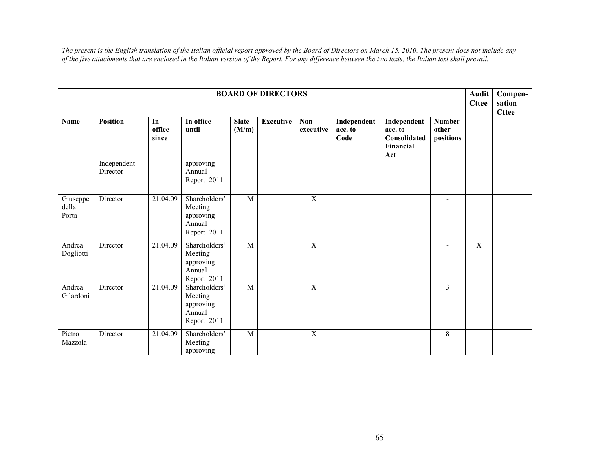|                            |                         | <b>Audit</b><br><b>Cttee</b> | Compen-<br>sation<br><b>Cttee</b>                              |                       |                  |                   |                                |                                                            |                                     |                |  |
|----------------------------|-------------------------|------------------------------|----------------------------------------------------------------|-----------------------|------------------|-------------------|--------------------------------|------------------------------------------------------------|-------------------------------------|----------------|--|
| <b>Name</b>                | <b>Position</b>         | In<br>office<br>since        | In office<br>until                                             | <b>Slate</b><br>(M/m) | <b>Executive</b> | Non-<br>executive | Independent<br>acc. to<br>Code | Independent<br>acc. to<br>Consolidated<br>Financial<br>Act | <b>Number</b><br>other<br>positions |                |  |
|                            | Independent<br>Director |                              | approving<br>Annual<br>Report 2011                             |                       |                  |                   |                                |                                                            |                                     |                |  |
| Giuseppe<br>della<br>Porta | Director                | 21.04.09                     | Shareholders'<br>Meeting<br>approving<br>Annual<br>Report 2011 | M                     |                  | $\mathbf X$       |                                |                                                            | $\overline{\phantom{a}}$            |                |  |
| Andrea<br>Dogliotti        | Director                | 21.04.09                     | Shareholders'<br>Meeting<br>approving<br>Annual<br>Report 2011 | $\overline{M}$        |                  | $\overline{X}$    |                                |                                                            | $\overline{\phantom{a}}$            | $\overline{X}$ |  |
| Andrea<br>Gilardoni        | Director                | 21.04.09                     | Shareholders'<br>Meeting<br>approving<br>Annual<br>Report 2011 | $\mathbf M$           |                  | $\mathbf X$       |                                |                                                            | 3                                   |                |  |
| Pietro<br>Mazzola          | Director                | 21.04.09                     | Shareholders'<br>Meeting<br>approving                          | $\overline{M}$        |                  | $\overline{X}$    |                                |                                                            | 8                                   |                |  |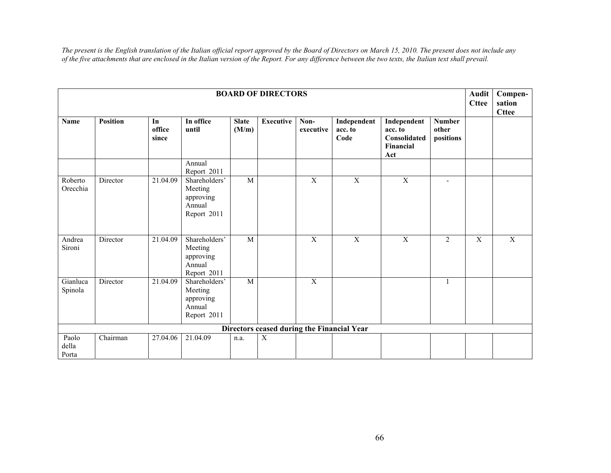|                         |                 | <b>Audit</b><br><b>Cttee</b> | Compen-<br>sation<br><b>Cttee</b>                              |                       |                                            |                   |                                |                                                            |                                     |   |                |
|-------------------------|-----------------|------------------------------|----------------------------------------------------------------|-----------------------|--------------------------------------------|-------------------|--------------------------------|------------------------------------------------------------|-------------------------------------|---|----------------|
| <b>Name</b>             | <b>Position</b> | In<br>office<br>since        | In office<br>until                                             | <b>Slate</b><br>(M/m) | <b>Executive</b>                           | Non-<br>executive | Independent<br>acc. to<br>Code | Independent<br>acc. to<br>Consolidated<br>Financial<br>Act | <b>Number</b><br>other<br>positions |   |                |
|                         |                 |                              | Annual<br>Report 2011                                          |                       |                                            |                   |                                |                                                            |                                     |   |                |
| Roberto<br>Orecchia     | Director        | 21.04.09                     | Shareholders'<br>Meeting<br>approving<br>Annual<br>Report 2011 | $\overline{M}$        |                                            | X                 | X                              | X                                                          | ٠                                   |   |                |
| Andrea<br>Sironi        | Director        | 21.04.09                     | Shareholders'<br>Meeting<br>approving<br>Annual<br>Report 2011 | M                     |                                            | $\mathbf X$       | $\overline{X}$                 | $\overline{X}$                                             | 2                                   | X | $\overline{X}$ |
| Gianluca<br>Spinola     | Director        | 21.04.09                     | Shareholders'<br>Meeting<br>approving<br>Annual<br>Report 2011 | $\overline{M}$        |                                            | $\overline{X}$    |                                |                                                            | 1                                   |   |                |
|                         |                 |                              |                                                                |                       | Directors ceased during the Financial Year |                   |                                |                                                            |                                     |   |                |
| Paolo<br>della<br>Porta | Chairman        | 27.04.06                     | 21.04.09                                                       | n.a.                  | X                                          |                   |                                |                                                            |                                     |   |                |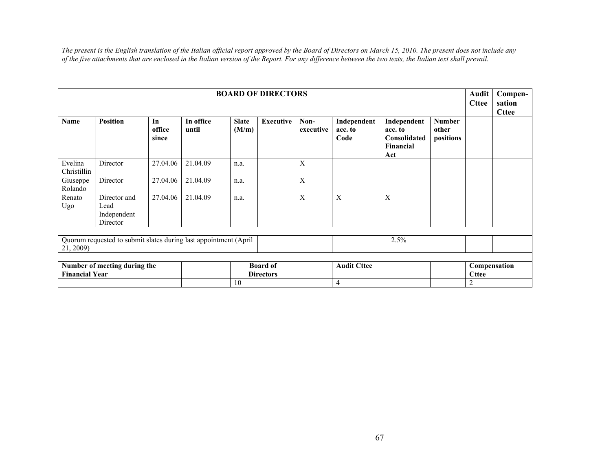| <b>BOARD OF DIRECTORS</b>                             |                                                                  |                       |                                     |                       |                    |                   |                                |                                                            |                                     |   |  |  |
|-------------------------------------------------------|------------------------------------------------------------------|-----------------------|-------------------------------------|-----------------------|--------------------|-------------------|--------------------------------|------------------------------------------------------------|-------------------------------------|---|--|--|
| <b>Name</b>                                           | <b>Position</b>                                                  | In<br>office<br>since | In office<br>until                  | <b>Slate</b><br>(M/m) | <b>Executive</b>   | Non-<br>executive | Independent<br>acc. to<br>Code | Independent<br>acc. to<br>Consolidated<br>Financial<br>Act | <b>Number</b><br>other<br>positions |   |  |  |
| Evelina<br>Christillin                                | Director                                                         | 27.04.06              | 21.04.09                            | n.a.                  |                    | X                 |                                |                                                            |                                     |   |  |  |
| Giuseppe<br>Rolando                                   | Director                                                         | 27.04.06              | 21.04.09                            | n.a.                  |                    | X                 |                                |                                                            |                                     |   |  |  |
| Renato<br>Ugo                                         | Director and<br>Lead<br>Independent<br>Director                  | 27.04.06              | 21.04.09                            | n.a.                  |                    | X                 | X                              | X                                                          |                                     |   |  |  |
|                                                       | Quorum requested to submit slates during last appointment (April |                       |                                     |                       |                    |                   |                                | 2.5%                                                       |                                     |   |  |  |
| 21, 2009)                                             |                                                                  |                       |                                     |                       |                    |                   |                                |                                                            |                                     |   |  |  |
| Number of meeting during the<br><b>Financial Year</b> |                                                                  |                       | <b>Board of</b><br><b>Directors</b> |                       | <b>Audit Cttee</b> |                   |                                | Compensation<br><b>Cttee</b>                               |                                     |   |  |  |
|                                                       |                                                                  |                       |                                     | 10                    |                    |                   | $\overline{4}$                 |                                                            |                                     | 2 |  |  |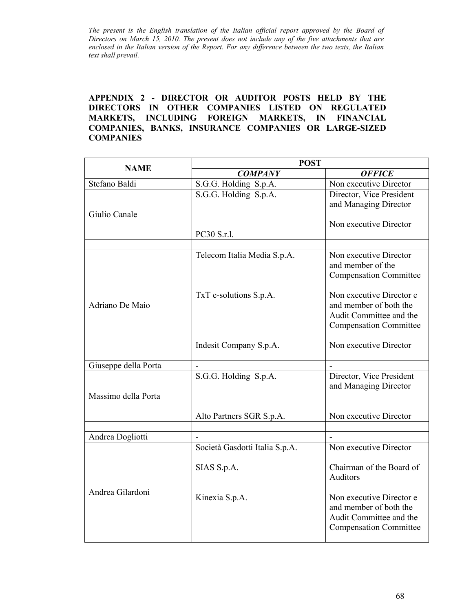### **APPENDIX 2 - DIRECTOR OR AUDITOR POSTS HELD BY THE DIRECTORS IN OTHER COMPANIES LISTED ON REGULATED MARKETS, INCLUDING FOREIGN MARKETS, IN FINANCIAL COMPANIES, BANKS, INSURANCE COMPANIES OR LARGE-SIZED COMPANIES**

| <b>NAME</b>          | <b>POST</b>                    |                                                    |  |
|----------------------|--------------------------------|----------------------------------------------------|--|
|                      | <b>COMPANY</b>                 | <b>OFFICE</b>                                      |  |
| Stefano Baldi        | S.G.G. Holding S.p.A.          | Non executive Director                             |  |
|                      | S.G.G. Holding S.p.A.          | Director, Vice President                           |  |
|                      |                                | and Managing Director                              |  |
| Giulio Canale        |                                |                                                    |  |
|                      |                                | Non executive Director                             |  |
|                      | PC30 S.r.l.                    |                                                    |  |
|                      |                                |                                                    |  |
| Adriano De Maio      | Telecom Italia Media S.p.A.    | Non executive Director                             |  |
|                      |                                | and member of the                                  |  |
|                      |                                | <b>Compensation Committee</b>                      |  |
|                      | TxT e-solutions S.p.A.         | Non executive Director e                           |  |
|                      |                                | and member of both the                             |  |
|                      |                                | Audit Committee and the                            |  |
|                      |                                | <b>Compensation Committee</b>                      |  |
|                      |                                |                                                    |  |
|                      | Indesit Company S.p.A.         | Non executive Director                             |  |
|                      |                                |                                                    |  |
| Giuseppe della Porta |                                |                                                    |  |
|                      | S.G.G. Holding S.p.A.          | Director, Vice President                           |  |
|                      |                                | and Managing Director                              |  |
| Massimo della Porta  |                                |                                                    |  |
|                      | Alto Partners SGR S.p.A.       | Non executive Director                             |  |
|                      |                                |                                                    |  |
| Andrea Dogliotti     |                                |                                                    |  |
| Andrea Gilardoni     | Società Gasdotti Italia S.p.A. | Non executive Director                             |  |
|                      |                                |                                                    |  |
|                      | SIAS S.p.A.                    | Chairman of the Board of                           |  |
|                      |                                | Auditors                                           |  |
|                      |                                |                                                    |  |
|                      | Kinexia S.p.A.                 | Non executive Director e<br>and member of both the |  |
|                      |                                | Audit Committee and the                            |  |
|                      |                                | <b>Compensation Committee</b>                      |  |
|                      |                                |                                                    |  |